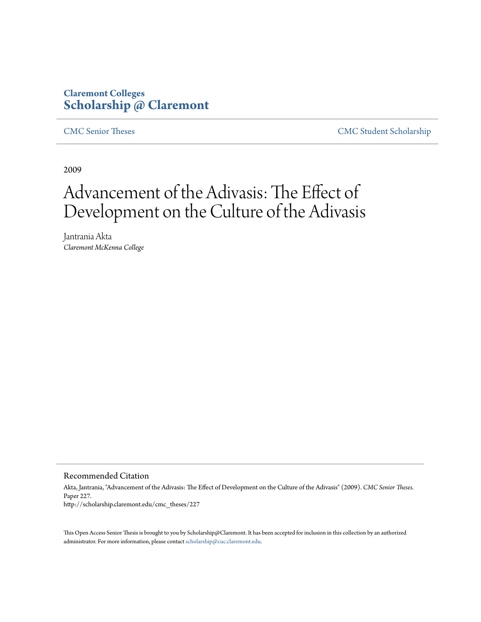# **Claremont Colleges [Scholarship @ Claremont](http://scholarship.claremont.edu)**

[CMC Senior Theses](http://scholarship.claremont.edu/cmc_theses) [CMC Student Scholarship](http://scholarship.claremont.edu/cmc_student)

2009

# Advancement of the Adivasis: The Effect of Development on the Culture of the Adivasis

Jantrania Akta *Claremont McKenna College*

Recommended Citation

Akta, Jantrania, "Advancement of the Adivasis: The Effect of Development on the Culture of the Adivasis" (2009). *CMC Senior Theses.* Paper 227. http://scholarship.claremont.edu/cmc\_theses/227

This Open Access Senior Thesis is brought to you by Scholarship@Claremont. It has been accepted for inclusion in this collection by an authorized administrator. For more information, please contact [scholarship@cuc.claremont.edu.](mailto:scholarship@cuc.claremont.edu)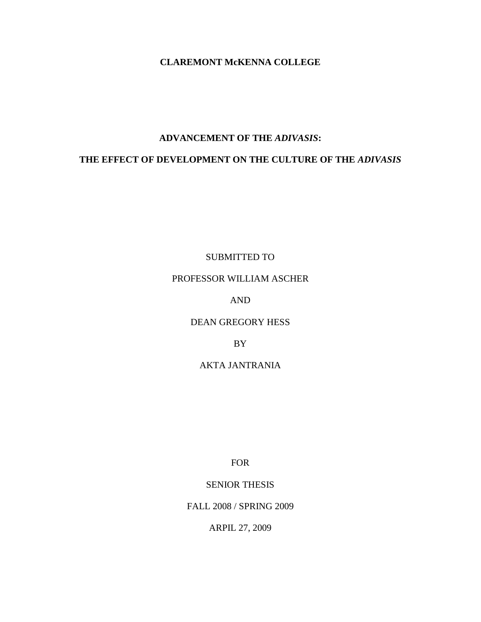#### **CLAREMONT McKENNA COLLEGE**

#### **ADVANCEMENT OF THE** *ADIVASIS***:**

## **THE EFFECT OF DEVELOPMENT ON THE CULTURE OF THE** *ADIVASIS*

SUBMITTED TO

## PROFESSOR WILLIAM ASCHER

## AND

#### DEAN GREGORY HESS

#### BY

## AKTA JANTRANIA

FOR

#### SENIOR THESIS

### FALL 2008 / SPRING 2009

ARPIL 27, 2009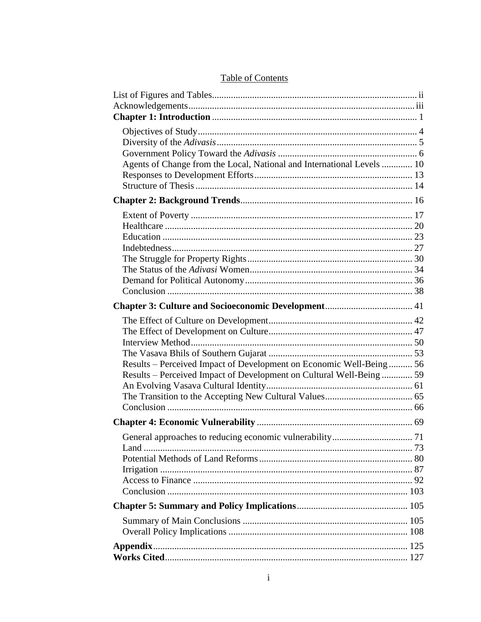| Agents of Change from the Local, National and International Levels  10 |  |
|------------------------------------------------------------------------|--|
|                                                                        |  |
|                                                                        |  |
|                                                                        |  |
|                                                                        |  |
|                                                                        |  |
|                                                                        |  |
|                                                                        |  |
|                                                                        |  |
|                                                                        |  |
|                                                                        |  |
|                                                                        |  |
|                                                                        |  |
|                                                                        |  |
|                                                                        |  |
|                                                                        |  |
|                                                                        |  |
|                                                                        |  |
| Results – Perceived Impact of Development on Economic Well-Being 56    |  |
| Results – Perceived Impact of Development on Cultural Well-Being 59    |  |
|                                                                        |  |
|                                                                        |  |
|                                                                        |  |
|                                                                        |  |
|                                                                        |  |
|                                                                        |  |
|                                                                        |  |
|                                                                        |  |
|                                                                        |  |
|                                                                        |  |
|                                                                        |  |
|                                                                        |  |
|                                                                        |  |
|                                                                        |  |
|                                                                        |  |
|                                                                        |  |

## **Table of Contents**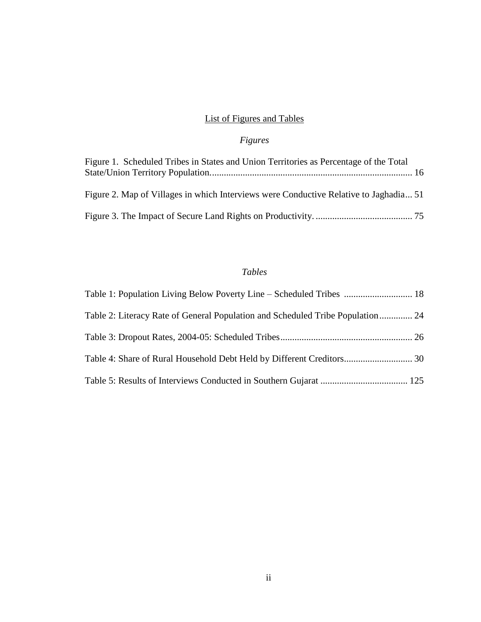# List of Figures and Tables

# *Figures*

| Figure 1. Scheduled Tribes in States and Union Territories as Percentage of the Total |  |
|---------------------------------------------------------------------------------------|--|
| Figure 2. Map of Villages in which Interviews were Conductive Relative to Jaghadia 51 |  |
|                                                                                       |  |

## *Tables*

| Table 1: Population Living Below Poverty Line – Scheduled Tribes  18            |  |
|---------------------------------------------------------------------------------|--|
| Table 2: Literacy Rate of General Population and Scheduled Tribe Population  24 |  |
|                                                                                 |  |
|                                                                                 |  |
|                                                                                 |  |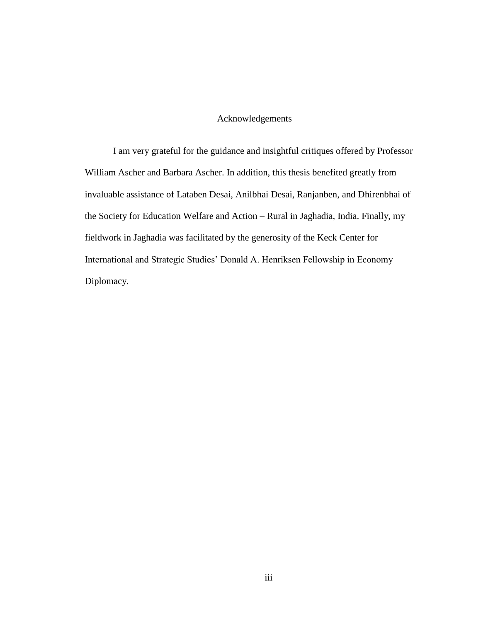### **Acknowledgements**

I am very grateful for the guidance and insightful critiques offered by Professor William Ascher and Barbara Ascher. In addition, this thesis benefited greatly from invaluable assistance of Lataben Desai, Anilbhai Desai, Ranjanben, and Dhirenbhai of the Society for Education Welfare and Action – Rural in Jaghadia, India. Finally, my fieldwork in Jaghadia was facilitated by the generosity of the Keck Center for International and Strategic Studies" Donald A. Henriksen Fellowship in Economy Diplomacy.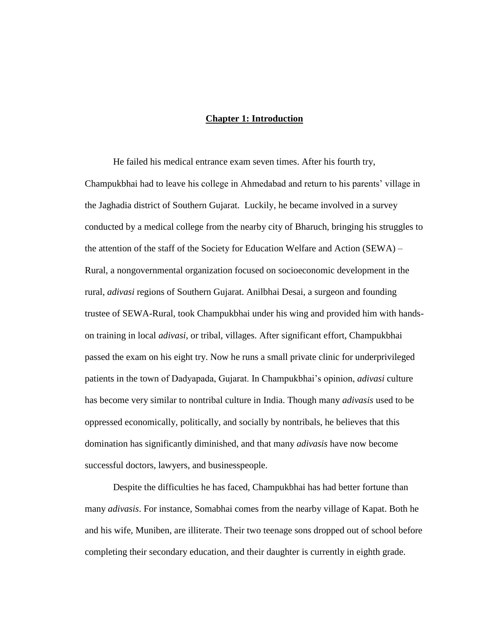#### **Chapter 1: Introduction**

He failed his medical entrance exam seven times. After his fourth try, Champukbhai had to leave his college in Ahmedabad and return to his parents" village in the Jaghadia district of Southern Gujarat. Luckily, he became involved in a survey conducted by a medical college from the nearby city of Bharuch, bringing his struggles to the attention of the staff of the Society for Education Welfare and Action (SEWA) – Rural, a nongovernmental organization focused on socioeconomic development in the rural, *adivasi* regions of Southern Gujarat. Anilbhai Desai, a surgeon and founding trustee of SEWA-Rural, took Champukbhai under his wing and provided him with handson training in local *adivasi*, or tribal, villages. After significant effort, Champukbhai passed the exam on his eight try. Now he runs a small private clinic for underprivileged patients in the town of Dadyapada, Gujarat. In Champukbhai"s opinion, *adivasi* culture has become very similar to nontribal culture in India. Though many *adivasis* used to be oppressed economically, politically, and socially by nontribals, he believes that this domination has significantly diminished, and that many *adivasis* have now become successful doctors, lawyers, and businesspeople.

Despite the difficulties he has faced, Champukbhai has had better fortune than many *adivasis*. For instance, Somabhai comes from the nearby village of Kapat. Both he and his wife, Muniben, are illiterate. Their two teenage sons dropped out of school before completing their secondary education, and their daughter is currently in eighth grade.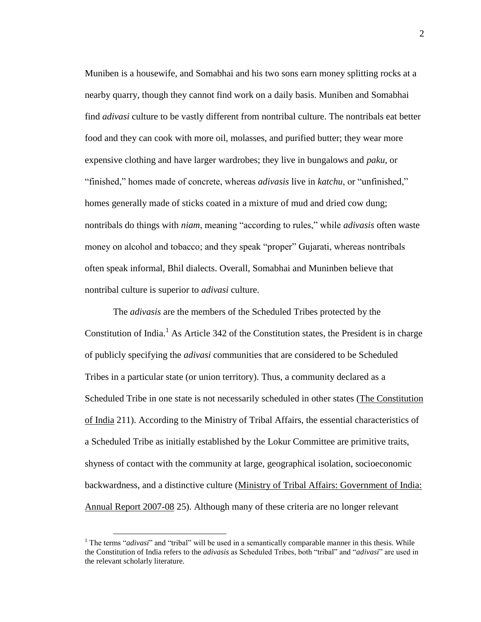Muniben is a housewife, and Somabhai and his two sons earn money splitting rocks at a nearby quarry, though they cannot find work on a daily basis. Muniben and Somabhai find *adivasi* culture to be vastly different from nontribal culture. The nontribals eat better food and they can cook with more oil, molasses, and purified butter; they wear more expensive clothing and have larger wardrobes; they live in bungalows and *paku*, or "finished," homes made of concrete, whereas *adivasis* live in *katchu*, or "unfinished," homes generally made of sticks coated in a mixture of mud and dried cow dung; nontribals do things with *niam*, meaning "according to rules," while *adivasis* often waste money on alcohol and tobacco; and they speak "proper" Gujarati, whereas nontribals often speak informal, Bhil dialects. Overall, Somabhai and Muninben believe that nontribal culture is superior to *adivasi* culture.

The *adivasis* are the members of the Scheduled Tribes protected by the Constitution of India.<sup>1</sup> As Article 342 of the Constitution states, the President is in charge of publicly specifying the *adivasi* communities that are considered to be Scheduled Tribes in a particular state (or union territory). Thus, a community declared as a Scheduled Tribe in one state is not necessarily scheduled in other states (The Constitution of India 211). According to the Ministry of Tribal Affairs, the essential characteristics of a Scheduled Tribe as initially established by the Lokur Committee are primitive traits, shyness of contact with the community at large, geographical isolation, socioeconomic backwardness, and a distinctive culture (Ministry of Tribal Affairs: Government of India: Annual Report 2007-08 25). Although many of these criteria are no longer relevant

 $\overline{a}$ 

<sup>&</sup>lt;sup>1</sup> The terms "*adivasi*" and "tribal" will be used in a semantically comparable manner in this thesis. While the Constitution of India refers to the *adivasis* as Scheduled Tribes, both "tribal" and "*adivasi*" are used in the relevant scholarly literature.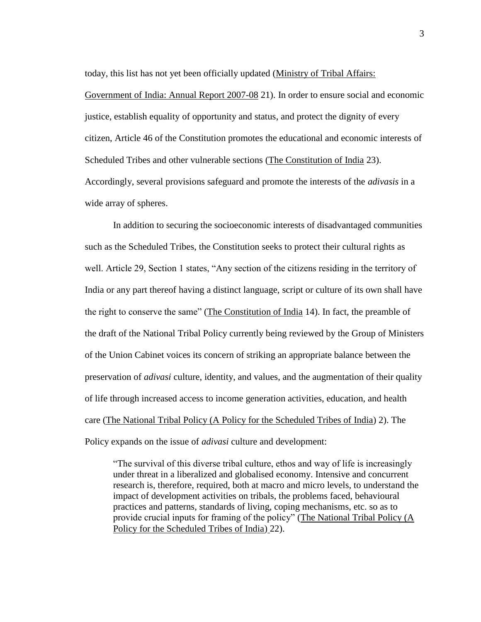today, this list has not yet been officially updated (Ministry of Tribal Affairs:

Government of India: Annual Report 2007-08 21). In order to ensure social and economic justice, establish equality of opportunity and status, and protect the dignity of every citizen, Article 46 of the Constitution promotes the educational and economic interests of Scheduled Tribes and other vulnerable sections (The Constitution of India 23). Accordingly, several provisions safeguard and promote the interests of the *adivasis* in a wide array of spheres.

In addition to securing the socioeconomic interests of disadvantaged communities such as the Scheduled Tribes, the Constitution seeks to protect their cultural rights as well. Article 29, Section 1 states, "Any section of the citizens residing in the territory of India or any part thereof having a distinct language, script or culture of its own shall have the right to conserve the same" (The Constitution of India 14). In fact, the preamble of the draft of the National Tribal Policy currently being reviewed by the Group of Ministers of the Union Cabinet voices its concern of striking an appropriate balance between the preservation of *adivasi* culture, identity, and values, and the augmentation of their quality of life through increased access to income generation activities, education, and health care (The National Tribal Policy (A Policy for the Scheduled Tribes of India) 2). The Policy expands on the issue of *adivasi* culture and development:

"The survival of this diverse tribal culture, ethos and way of life is increasingly under threat in a liberalized and globalised economy. Intensive and concurrent research is, therefore, required, both at macro and micro levels, to understand the impact of development activities on tribals, the problems faced, behavioural practices and patterns, standards of living, coping mechanisms, etc. so as to provide crucial inputs for framing of the policy" (The National Tribal Policy (A Policy for the Scheduled Tribes of India) 22).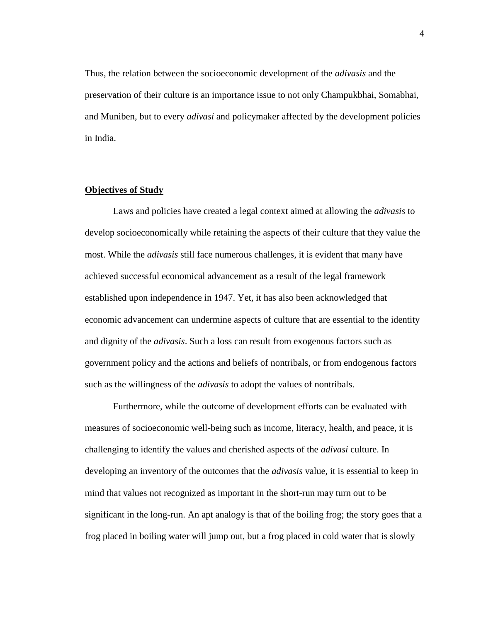Thus, the relation between the socioeconomic development of the *adivasis* and the preservation of their culture is an importance issue to not only Champukbhai, Somabhai, and Muniben, but to every *adivasi* and policymaker affected by the development policies in India.

#### **Objectives of Study**

Laws and policies have created a legal context aimed at allowing the *adivasis* to develop socioeconomically while retaining the aspects of their culture that they value the most. While the *adivasis* still face numerous challenges, it is evident that many have achieved successful economical advancement as a result of the legal framework established upon independence in 1947. Yet, it has also been acknowledged that economic advancement can undermine aspects of culture that are essential to the identity and dignity of the *adivasis*. Such a loss can result from exogenous factors such as government policy and the actions and beliefs of nontribals, or from endogenous factors such as the willingness of the *adivasis* to adopt the values of nontribals.

Furthermore, while the outcome of development efforts can be evaluated with measures of socioeconomic well-being such as income, literacy, health, and peace, it is challenging to identify the values and cherished aspects of the *adivasi* culture. In developing an inventory of the outcomes that the *adivasis* value, it is essential to keep in mind that values not recognized as important in the short-run may turn out to be significant in the long-run. An apt analogy is that of the boiling frog; the story goes that a frog placed in boiling water will jump out, but a frog placed in cold water that is slowly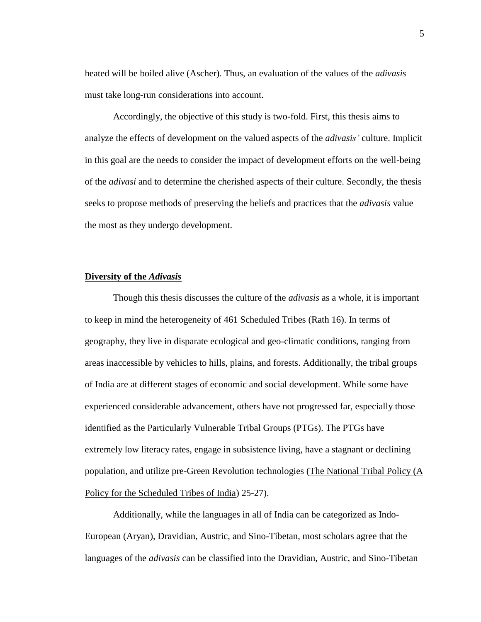heated will be boiled alive (Ascher). Thus, an evaluation of the values of the *adivasis* must take long-run considerations into account.

Accordingly, the objective of this study is two-fold. First, this thesis aims to analyze the effects of development on the valued aspects of the *adivasis'* culture. Implicit in this goal are the needs to consider the impact of development efforts on the well-being of the *adivasi* and to determine the cherished aspects of their culture. Secondly, the thesis seeks to propose methods of preserving the beliefs and practices that the *adivasis* value the most as they undergo development.

#### **Diversity of the** *Adivasis*

Though this thesis discusses the culture of the *adivasis* as a whole, it is important to keep in mind the heterogeneity of 461 Scheduled Tribes (Rath 16). In terms of geography, they live in disparate ecological and geo-climatic conditions, ranging from areas inaccessible by vehicles to hills, plains, and forests. Additionally, the tribal groups of India are at different stages of economic and social development. While some have experienced considerable advancement, others have not progressed far, especially those identified as the Particularly Vulnerable Tribal Groups (PTGs). The PTGs have extremely low literacy rates, engage in subsistence living, have a stagnant or declining population, and utilize pre-Green Revolution technologies (The National Tribal Policy (A Policy for the Scheduled Tribes of India) 25-27).

Additionally, while the languages in all of India can be categorized as Indo-European (Aryan), Dravidian, Austric, and Sino-Tibetan, most scholars agree that the languages of the *adivasis* can be classified into the Dravidian, Austric, and Sino-Tibetan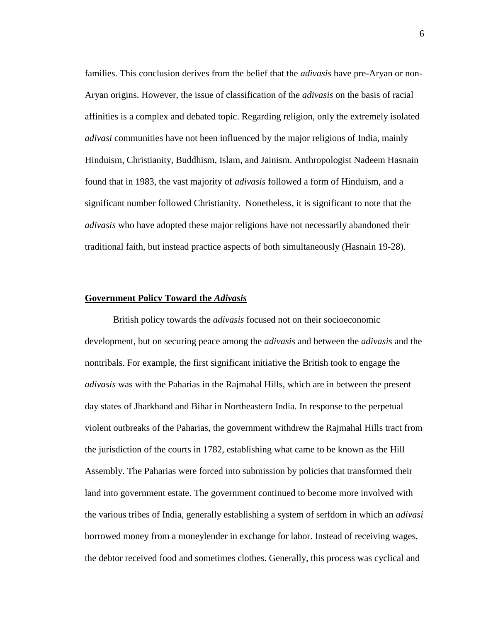families. This conclusion derives from the belief that the *adivasis* have pre-Aryan or non-Aryan origins. However, the issue of classification of the *adivasis* on the basis of racial affinities is a complex and debated topic. Regarding religion, only the extremely isolated *adivasi* communities have not been influenced by the major religions of India, mainly Hinduism, Christianity, Buddhism, Islam, and Jainism. Anthropologist Nadeem Hasnain found that in 1983, the vast majority of *adivasis* followed a form of Hinduism, and a significant number followed Christianity. Nonetheless, it is significant to note that the *adivasis* who have adopted these major religions have not necessarily abandoned their traditional faith, but instead practice aspects of both simultaneously (Hasnain 19-28).

#### **Government Policy Toward the** *Adivasis*

British policy towards the *adivasis* focused not on their socioeconomic development, but on securing peace among the *adivasis* and between the *adivasis* and the nontribals. For example, the first significant initiative the British took to engage the *adivasis* was with the Paharias in the Rajmahal Hills, which are in between the present day states of Jharkhand and Bihar in Northeastern India. In response to the perpetual violent outbreaks of the Paharias, the government withdrew the Rajmahal Hills tract from the jurisdiction of the courts in 1782, establishing what came to be known as the Hill Assembly. The Paharias were forced into submission by policies that transformed their land into government estate. The government continued to become more involved with the various tribes of India, generally establishing a system of serfdom in which an *adivasi* borrowed money from a moneylender in exchange for labor. Instead of receiving wages, the debtor received food and sometimes clothes. Generally, this process was cyclical and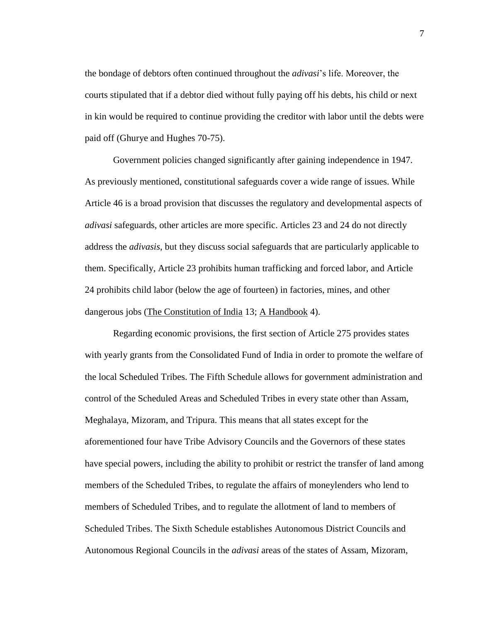the bondage of debtors often continued throughout the *adivasi*"s life. Moreover, the courts stipulated that if a debtor died without fully paying off his debts, his child or next in kin would be required to continue providing the creditor with labor until the debts were paid off (Ghurye and Hughes 70-75).

Government policies changed significantly after gaining independence in 1947. As previously mentioned, constitutional safeguards cover a wide range of issues. While Article 46 is a broad provision that discusses the regulatory and developmental aspects of *adivasi* safeguards, other articles are more specific. Articles 23 and 24 do not directly address the *adivasis*, but they discuss social safeguards that are particularly applicable to them. Specifically, Article 23 prohibits human trafficking and forced labor, and Article 24 prohibits child labor (below the age of fourteen) in factories, mines, and other dangerous jobs (The Constitution of India 13; A Handbook 4).

Regarding economic provisions, the first section of Article 275 provides states with yearly grants from the Consolidated Fund of India in order to promote the welfare of the local Scheduled Tribes. The Fifth Schedule allows for government administration and control of the Scheduled Areas and Scheduled Tribes in every state other than Assam, Meghalaya, Mizoram, and Tripura. This means that all states except for the aforementioned four have Tribe Advisory Councils and the Governors of these states have special powers, including the ability to prohibit or restrict the transfer of land among members of the Scheduled Tribes, to regulate the affairs of moneylenders who lend to members of Scheduled Tribes, and to regulate the allotment of land to members of Scheduled Tribes. The Sixth Schedule establishes Autonomous District Councils and Autonomous Regional Councils in the *adivasi* areas of the states of Assam, Mizoram,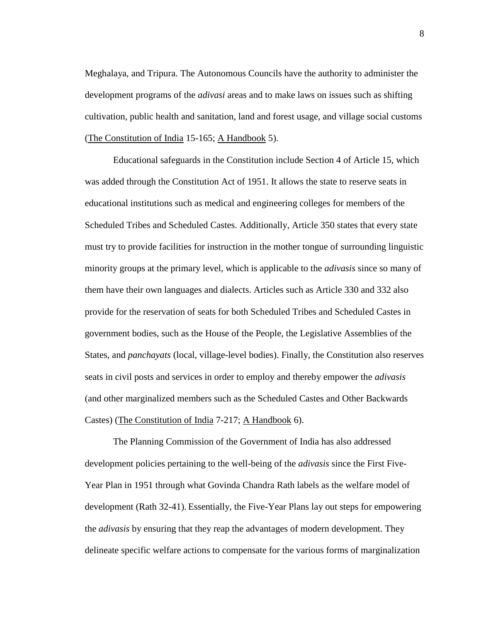Meghalaya, and Tripura. The Autonomous Councils have the authority to administer the development programs of the *adivasi* areas and to make laws on issues such as shifting cultivation, public health and sanitation, land and forest usage, and village social customs (The Constitution of India 15-165; A Handbook 5).

Educational safeguards in the Constitution include Section 4 of Article 15, which was added through the Constitution Act of 1951. It allows the state to reserve seats in educational institutions such as medical and engineering colleges for members of the Scheduled Tribes and Scheduled Castes. Additionally, Article 350 states that every state must try to provide facilities for instruction in the mother tongue of surrounding linguistic minority groups at the primary level, which is applicable to the *adivasis* since so many of them have their own languages and dialects. Articles such as Article 330 and 332 also provide for the reservation of seats for both Scheduled Tribes and Scheduled Castes in government bodies, such as the House of the People, the Legislative Assemblies of the States, and *panchayats* (local, village-level bodies). Finally, the Constitution also reserves seats in civil posts and services in order to employ and thereby empower the *adivasis* (and other marginalized members such as the Scheduled Castes and Other Backwards Castes) (The Constitution of India 7-217; A Handbook 6).

The Planning Commission of the Government of India has also addressed development policies pertaining to the well-being of the *adivasis* since the First Five-Year Plan in 1951 through what Govinda Chandra Rath labels as the welfare model of development (Rath 32-41). Essentially, the Five-Year Plans lay out steps for empowering the *adivasis* by ensuring that they reap the advantages of modern development. They delineate specific welfare actions to compensate for the various forms of marginalization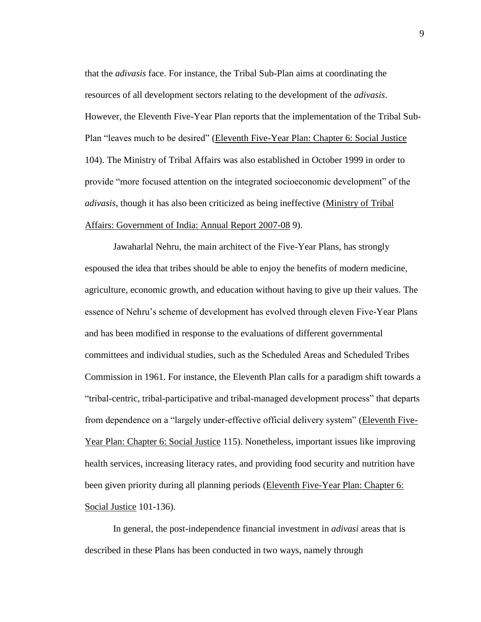that the *adivasis* face. For instance, the Tribal Sub-Plan aims at coordinating the resources of all development sectors relating to the development of the *adivasis*. However, the Eleventh Five-Year Plan reports that the implementation of the Tribal Sub-Plan "leaves much to be desired" (Eleventh Five-Year Plan: Chapter 6: Social Justice 104). The Ministry of Tribal Affairs was also established in October 1999 in order to provide "more focused attention on the integrated socioeconomic development" of the *adivasis*, though it has also been criticized as being ineffective (Ministry of Tribal Affairs: Government of India: Annual Report 2007-08 9).

Jawaharlal Nehru, the main architect of the Five-Year Plans, has strongly espoused the idea that tribes should be able to enjoy the benefits of modern medicine, agriculture, economic growth, and education without having to give up their values. The essence of Nehru"s scheme of development has evolved through eleven Five-Year Plans and has been modified in response to the evaluations of different governmental committees and individual studies, such as the Scheduled Areas and Scheduled Tribes Commission in 1961. For instance, the Eleventh Plan calls for a paradigm shift towards a "tribal-centric, tribal-participative and tribal-managed development process" that departs from dependence on a "largely under-effective official delivery system" (Eleventh Five-Year Plan: Chapter 6: Social Justice 115). Nonetheless, important issues like improving health services, increasing literacy rates, and providing food security and nutrition have been given priority during all planning periods (Eleventh Five-Year Plan: Chapter 6: Social Justice 101-136).

In general, the post-independence financial investment in *adivasi* areas that is described in these Plans has been conducted in two ways, namely through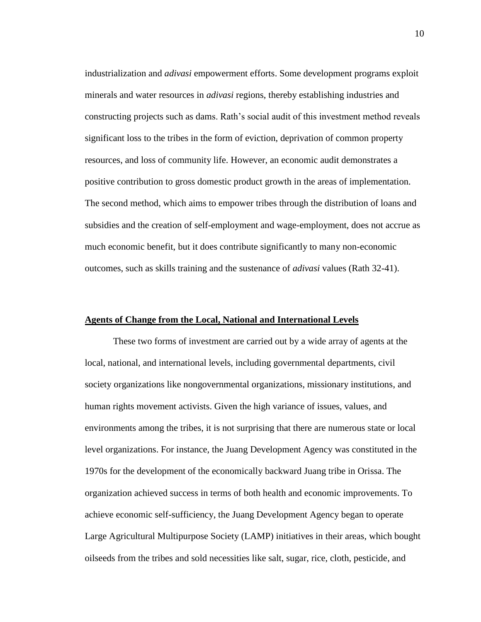industrialization and *adivasi* empowerment efforts. Some development programs exploit minerals and water resources in *adivasi* regions, thereby establishing industries and constructing projects such as dams. Rath"s social audit of this investment method reveals significant loss to the tribes in the form of eviction, deprivation of common property resources, and loss of community life. However, an economic audit demonstrates a positive contribution to gross domestic product growth in the areas of implementation. The second method, which aims to empower tribes through the distribution of loans and subsidies and the creation of self-employment and wage-employment, does not accrue as much economic benefit, but it does contribute significantly to many non-economic outcomes, such as skills training and the sustenance of *adivasi* values (Rath 32-41).

#### **Agents of Change from the Local, National and International Levels**

These two forms of investment are carried out by a wide array of agents at the local, national, and international levels, including governmental departments, civil society organizations like nongovernmental organizations, missionary institutions, and human rights movement activists. Given the high variance of issues, values, and environments among the tribes, it is not surprising that there are numerous state or local level organizations. For instance, the Juang Development Agency was constituted in the 1970s for the development of the economically backward Juang tribe in Orissa. The organization achieved success in terms of both health and economic improvements. To achieve economic self-sufficiency, the Juang Development Agency began to operate Large Agricultural Multipurpose Society (LAMP) initiatives in their areas, which bought oilseeds from the tribes and sold necessities like salt, sugar, rice, cloth, pesticide, and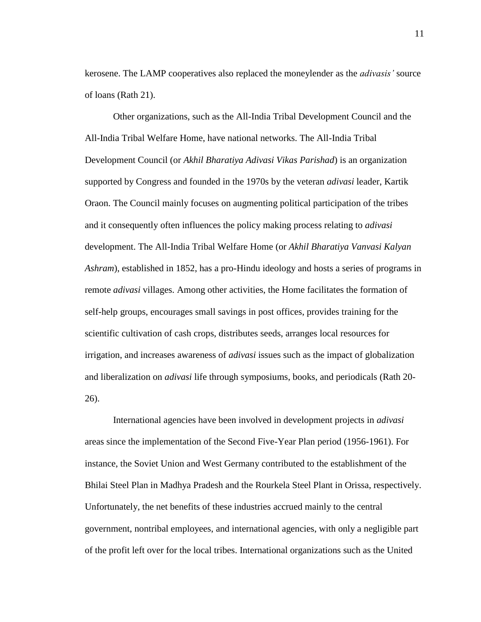kerosene. The LAMP cooperatives also replaced the moneylender as the *adivasis'* source of loans (Rath 21).

Other organizations, such as the All-India Tribal Development Council and the All-India Tribal Welfare Home, have national networks. The All-India Tribal Development Council (or *Akhil Bharatiya Adivasi Vikas Parishad*) is an organization supported by Congress and founded in the 1970s by the veteran *adivasi* leader, Kartik Oraon. The Council mainly focuses on augmenting political participation of the tribes and it consequently often influences the policy making process relating to *adivasi* development. The All-India Tribal Welfare Home (or *Akhil Bharatiya Vanvasi Kalyan Ashram*), established in 1852, has a pro-Hindu ideology and hosts a series of programs in remote *adivasi* villages. Among other activities, the Home facilitates the formation of self-help groups, encourages small savings in post offices, provides training for the scientific cultivation of cash crops, distributes seeds, arranges local resources for irrigation, and increases awareness of *adivasi* issues such as the impact of globalization and liberalization on *adivasi* life through symposiums, books, and periodicals (Rath 20- 26).

International agencies have been involved in development projects in *adivasi* areas since the implementation of the Second Five-Year Plan period (1956-1961). For instance, the Soviet Union and West Germany contributed to the establishment of the Bhilai Steel Plan in Madhya Pradesh and the Rourkela Steel Plant in Orissa, respectively. Unfortunately, the net benefits of these industries accrued mainly to the central government, nontribal employees, and international agencies, with only a negligible part of the profit left over for the local tribes. International organizations such as the United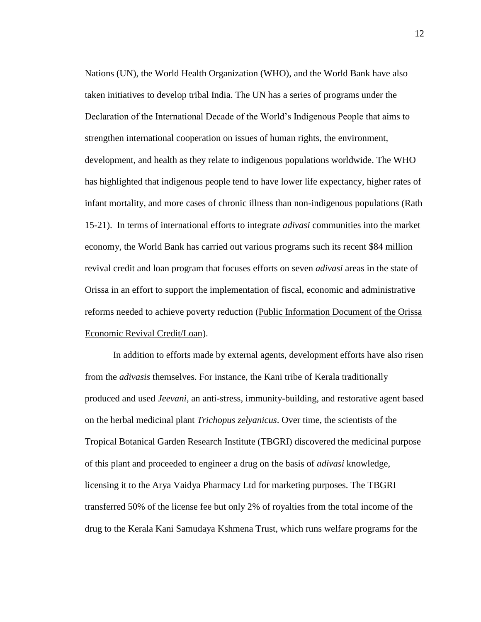Nations (UN), the World Health Organization (WHO), and the World Bank have also taken initiatives to develop tribal India. The UN has a series of programs under the Declaration of the International Decade of the World"s Indigenous People that aims to strengthen international cooperation on issues of human rights, the environment, development, and health as they relate to indigenous populations worldwide. The WHO has highlighted that indigenous people tend to have lower life expectancy, higher rates of infant mortality, and more cases of chronic illness than non-indigenous populations (Rath 15-21). In terms of international efforts to integrate *adivasi* communities into the market economy, the World Bank has carried out various programs such its recent \$84 million revival credit and loan program that focuses efforts on seven *adivasi* areas in the state of Orissa in an effort to support the implementation of fiscal, economic and administrative reforms needed to achieve poverty reduction (Public Information Document of the Orissa Economic Revival Credit/Loan).

In addition to efforts made by external agents, development efforts have also risen from the *adivasis* themselves. For instance, the Kani tribe of Kerala traditionally produced and used *Jeevani*, an anti-stress, immunity-building, and restorative agent based on the herbal medicinal plant *Trichopus zelyanicus*. Over time, the scientists of the Tropical Botanical Garden Research Institute (TBGRI) discovered the medicinal purpose of this plant and proceeded to engineer a drug on the basis of *adivasi* knowledge, licensing it to the Arya Vaidya Pharmacy Ltd for marketing purposes. The TBGRI transferred 50% of the license fee but only 2% of royalties from the total income of the drug to the Kerala Kani Samudaya Kshmena Trust, which runs welfare programs for the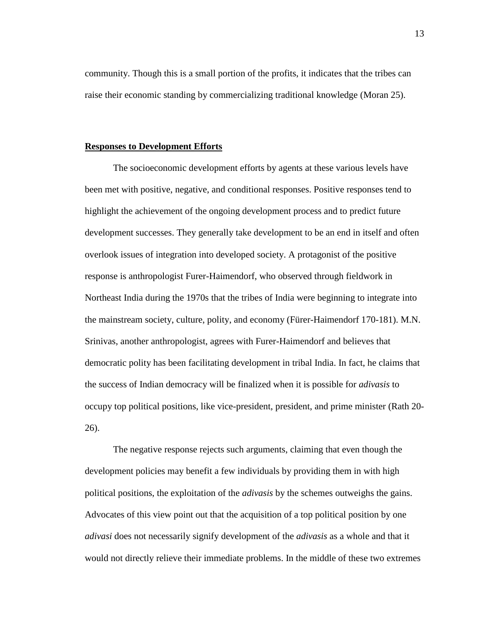community. Though this is a small portion of the profits, it indicates that the tribes can raise their economic standing by commercializing traditional knowledge (Moran 25).

#### **Responses to Development Efforts**

The socioeconomic development efforts by agents at these various levels have been met with positive, negative, and conditional responses. Positive responses tend to highlight the achievement of the ongoing development process and to predict future development successes. They generally take development to be an end in itself and often overlook issues of integration into developed society. A protagonist of the positive response is anthropologist Furer-Haimendorf, who observed through fieldwork in Northeast India during the 1970s that the tribes of India were beginning to integrate into the mainstream society, culture, polity, and economy (Fürer-Haimendorf 170-181). M.N. Srinivas, another anthropologist, agrees with Furer-Haimendorf and believes that democratic polity has been facilitating development in tribal India. In fact, he claims that the success of Indian democracy will be finalized when it is possible for *adivasis* to occupy top political positions, like vice-president, president, and prime minister (Rath 20- 26).

The negative response rejects such arguments, claiming that even though the development policies may benefit a few individuals by providing them in with high political positions, the exploitation of the *adivasis* by the schemes outweighs the gains. Advocates of this view point out that the acquisition of a top political position by one *adivasi* does not necessarily signify development of the *adivasis* as a whole and that it would not directly relieve their immediate problems. In the middle of these two extremes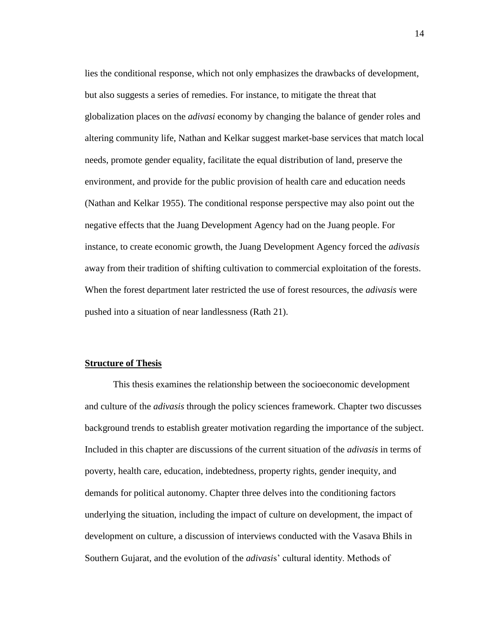lies the conditional response, which not only emphasizes the drawbacks of development, but also suggests a series of remedies. For instance, to mitigate the threat that globalization places on the *adivasi* economy by changing the balance of gender roles and altering community life, Nathan and Kelkar suggest market-base services that match local needs, promote gender equality, facilitate the equal distribution of land, preserve the environment, and provide for the public provision of health care and education needs (Nathan and Kelkar 1955). The conditional response perspective may also point out the negative effects that the Juang Development Agency had on the Juang people. For instance, to create economic growth, the Juang Development Agency forced the *adivasis* away from their tradition of shifting cultivation to commercial exploitation of the forests. When the forest department later restricted the use of forest resources, the *adivasis* were pushed into a situation of near landlessness (Rath 21).

#### **Structure of Thesis**

This thesis examines the relationship between the socioeconomic development and culture of the *adivasis* through the policy sciences framework. Chapter two discusses background trends to establish greater motivation regarding the importance of the subject. Included in this chapter are discussions of the current situation of the *adivasis* in terms of poverty, health care, education, indebtedness, property rights, gender inequity, and demands for political autonomy. Chapter three delves into the conditioning factors underlying the situation, including the impact of culture on development, the impact of development on culture, a discussion of interviews conducted with the Vasava Bhils in Southern Gujarat, and the evolution of the *adivasi*s" cultural identity. Methods of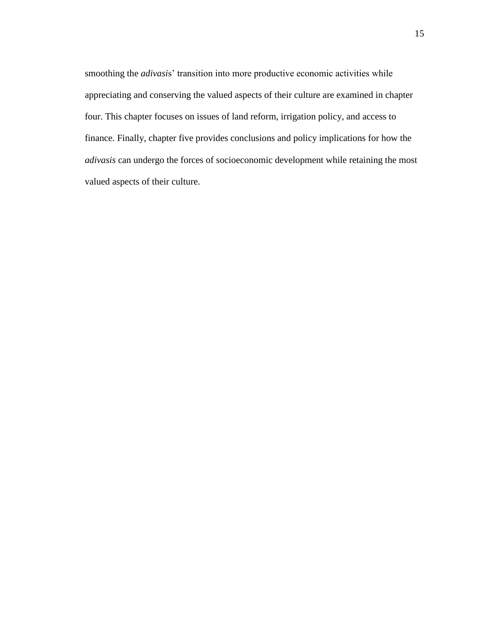smoothing the *adivasis*' transition into more productive economic activities while appreciating and conserving the valued aspects of their culture are examined in chapter four. This chapter focuses on issues of land reform, irrigation policy, and access to finance. Finally, chapter five provides conclusions and policy implications for how the *adivasis* can undergo the forces of socioeconomic development while retaining the most valued aspects of their culture.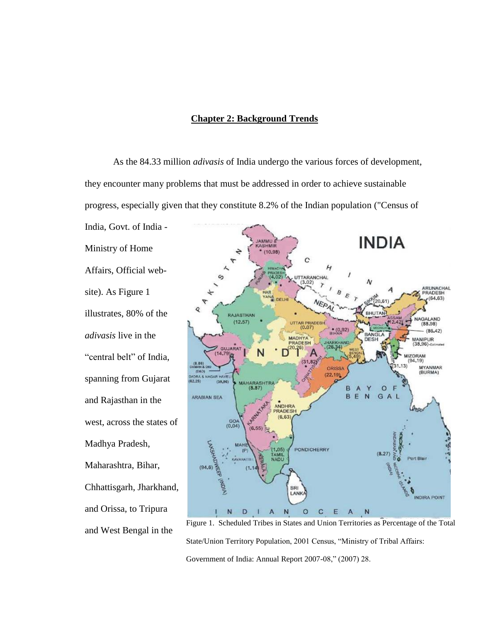#### **Chapter 2: Background Trends**

As the 84.33 million *adivasis* of India undergo the various forces of development, they encounter many problems that must be addressed in order to achieve sustainable progress, especially given that they constitute 8.2% of the Indian population ("Census of

Ministry of Home Affairs, Official website). As Figure 1 illustrates, 80% of the *adivasis* live in the "central belt" of India, spanning from Gujarat and Rajasthan in the west, across the states of Madhya Pradesh, Maharashtra, Bihar, Chhattisgarh, Jharkhand, and Orissa, to Tripura and West Bengal in the

India, Govt. of India -



Figure 1. Scheduled Tribes in States and Union Territories as Percentage of the Total State/Union Territory Population, 2001 Census, "Ministry of Tribal Affairs: Government of India: Annual Report 2007-08," (2007) 28.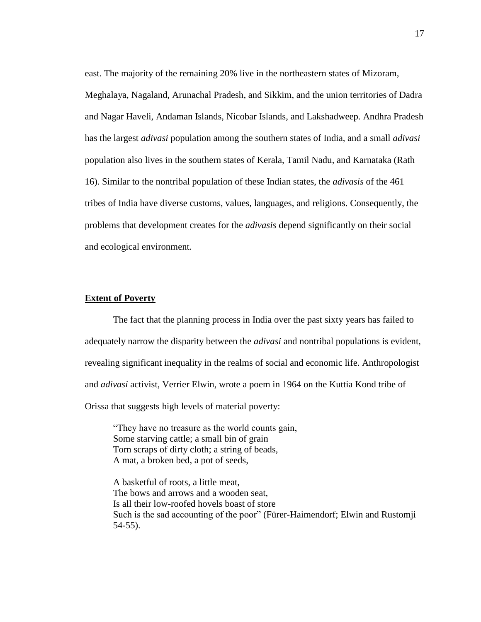east. The majority of the remaining 20% live in the northeastern states of Mizoram, Meghalaya, Nagaland, Arunachal Pradesh, and Sikkim, and the union territories of Dadra and Nagar Haveli, Andaman Islands, Nicobar Islands, and Lakshadweep. Andhra Pradesh has the largest *adivasi* population among the southern states of India, and a small *adivasi* population also lives in the southern states of Kerala, Tamil Nadu, and Karnataka (Rath 16). Similar to the nontribal population of these Indian states, the *adivasis* of the 461 tribes of India have diverse customs, values, languages, and religions. Consequently, the problems that development creates for the *adivasis* depend significantly on their social and ecological environment.

#### **Extent of Poverty**

The fact that the planning process in India over the past sixty years has failed to adequately narrow the disparity between the *adivasi* and nontribal populations is evident, revealing significant inequality in the realms of social and economic life. Anthropologist and *adivasi* activist, Verrier Elwin, wrote a poem in 1964 on the Kuttia Kond tribe of Orissa that suggests high levels of material poverty:

"They have no treasure as the world counts gain, Some starving cattle; a small bin of grain Torn scraps of dirty cloth; a string of beads, A mat, a broken bed, a pot of seeds,

A basketful of roots, a little meat, The bows and arrows and a wooden seat, Is all their low-roofed hovels boast of store Such is the sad accounting of the poor" (Fürer-Haimendorf; Elwin and Rustomji 54-55).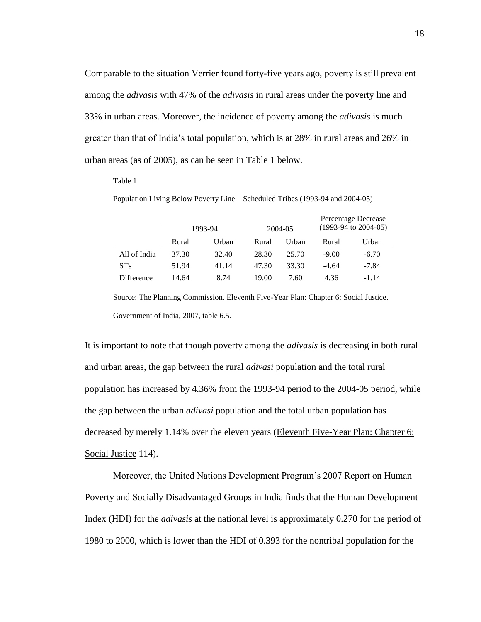Comparable to the situation Verrier found forty-five years ago, poverty is still prevalent among the *adivasis* with 47% of the *adivasis* in rural areas under the poverty line and 33% in urban areas. Moreover, the incidence of poverty among the *adivasis* is much greater than that of India"s total population, which is at 28% in rural areas and 26% in urban areas (as of 2005), as can be seen in Table 1 below.

#### Table 1

Population Living Below Poverty Line – Scheduled Tribes (1993-94 and 2004-05)

|              |       | 1993-94 |       | 2004-05 | Percentage Decrease<br>$(1993-94 \text{ to } 2004-05)$ |         |
|--------------|-------|---------|-------|---------|--------------------------------------------------------|---------|
|              | Rural | Urban   | Rural | Urban   | Rural                                                  | Urban   |
| All of India | 37.30 | 32.40   | 28.30 | 25.70   | $-9.00$                                                | $-6.70$ |
| <b>STs</b>   | 51.94 | 41.14   | 47.30 | 33.30   | $-4.64$                                                | $-7.84$ |
| Difference   | 14.64 | 8.74    | 19.00 | 7.60    | 4.36                                                   | $-1.14$ |

Source: The Planning Commission. Eleventh Five-Year Plan: Chapter 6: Social Justice. Government of India, 2007, table 6.5.

It is important to note that though poverty among the *adivasis* is decreasing in both rural and urban areas, the gap between the rural *adivasi* population and the total rural population has increased by 4.36% from the 1993-94 period to the 2004-05 period, while the gap between the urban *adivasi* population and the total urban population has decreased by merely 1.14% over the eleven years (Eleventh Five-Year Plan: Chapter 6: Social Justice 114).

Moreover, the United Nations Development Program"s 2007 Report on Human Poverty and Socially Disadvantaged Groups in India finds that the Human Development Index (HDI) for the *adivasis* at the national level is approximately 0.270 for the period of 1980 to 2000, which is lower than the HDI of 0.393 for the nontribal population for the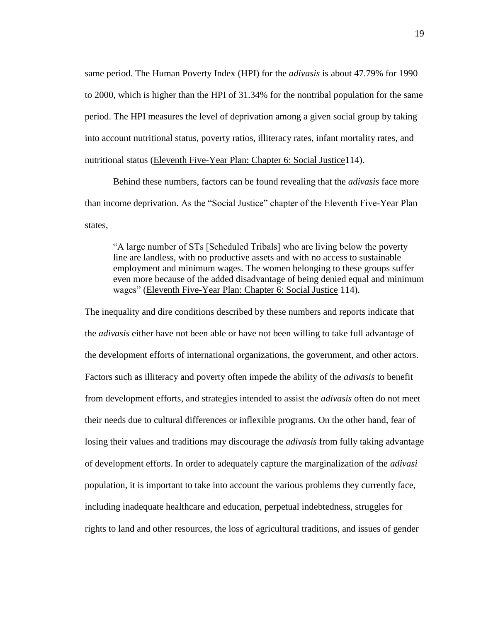same period. The Human Poverty Index (HPI) for the *adivasis* is about 47.79% for 1990 to 2000, which is higher than the HPI of 31.34% for the nontribal population for the same period. The HPI measures the level of deprivation among a given social group by taking into account nutritional status, poverty ratios, illiteracy rates, infant mortality rates, and nutritional status (Eleventh Five-Year Plan: Chapter 6: Social Justice114).

Behind these numbers, factors can be found revealing that the *adivasis* face more than income deprivation. As the "Social Justice" chapter of the Eleventh Five-Year Plan states,

"A large number of STs [Scheduled Tribals] who are living below the poverty line are landless, with no productive assets and with no access to sustainable employment and minimum wages. The women belonging to these groups suffer even more because of the added disadvantage of being denied equal and minimum wages" (Eleventh Five-Year Plan: Chapter 6: Social Justice 114).

The inequality and dire conditions described by these numbers and reports indicate that the *adivasis* either have not been able or have not been willing to take full advantage of the development efforts of international organizations, the government, and other actors. Factors such as illiteracy and poverty often impede the ability of the *adivasis* to benefit from development efforts, and strategies intended to assist the *adivasis* often do not meet their needs due to cultural differences or inflexible programs. On the other hand, fear of losing their values and traditions may discourage the *adivasis* from fully taking advantage of development efforts. In order to adequately capture the marginalization of the *adivasi* population, it is important to take into account the various problems they currently face, including inadequate healthcare and education, perpetual indebtedness, struggles for rights to land and other resources, the loss of agricultural traditions, and issues of gender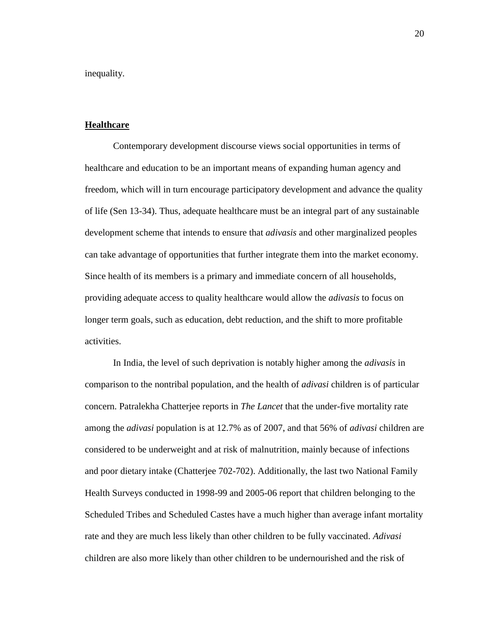inequality.

#### **Healthcare**

Contemporary development discourse views social opportunities in terms of healthcare and education to be an important means of expanding human agency and freedom, which will in turn encourage participatory development and advance the quality of life (Sen 13-34). Thus, adequate healthcare must be an integral part of any sustainable development scheme that intends to ensure that *adivasis* and other marginalized peoples can take advantage of opportunities that further integrate them into the market economy. Since health of its members is a primary and immediate concern of all households, providing adequate access to quality healthcare would allow the *adivasis* to focus on longer term goals, such as education, debt reduction, and the shift to more profitable activities.

In India, the level of such deprivation is notably higher among the *adivasis* in comparison to the nontribal population, and the health of *adivasi* children is of particular concern. Patralekha Chatterjee reports in *The Lancet* that the under-five mortality rate among the *adivasi* population is at 12.7% as of 2007, and that 56% of *adivasi* children are considered to be underweight and at risk of malnutrition, mainly because of infections and poor dietary intake (Chatterjee 702-702). Additionally, the last two National Family Health Surveys conducted in 1998-99 and 2005-06 report that children belonging to the Scheduled Tribes and Scheduled Castes have a much higher than average infant mortality rate and they are much less likely than other children to be fully vaccinated. *Adivasi* children are also more likely than other children to be undernourished and the risk of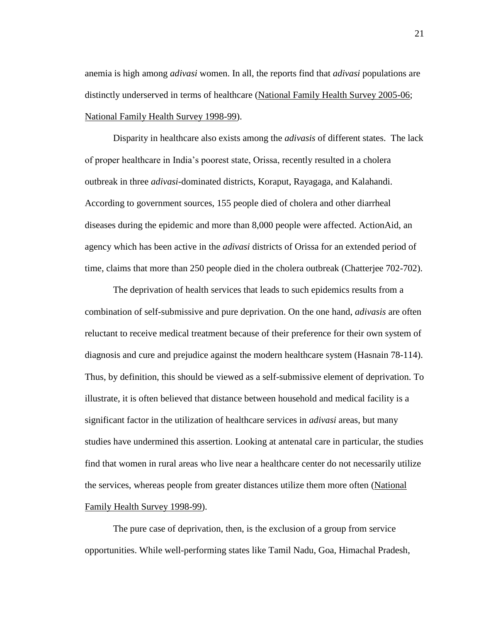anemia is high among *adivasi* women. In all, the reports find that *adivasi* populations are distinctly underserved in terms of healthcare (National Family Health Survey 2005-06; National Family Health Survey 1998-99).

Disparity in healthcare also exists among the *adivasis* of different states. The lack of proper healthcare in India"s poorest state, Orissa, recently resulted in a cholera outbreak in three *adivasi*-dominated districts, Koraput, Rayagaga, and Kalahandi. According to government sources, 155 people died of cholera and other diarrheal diseases during the epidemic and more than 8,000 people were affected. ActionAid, an agency which has been active in the *adivasi* districts of Orissa for an extended period of time, claims that more than 250 people died in the cholera outbreak (Chatterjee 702-702).

The deprivation of health services that leads to such epidemics results from a combination of self-submissive and pure deprivation. On the one hand, *adivasis* are often reluctant to receive medical treatment because of their preference for their own system of diagnosis and cure and prejudice against the modern healthcare system (Hasnain 78-114). Thus, by definition, this should be viewed as a self-submissive element of deprivation. To illustrate, it is often believed that distance between household and medical facility is a significant factor in the utilization of healthcare services in *adivasi* areas, but many studies have undermined this assertion. Looking at antenatal care in particular, the studies find that women in rural areas who live near a healthcare center do not necessarily utilize the services, whereas people from greater distances utilize them more often (National Family Health Survey 1998-99).

The pure case of deprivation, then, is the exclusion of a group from service opportunities. While well-performing states like Tamil Nadu, Goa, Himachal Pradesh,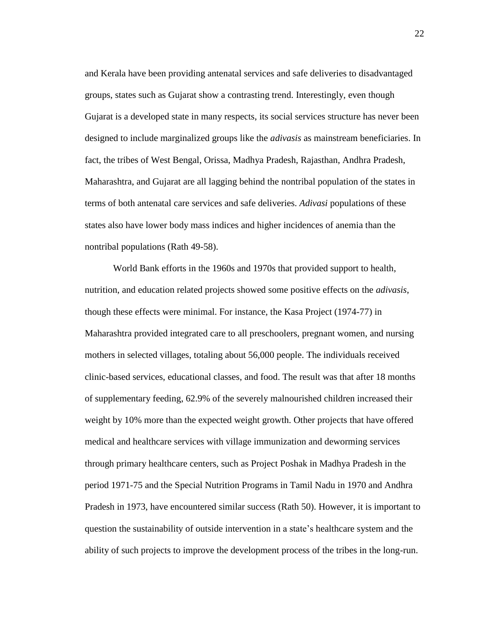and Kerala have been providing antenatal services and safe deliveries to disadvantaged groups, states such as Gujarat show a contrasting trend. Interestingly, even though Gujarat is a developed state in many respects, its social services structure has never been designed to include marginalized groups like the *adivasis* as mainstream beneficiaries. In fact, the tribes of West Bengal, Orissa, Madhya Pradesh, Rajasthan, Andhra Pradesh, Maharashtra, and Gujarat are all lagging behind the nontribal population of the states in terms of both antenatal care services and safe deliveries. *Adivasi* populations of these states also have lower body mass indices and higher incidences of anemia than the nontribal populations (Rath 49-58).

World Bank efforts in the 1960s and 1970s that provided support to health, nutrition, and education related projects showed some positive effects on the *adivasis*, though these effects were minimal. For instance, the Kasa Project (1974-77) in Maharashtra provided integrated care to all preschoolers, pregnant women, and nursing mothers in selected villages, totaling about 56,000 people. The individuals received clinic-based services, educational classes, and food. The result was that after 18 months of supplementary feeding, 62.9% of the severely malnourished children increased their weight by 10% more than the expected weight growth. Other projects that have offered medical and healthcare services with village immunization and deworming services through primary healthcare centers, such as Project Poshak in Madhya Pradesh in the period 1971-75 and the Special Nutrition Programs in Tamil Nadu in 1970 and Andhra Pradesh in 1973, have encountered similar success (Rath 50). However, it is important to question the sustainability of outside intervention in a state"s healthcare system and the ability of such projects to improve the development process of the tribes in the long-run.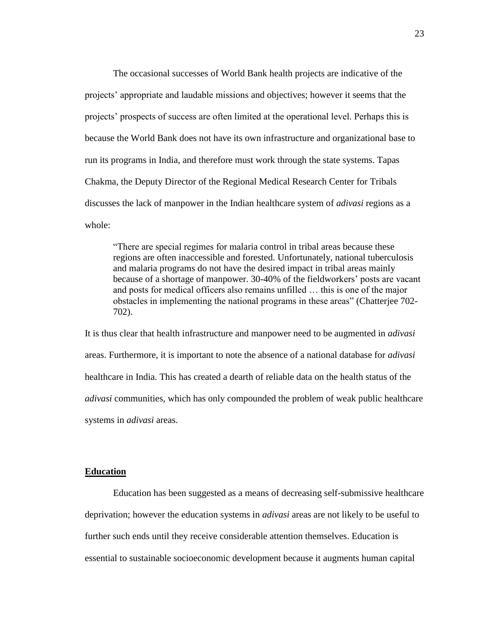The occasional successes of World Bank health projects are indicative of the projects" appropriate and laudable missions and objectives; however it seems that the projects' prospects of success are often limited at the operational level. Perhaps this is because the World Bank does not have its own infrastructure and organizational base to run its programs in India, and therefore must work through the state systems. Tapas Chakma, the Deputy Director of the Regional Medical Research Center for Tribals discusses the lack of manpower in the Indian healthcare system of *adivasi* regions as a whole:

"There are special regimes for malaria control in tribal areas because these regions are often inaccessible and forested. Unfortunately, national tuberculosis and malaria programs do not have the desired impact in tribal areas mainly because of a shortage of manpower. 30-40% of the fieldworkers" posts are vacant and posts for medical officers also remains unfilled … this is one of the major obstacles in implementing the national programs in these areas" (Chatterjee 702- 702).

It is thus clear that health infrastructure and manpower need to be augmented in *adivasi* areas. Furthermore, it is important to note the absence of a national database for *adivasi* healthcare in India. This has created a dearth of reliable data on the health status of the *adivasi* communities, which has only compounded the problem of weak public healthcare systems in *adivasi* areas.

#### **Education**

Education has been suggested as a means of decreasing self-submissive healthcare deprivation; however the education systems in *adivasi* areas are not likely to be useful to further such ends until they receive considerable attention themselves. Education is essential to sustainable socioeconomic development because it augments human capital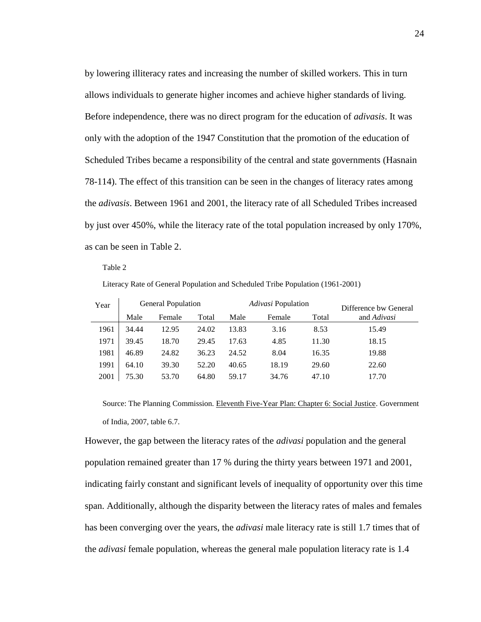by lowering illiteracy rates and increasing the number of skilled workers. This in turn allows individuals to generate higher incomes and achieve higher standards of living. Before independence, there was no direct program for the education of *adivasis*. It was only with the adoption of the 1947 Constitution that the promotion of the education of Scheduled Tribes became a responsibility of the central and state governments (Hasnain 78-114). The effect of this transition can be seen in the changes of literacy rates among the *adivasis*. Between 1961 and 2001, the literacy rate of all Scheduled Tribes increased by just over 450%, while the literacy rate of the total population increased by only 170%, as can be seen in Table 2.

Table 2

 $\bar{1}$ 

Literacy Rate of General Population and Scheduled Tribe Population (1961-2001)

| Year | <b>General Population</b> |        |       | Adivasi Population |        |       | Difference bw General |  |  |
|------|---------------------------|--------|-------|--------------------|--------|-------|-----------------------|--|--|
|      | Male                      | Female | Total | Male               | Female | Total | and Adivasi           |  |  |
| 1961 | 34.44                     | 12.95  | 24.02 | 13.83              | 3.16   | 8.53  | 15.49                 |  |  |
| 1971 | 39.45                     | 18.70  | 29.45 | 17.63              | 4.85   | 11.30 | 18.15                 |  |  |
| 1981 | 46.89                     | 24.82  | 36.23 | 24.52              | 8.04   | 16.35 | 19.88                 |  |  |
| 1991 | 64.10                     | 39.30  | 52.20 | 40.65              | 18.19  | 29.60 | 22.60                 |  |  |
| 2001 | 75.30                     | 53.70  | 64.80 | 59.17              | 34.76  | 47.10 | 17.70                 |  |  |

Source: The Planning Commission. Eleventh Five-Year Plan: Chapter 6: Social Justice. Government of India, 2007, table 6.7.

However, the gap between the literacy rates of the *adivasi* population and the general population remained greater than 17 % during the thirty years between 1971 and 2001, indicating fairly constant and significant levels of inequality of opportunity over this time span. Additionally, although the disparity between the literacy rates of males and females has been converging over the years, the *adivasi* male literacy rate is still 1.7 times that of the *adivasi* female population, whereas the general male population literacy rate is 1.4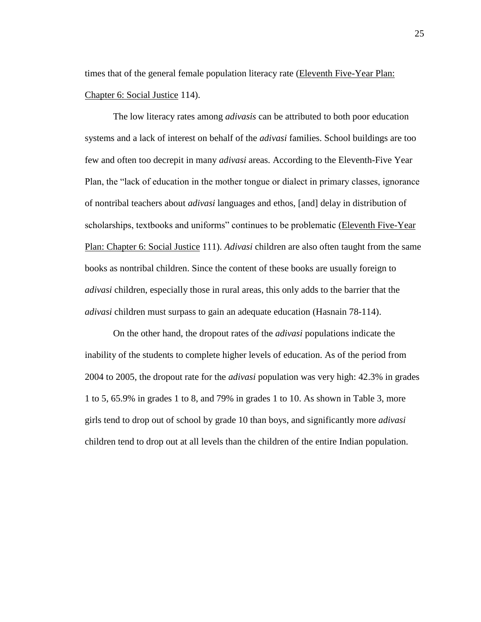times that of the general female population literacy rate (Eleventh Five-Year Plan: Chapter 6: Social Justice 114).

The low literacy rates among *adivasis* can be attributed to both poor education systems and a lack of interest on behalf of the *adivasi* families. School buildings are too few and often too decrepit in many *adivasi* areas. According to the Eleventh-Five Year Plan, the "lack of education in the mother tongue or dialect in primary classes, ignorance of nontribal teachers about *adivasi* languages and ethos, [and] delay in distribution of scholarships, textbooks and uniforms" continues to be problematic (Eleventh Five-Year Plan: Chapter 6: Social Justice 111). *Adivasi* children are also often taught from the same books as nontribal children. Since the content of these books are usually foreign to *adivasi* children, especially those in rural areas, this only adds to the barrier that the *adivasi* children must surpass to gain an adequate education (Hasnain 78-114).

On the other hand, the dropout rates of the *adivasi* populations indicate the inability of the students to complete higher levels of education. As of the period from 2004 to 2005, the dropout rate for the *adivasi* population was very high: 42.3% in grades 1 to 5, 65.9% in grades 1 to 8, and 79% in grades 1 to 10. As shown in Table 3, more girls tend to drop out of school by grade 10 than boys, and significantly more *adivasi* children tend to drop out at all levels than the children of the entire Indian population.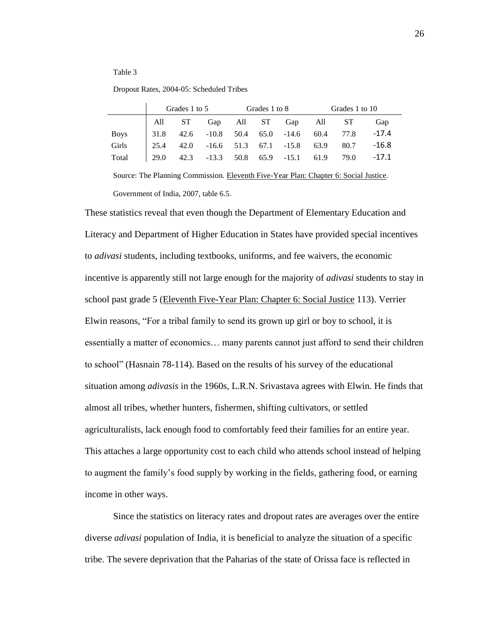#### Table 3

#### Dropout Rates, 2004-05: Scheduled Tribes

|             | Grades 1 to 5 |  | Grades 1 to 8                             |  |  | Grades 1 to 10 |  |                                                                                                 |                                                 |
|-------------|---------------|--|-------------------------------------------|--|--|----------------|--|-------------------------------------------------------------------------------------------------|-------------------------------------------------|
|             |               |  |                                           |  |  |                |  | All ST Gap All ST Gap All ST                                                                    | Gap                                             |
| <b>Boys</b> |               |  |                                           |  |  |                |  | $\begin{vmatrix} 31.8 & 42.6 & -10.8 & 50.4 & 65.0 & -14.6 & 60.4 & 77.8 & -17.4 \end{vmatrix}$ |                                                 |
| Girls       |               |  | 25.4 42.0 -16.6 51.3 67.1 -15.8 63.9 80.7 |  |  |                |  |                                                                                                 | $-16.8$                                         |
| Total       |               |  |                                           |  |  |                |  |                                                                                                 | 29.0 42.3 -13.3 50.8 65.9 -15.1 61.9 79.0 -17.1 |

Source: The Planning Commission. Eleventh Five-Year Plan: Chapter 6: Social Justice. Government of India, 2007, table 6.5.

These statistics reveal that even though the Department of Elementary Education and Literacy and Department of Higher Education in States have provided special incentives to *adivasi* students, including textbooks, uniforms, and fee waivers, the economic incentive is apparently still not large enough for the majority of *adivasi* students to stay in school past grade 5 (Eleventh Five-Year Plan: Chapter 6: Social Justice 113). Verrier Elwin reasons, "For a tribal family to send its grown up girl or boy to school, it is essentially a matter of economics… many parents cannot just afford to send their children to school" (Hasnain 78-114). Based on the results of his survey of the educational situation among *adivasis* in the 1960s, L.R.N. Srivastava agrees with Elwin. He finds that almost all tribes, whether hunters, fishermen, shifting cultivators, or settled agriculturalists, lack enough food to comfortably feed their families for an entire year. This attaches a large opportunity cost to each child who attends school instead of helping to augment the family"s food supply by working in the fields, gathering food, or earning income in other ways.

Since the statistics on literacy rates and dropout rates are averages over the entire diverse *adivasi* population of India, it is beneficial to analyze the situation of a specific tribe. The severe deprivation that the Paharias of the state of Orissa face is reflected in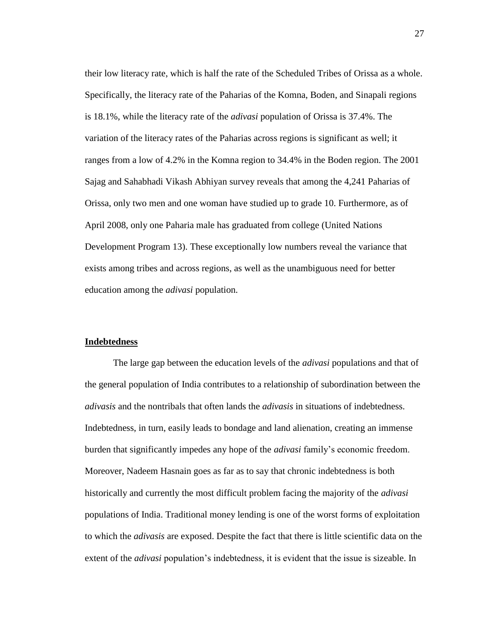their low literacy rate, which is half the rate of the Scheduled Tribes of Orissa as a whole. Specifically, the literacy rate of the Paharias of the Komna, Boden, and Sinapali regions is 18.1%, while the literacy rate of the *adivasi* population of Orissa is 37.4%. The variation of the literacy rates of the Paharias across regions is significant as well; it ranges from a low of 4.2% in the Komna region to 34.4% in the Boden region. The 2001 Sajag and Sahabhadi Vikash Abhiyan survey reveals that among the 4,241 Paharias of Orissa, only two men and one woman have studied up to grade 10. Furthermore, as of April 2008, only one Paharia male has graduated from college (United Nations Development Program 13). These exceptionally low numbers reveal the variance that exists among tribes and across regions, as well as the unambiguous need for better education among the *adivasi* population.

#### **Indebtedness**

The large gap between the education levels of the *adivasi* populations and that of the general population of India contributes to a relationship of subordination between the *adivasis* and the nontribals that often lands the *adivasis* in situations of indebtedness. Indebtedness, in turn, easily leads to bondage and land alienation, creating an immense burden that significantly impedes any hope of the *adivasi* family"s economic freedom. Moreover, Nadeem Hasnain goes as far as to say that chronic indebtedness is both historically and currently the most difficult problem facing the majority of the *adivasi* populations of India. Traditional money lending is one of the worst forms of exploitation to which the *adivasis* are exposed. Despite the fact that there is little scientific data on the extent of the *adivasi* population's indebtedness, it is evident that the issue is sizeable. In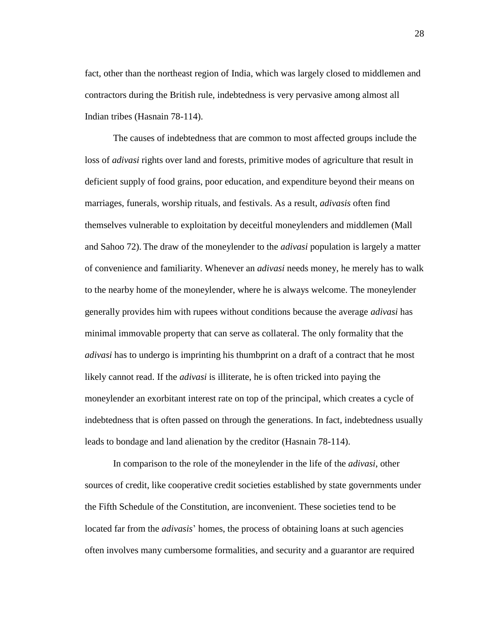fact, other than the northeast region of India, which was largely closed to middlemen and contractors during the British rule, indebtedness is very pervasive among almost all Indian tribes (Hasnain 78-114).

The causes of indebtedness that are common to most affected groups include the loss of *adivasi* rights over land and forests, primitive modes of agriculture that result in deficient supply of food grains, poor education, and expenditure beyond their means on marriages, funerals, worship rituals, and festivals. As a result, *adivasis* often find themselves vulnerable to exploitation by deceitful moneylenders and middlemen (Mall and Sahoo 72). The draw of the moneylender to the *adivasi* population is largely a matter of convenience and familiarity. Whenever an *adivasi* needs money, he merely has to walk to the nearby home of the moneylender, where he is always welcome. The moneylender generally provides him with rupees without conditions because the average *adivasi* has minimal immovable property that can serve as collateral. The only formality that the *adivasi* has to undergo is imprinting his thumbprint on a draft of a contract that he most likely cannot read. If the *adivasi* is illiterate, he is often tricked into paying the moneylender an exorbitant interest rate on top of the principal, which creates a cycle of indebtedness that is often passed on through the generations. In fact, indebtedness usually leads to bondage and land alienation by the creditor (Hasnain 78-114).

In comparison to the role of the moneylender in the life of the *adivasi*, other sources of credit, like cooperative credit societies established by state governments under the Fifth Schedule of the Constitution, are inconvenient. These societies tend to be located far from the *adivasis*" homes, the process of obtaining loans at such agencies often involves many cumbersome formalities, and security and a guarantor are required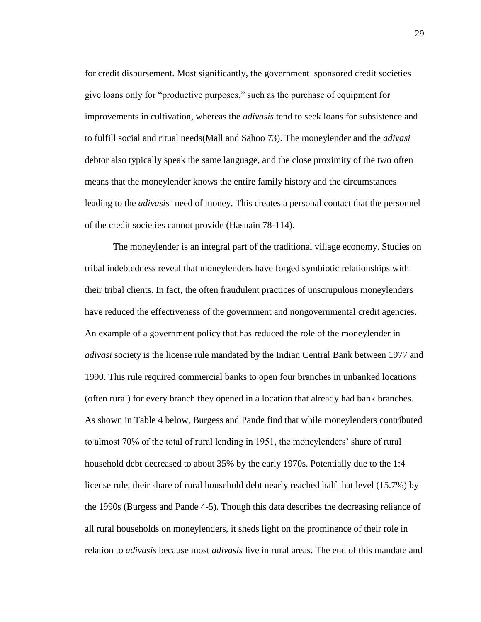for credit disbursement. Most significantly, the government sponsored credit societies give loans only for "productive purposes," such as the purchase of equipment for improvements in cultivation, whereas the *adivasis* tend to seek loans for subsistence and to fulfill social and ritual needs(Mall and Sahoo 73). The moneylender and the *adivasi* debtor also typically speak the same language, and the close proximity of the two often means that the moneylender knows the entire family history and the circumstances leading to the *adivasis'* need of money. This creates a personal contact that the personnel of the credit societies cannot provide (Hasnain 78-114).

The moneylender is an integral part of the traditional village economy. Studies on tribal indebtedness reveal that moneylenders have forged symbiotic relationships with their tribal clients. In fact, the often fraudulent practices of unscrupulous moneylenders have reduced the effectiveness of the government and nongovernmental credit agencies. An example of a government policy that has reduced the role of the moneylender in *adivasi* society is the license rule mandated by the Indian Central Bank between 1977 and 1990. This rule required commercial banks to open four branches in unbanked locations (often rural) for every branch they opened in a location that already had bank branches. As shown in Table 4 below, Burgess and Pande find that while moneylenders contributed to almost 70% of the total of rural lending in 1951, the moneylenders" share of rural household debt decreased to about 35% by the early 1970s. Potentially due to the 1:4 license rule, their share of rural household debt nearly reached half that level (15.7%) by the 1990s (Burgess and Pande 4-5). Though this data describes the decreasing reliance of all rural households on moneylenders, it sheds light on the prominence of their role in relation to *adivasis* because most *adivasis* live in rural areas. The end of this mandate and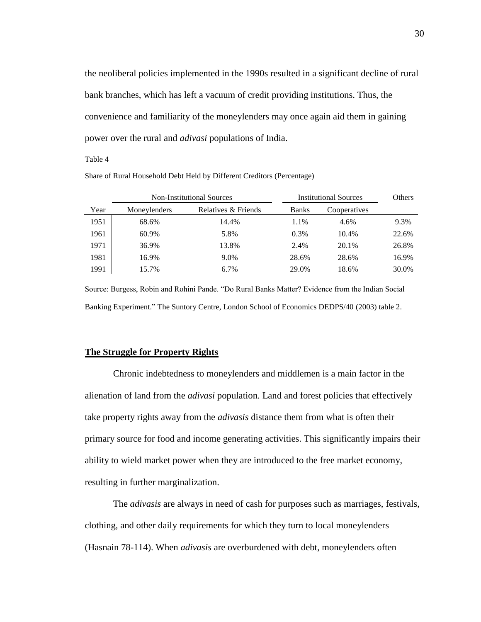the neoliberal policies implemented in the 1990s resulted in a significant decline of rural bank branches, which has left a vacuum of credit providing institutions. Thus, the convenience and familiarity of the moneylenders may once again aid them in gaining power over the rural and *adivasi* populations of India.

Table 4

| Share of Rural Household Debt Held by Different Creditors (Percentage) |  |  |  |
|------------------------------------------------------------------------|--|--|--|
|                                                                        |  |  |  |

| <b>Non-Institutional Sources</b> |              |                     |              | <b>Institutional Sources</b> | <b>Others</b> |
|----------------------------------|--------------|---------------------|--------------|------------------------------|---------------|
| Year                             | Moneylenders | Relatives & Friends | <b>Banks</b> | Cooperatives                 |               |
| 1951                             | 68.6%        | 14.4%               | 1.1%         | 4.6%                         | 9.3%          |
| 1961                             | 60.9%        | 5.8%                | 0.3%         | 10.4%                        | 22.6%         |
| 1971                             | 36.9%        | 13.8%               | 2.4%         | 20.1%                        | 26.8%         |
| 1981                             | 16.9%        | 9.0%                | 28.6%        | 28.6%                        | 16.9%         |
| 1991                             | 15.7%        | 6.7%                | 29.0%        | 18.6%                        | 30.0%         |

Source: Burgess, Robin and Rohini Pande. "Do Rural Banks Matter? Evidence from the Indian Social Banking Experiment." The Suntory Centre, London School of Economics DEDPS/40 (2003) table 2.

#### **The Struggle for Property Rights**

Chronic indebtedness to moneylenders and middlemen is a main factor in the alienation of land from the *adivasi* population. Land and forest policies that effectively take property rights away from the *adivasis* distance them from what is often their primary source for food and income generating activities. This significantly impairs their ability to wield market power when they are introduced to the free market economy, resulting in further marginalization.

The *adivasis* are always in need of cash for purposes such as marriages, festivals, clothing, and other daily requirements for which they turn to local moneylenders (Hasnain 78-114). When *adivasis* are overburdened with debt, moneylenders often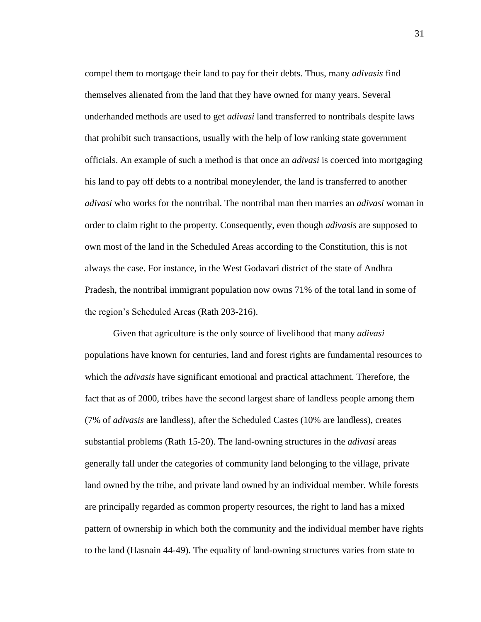compel them to mortgage their land to pay for their debts. Thus, many *adivasis* find themselves alienated from the land that they have owned for many years. Several underhanded methods are used to get *adivasi* land transferred to nontribals despite laws that prohibit such transactions, usually with the help of low ranking state government officials. An example of such a method is that once an *adivasi* is coerced into mortgaging his land to pay off debts to a nontribal moneylender, the land is transferred to another *adivasi* who works for the nontribal. The nontribal man then marries an *adivasi* woman in order to claim right to the property. Consequently, even though *adivasis* are supposed to own most of the land in the Scheduled Areas according to the Constitution, this is not always the case. For instance, in the West Godavari district of the state of Andhra Pradesh, the nontribal immigrant population now owns 71% of the total land in some of the region"s Scheduled Areas (Rath 203-216).

Given that agriculture is the only source of livelihood that many *adivasi* populations have known for centuries, land and forest rights are fundamental resources to which the *adivasis* have significant emotional and practical attachment. Therefore, the fact that as of 2000, tribes have the second largest share of landless people among them (7% of *adivasis* are landless), after the Scheduled Castes (10% are landless), creates substantial problems (Rath 15-20). The land-owning structures in the *adivasi* areas generally fall under the categories of community land belonging to the village, private land owned by the tribe, and private land owned by an individual member. While forests are principally regarded as common property resources, the right to land has a mixed pattern of ownership in which both the community and the individual member have rights to the land (Hasnain 44-49). The equality of land-owning structures varies from state to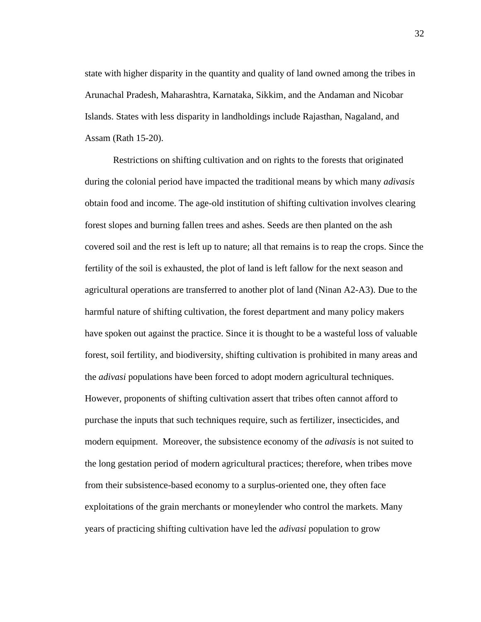state with higher disparity in the quantity and quality of land owned among the tribes in Arunachal Pradesh, Maharashtra, Karnataka, Sikkim, and the Andaman and Nicobar Islands. States with less disparity in landholdings include Rajasthan, Nagaland, and Assam (Rath 15-20).

Restrictions on shifting cultivation and on rights to the forests that originated during the colonial period have impacted the traditional means by which many *adivasis* obtain food and income. The age-old institution of shifting cultivation involves clearing forest slopes and burning fallen trees and ashes. Seeds are then planted on the ash covered soil and the rest is left up to nature; all that remains is to reap the crops. Since the fertility of the soil is exhausted, the plot of land is left fallow for the next season and agricultural operations are transferred to another plot of land (Ninan A2-A3). Due to the harmful nature of shifting cultivation, the forest department and many policy makers have spoken out against the practice. Since it is thought to be a wasteful loss of valuable forest, soil fertility, and biodiversity, shifting cultivation is prohibited in many areas and the *adivasi* populations have been forced to adopt modern agricultural techniques. However, proponents of shifting cultivation assert that tribes often cannot afford to purchase the inputs that such techniques require, such as fertilizer, insecticides, and modern equipment. Moreover, the subsistence economy of the *adivasis* is not suited to the long gestation period of modern agricultural practices; therefore, when tribes move from their subsistence-based economy to a surplus-oriented one, they often face exploitations of the grain merchants or moneylender who control the markets. Many years of practicing shifting cultivation have led the *adivasi* population to grow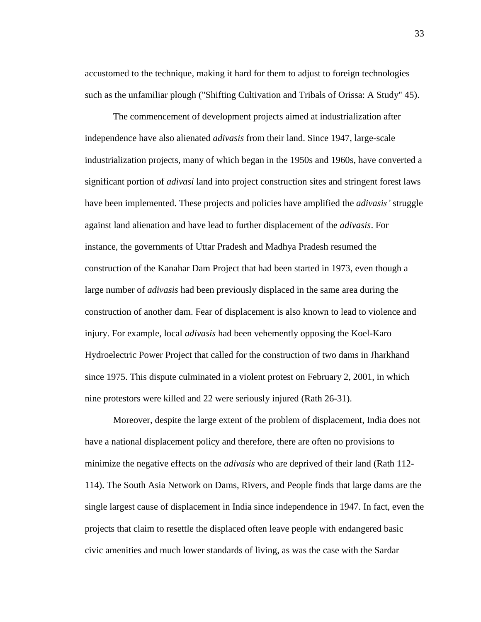accustomed to the technique, making it hard for them to adjust to foreign technologies such as the unfamiliar plough ("Shifting Cultivation and Tribals of Orissa: A Study" 45).

The commencement of development projects aimed at industrialization after independence have also alienated *adivasis* from their land. Since 1947, large-scale industrialization projects, many of which began in the 1950s and 1960s, have converted a significant portion of *adivasi* land into project construction sites and stringent forest laws have been implemented. These projects and policies have amplified the *adivasis'* struggle against land alienation and have lead to further displacement of the *adivasis*. For instance, the governments of Uttar Pradesh and Madhya Pradesh resumed the construction of the Kanahar Dam Project that had been started in 1973, even though a large number of *adivasis* had been previously displaced in the same area during the construction of another dam. Fear of displacement is also known to lead to violence and injury. For example, local *adivasis* had been vehemently opposing the Koel-Karo Hydroelectric Power Project that called for the construction of two dams in Jharkhand since 1975. This dispute culminated in a violent protest on February 2, 2001, in which nine protestors were killed and 22 were seriously injured (Rath 26-31).

Moreover, despite the large extent of the problem of displacement, India does not have a national displacement policy and therefore, there are often no provisions to minimize the negative effects on the *adivasis* who are deprived of their land (Rath 112- 114). The South Asia Network on Dams, Rivers, and People finds that large dams are the single largest cause of displacement in India since independence in 1947. In fact, even the projects that claim to resettle the displaced often leave people with endangered basic civic amenities and much lower standards of living, as was the case with the Sardar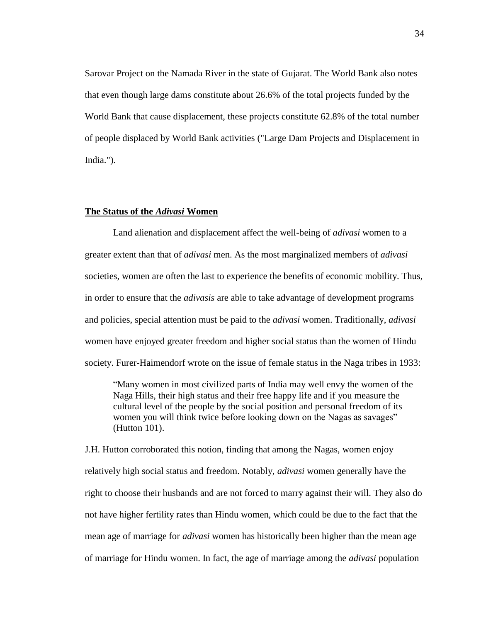Sarovar Project on the Namada River in the state of Gujarat. The World Bank also notes that even though large dams constitute about 26.6% of the total projects funded by the World Bank that cause displacement, these projects constitute 62.8% of the total number of people displaced by World Bank activities ("Large Dam Projects and Displacement in India.").

#### **The Status of the** *Adivasi* **Women**

Land alienation and displacement affect the well-being of *adivasi* women to a greater extent than that of *adivasi* men. As the most marginalized members of *adivasi* societies, women are often the last to experience the benefits of economic mobility. Thus, in order to ensure that the *adivasis* are able to take advantage of development programs and policies, special attention must be paid to the *adivasi* women. Traditionally, *adivasi*  women have enjoyed greater freedom and higher social status than the women of Hindu society. Furer-Haimendorf wrote on the issue of female status in the Naga tribes in 1933:

"Many women in most civilized parts of India may well envy the women of the Naga Hills, their high status and their free happy life and if you measure the cultural level of the people by the social position and personal freedom of its women you will think twice before looking down on the Nagas as savages" (Hutton 101).

J.H. Hutton corroborated this notion, finding that among the Nagas, women enjoy relatively high social status and freedom. Notably, *adivasi* women generally have the right to choose their husbands and are not forced to marry against their will. They also do not have higher fertility rates than Hindu women, which could be due to the fact that the mean age of marriage for *adivasi* women has historically been higher than the mean age of marriage for Hindu women. In fact, the age of marriage among the *adivasi* population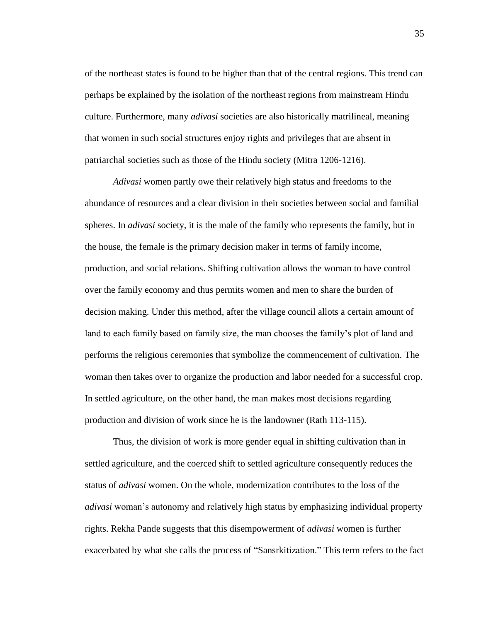of the northeast states is found to be higher than that of the central regions. This trend can perhaps be explained by the isolation of the northeast regions from mainstream Hindu culture. Furthermore, many *adivasi* societies are also historically matrilineal, meaning that women in such social structures enjoy rights and privileges that are absent in patriarchal societies such as those of the Hindu society (Mitra 1206-1216).

*Adivasi* women partly owe their relatively high status and freedoms to the abundance of resources and a clear division in their societies between social and familial spheres. In *adivasi* society, it is the male of the family who represents the family, but in the house, the female is the primary decision maker in terms of family income, production, and social relations. Shifting cultivation allows the woman to have control over the family economy and thus permits women and men to share the burden of decision making. Under this method, after the village council allots a certain amount of land to each family based on family size, the man chooses the family"s plot of land and performs the religious ceremonies that symbolize the commencement of cultivation. The woman then takes over to organize the production and labor needed for a successful crop. In settled agriculture, on the other hand, the man makes most decisions regarding production and division of work since he is the landowner (Rath 113-115).

Thus, the division of work is more gender equal in shifting cultivation than in settled agriculture, and the coerced shift to settled agriculture consequently reduces the status of *adivasi* women. On the whole, modernization contributes to the loss of the *adivasi* woman"s autonomy and relatively high status by emphasizing individual property rights. Rekha Pande suggests that this disempowerment of *adivasi* women is further exacerbated by what she calls the process of "Sansrkitization." This term refers to the fact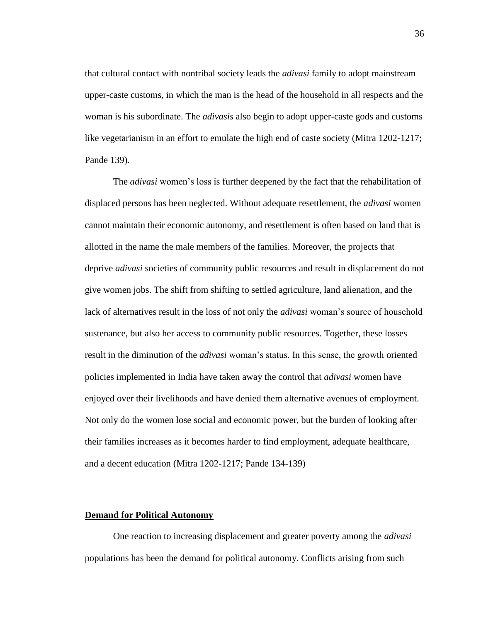that cultural contact with nontribal society leads the *adivasi* family to adopt mainstream upper-caste customs, in which the man is the head of the household in all respects and the woman is his subordinate. The *adivasis* also begin to adopt upper-caste gods and customs like vegetarianism in an effort to emulate the high end of caste society (Mitra 1202-1217; Pande 139).

The *adivasi* women"s loss is further deepened by the fact that the rehabilitation of displaced persons has been neglected. Without adequate resettlement, the *adivasi* women cannot maintain their economic autonomy, and resettlement is often based on land that is allotted in the name the male members of the families. Moreover, the projects that deprive *adivasi* societies of community public resources and result in displacement do not give women jobs. The shift from shifting to settled agriculture, land alienation, and the lack of alternatives result in the loss of not only the *adivasi* woman's source of household sustenance, but also her access to community public resources. Together, these losses result in the diminution of the *adivasi* woman"s status. In this sense, the growth oriented policies implemented in India have taken away the control that *adivasi* women have enjoyed over their livelihoods and have denied them alternative avenues of employment. Not only do the women lose social and economic power, but the burden of looking after their families increases as it becomes harder to find employment, adequate healthcare, and a decent education (Mitra 1202-1217; Pande 134-139)

## **Demand for Political Autonomy**

One reaction to increasing displacement and greater poverty among the *adivasi* populations has been the demand for political autonomy. Conflicts arising from such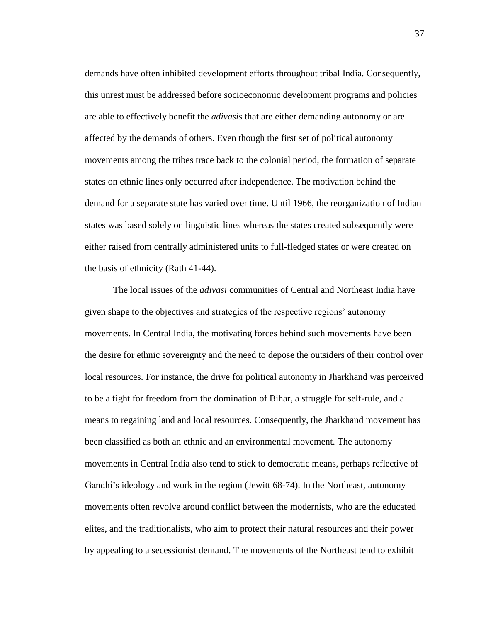demands have often inhibited development efforts throughout tribal India. Consequently, this unrest must be addressed before socioeconomic development programs and policies are able to effectively benefit the *adivasis* that are either demanding autonomy or are affected by the demands of others. Even though the first set of political autonomy movements among the tribes trace back to the colonial period, the formation of separate states on ethnic lines only occurred after independence. The motivation behind the demand for a separate state has varied over time. Until 1966, the reorganization of Indian states was based solely on linguistic lines whereas the states created subsequently were either raised from centrally administered units to full-fledged states or were created on the basis of ethnicity (Rath 41-44).

The local issues of the *adivasi* communities of Central and Northeast India have given shape to the objectives and strategies of the respective regions" autonomy movements. In Central India, the motivating forces behind such movements have been the desire for ethnic sovereignty and the need to depose the outsiders of their control over local resources. For instance, the drive for political autonomy in Jharkhand was perceived to be a fight for freedom from the domination of Bihar, a struggle for self-rule, and a means to regaining land and local resources. Consequently, the Jharkhand movement has been classified as both an ethnic and an environmental movement. The autonomy movements in Central India also tend to stick to democratic means, perhaps reflective of Gandhi's ideology and work in the region (Jewitt 68-74). In the Northeast, autonomy movements often revolve around conflict between the modernists, who are the educated elites, and the traditionalists, who aim to protect their natural resources and their power by appealing to a secessionist demand. The movements of the Northeast tend to exhibit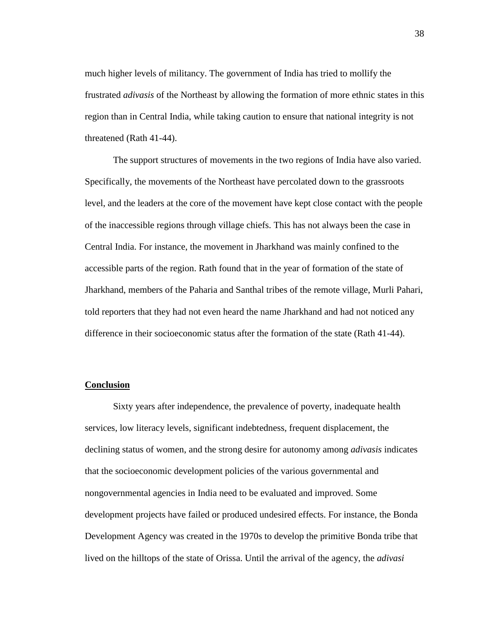much higher levels of militancy. The government of India has tried to mollify the frustrated *adivasis* of the Northeast by allowing the formation of more ethnic states in this region than in Central India, while taking caution to ensure that national integrity is not threatened (Rath 41-44).

The support structures of movements in the two regions of India have also varied. Specifically, the movements of the Northeast have percolated down to the grassroots level, and the leaders at the core of the movement have kept close contact with the people of the inaccessible regions through village chiefs. This has not always been the case in Central India. For instance, the movement in Jharkhand was mainly confined to the accessible parts of the region. Rath found that in the year of formation of the state of Jharkhand, members of the Paharia and Santhal tribes of the remote village, Murli Pahari, told reporters that they had not even heard the name Jharkhand and had not noticed any difference in their socioeconomic status after the formation of the state (Rath 41-44).

## **Conclusion**

Sixty years after independence, the prevalence of poverty, inadequate health services, low literacy levels, significant indebtedness, frequent displacement, the declining status of women, and the strong desire for autonomy among *adivasis* indicates that the socioeconomic development policies of the various governmental and nongovernmental agencies in India need to be evaluated and improved. Some development projects have failed or produced undesired effects. For instance, the Bonda Development Agency was created in the 1970s to develop the primitive Bonda tribe that lived on the hilltops of the state of Orissa. Until the arrival of the agency, the *adivasi*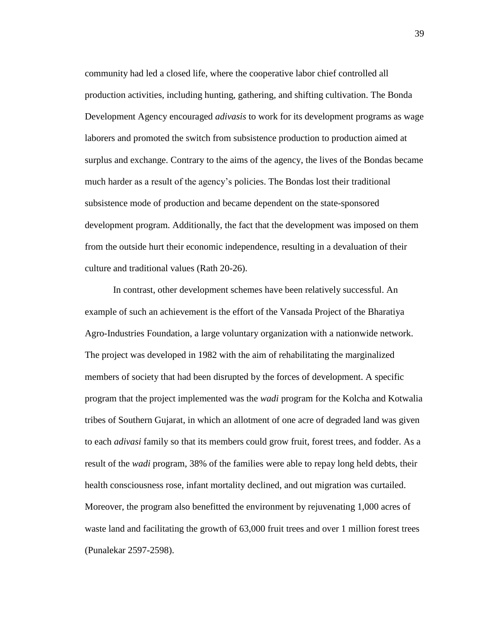community had led a closed life, where the cooperative labor chief controlled all production activities, including hunting, gathering, and shifting cultivation. The Bonda Development Agency encouraged *adivasis* to work for its development programs as wage laborers and promoted the switch from subsistence production to production aimed at surplus and exchange. Contrary to the aims of the agency, the lives of the Bondas became much harder as a result of the agency"s policies. The Bondas lost their traditional subsistence mode of production and became dependent on the state-sponsored development program. Additionally, the fact that the development was imposed on them from the outside hurt their economic independence, resulting in a devaluation of their culture and traditional values (Rath 20-26).

In contrast, other development schemes have been relatively successful. An example of such an achievement is the effort of the Vansada Project of the Bharatiya Agro-Industries Foundation, a large voluntary organization with a nationwide network. The project was developed in 1982 with the aim of rehabilitating the marginalized members of society that had been disrupted by the forces of development. A specific program that the project implemented was the *wadi* program for the Kolcha and Kotwalia tribes of Southern Gujarat, in which an allotment of one acre of degraded land was given to each *adivasi* family so that its members could grow fruit, forest trees, and fodder. As a result of the *wadi* program, 38% of the families were able to repay long held debts, their health consciousness rose, infant mortality declined, and out migration was curtailed. Moreover, the program also benefitted the environment by rejuvenating 1,000 acres of waste land and facilitating the growth of 63,000 fruit trees and over 1 million forest trees (Punalekar 2597-2598).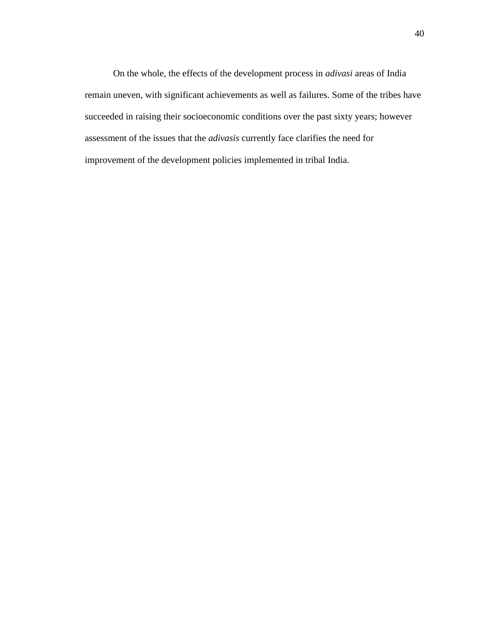On the whole, the effects of the development process in *adivasi* areas of India remain uneven, with significant achievements as well as failures. Some of the tribes have succeeded in raising their socioeconomic conditions over the past sixty years; however assessment of the issues that the *adivasis* currently face clarifies the need for improvement of the development policies implemented in tribal India.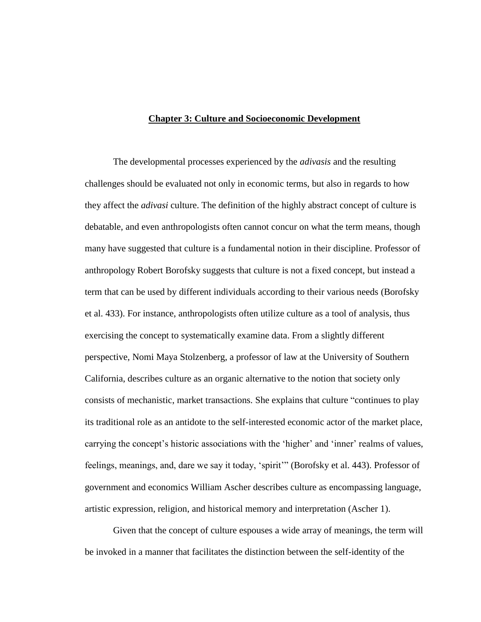## **Chapter 3: Culture and Socioeconomic Development**

The developmental processes experienced by the *adivasis* and the resulting challenges should be evaluated not only in economic terms, but also in regards to how they affect the *adivasi* culture. The definition of the highly abstract concept of culture is debatable, and even anthropologists often cannot concur on what the term means, though many have suggested that culture is a fundamental notion in their discipline. Professor of anthropology Robert Borofsky suggests that culture is not a fixed concept, but instead a term that can be used by different individuals according to their various needs (Borofsky et al. 433). For instance, anthropologists often utilize culture as a tool of analysis, thus exercising the concept to systematically examine data. From a slightly different perspective, Nomi Maya Stolzenberg, a professor of law at the University of Southern California, describes culture as an organic alternative to the notion that society only consists of mechanistic, market transactions. She explains that culture "continues to play its traditional role as an antidote to the self-interested economic actor of the market place, carrying the concept's historic associations with the 'higher' and 'inner' realms of values, feelings, meanings, and, dare we say it today, "spirit"" (Borofsky et al. 443). Professor of government and economics William Ascher describes culture as encompassing language, artistic expression, religion, and historical memory and interpretation (Ascher 1).

Given that the concept of culture espouses a wide array of meanings, the term will be invoked in a manner that facilitates the distinction between the self-identity of the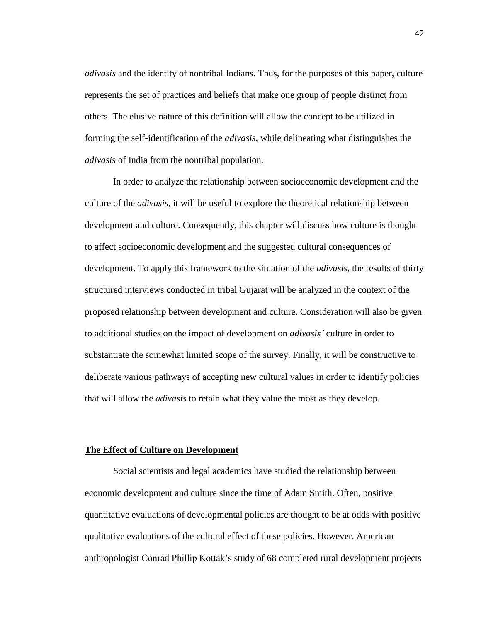*adivasis* and the identity of nontribal Indians. Thus, for the purposes of this paper, culture represents the set of practices and beliefs that make one group of people distinct from others. The elusive nature of this definition will allow the concept to be utilized in forming the self-identification of the *adivasis,* while delineating what distinguishes the *adivasis* of India from the nontribal population.

In order to analyze the relationship between socioeconomic development and the culture of the *adivasis*, it will be useful to explore the theoretical relationship between development and culture. Consequently, this chapter will discuss how culture is thought to affect socioeconomic development and the suggested cultural consequences of development. To apply this framework to the situation of the *adivasis*, the results of thirty structured interviews conducted in tribal Gujarat will be analyzed in the context of the proposed relationship between development and culture. Consideration will also be given to additional studies on the impact of development on *adivasis'* culture in order to substantiate the somewhat limited scope of the survey. Finally, it will be constructive to deliberate various pathways of accepting new cultural values in order to identify policies that will allow the *adivasis* to retain what they value the most as they develop.

# **The Effect of Culture on Development**

Social scientists and legal academics have studied the relationship between economic development and culture since the time of Adam Smith. Often, positive quantitative evaluations of developmental policies are thought to be at odds with positive qualitative evaluations of the cultural effect of these policies. However, American anthropologist Conrad Phillip Kottak"s study of 68 completed rural development projects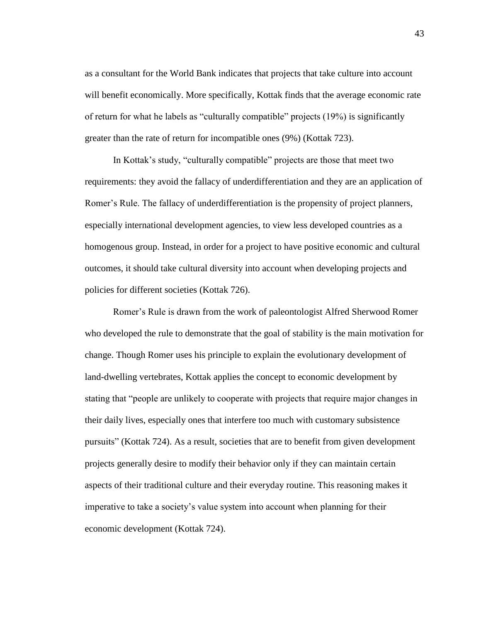as a consultant for the World Bank indicates that projects that take culture into account will benefit economically. More specifically, Kottak finds that the average economic rate of return for what he labels as "culturally compatible" projects (19%) is significantly greater than the rate of return for incompatible ones (9%) (Kottak 723).

In Kottak"s study, "culturally compatible" projects are those that meet two requirements: they avoid the fallacy of underdifferentiation and they are an application of Romer's Rule. The fallacy of underdifferentiation is the propensity of project planners, especially international development agencies, to view less developed countries as a homogenous group. Instead, in order for a project to have positive economic and cultural outcomes, it should take cultural diversity into account when developing projects and policies for different societies (Kottak 726).

Romer"s Rule is drawn from the work of paleontologist Alfred Sherwood Romer who developed the rule to demonstrate that the goal of stability is the main motivation for change. Though Romer uses his principle to explain the evolutionary development of land-dwelling vertebrates, Kottak applies the concept to economic development by stating that "people are unlikely to cooperate with projects that require major changes in their daily lives, especially ones that interfere too much with customary subsistence pursuits" (Kottak 724). As a result, societies that are to benefit from given development projects generally desire to modify their behavior only if they can maintain certain aspects of their traditional culture and their everyday routine. This reasoning makes it imperative to take a society"s value system into account when planning for their economic development (Kottak 724).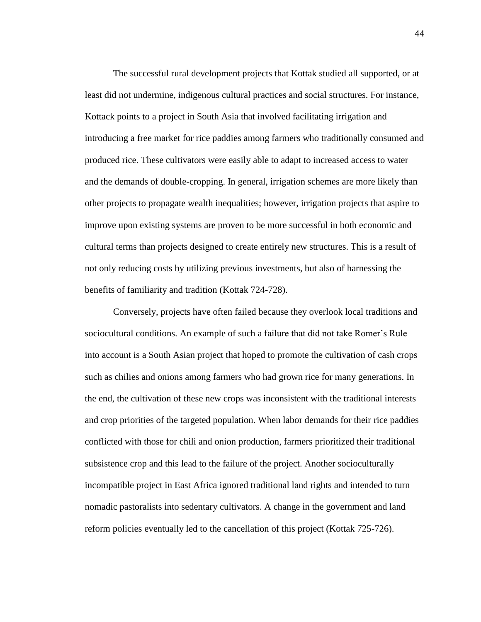The successful rural development projects that Kottak studied all supported, or at least did not undermine, indigenous cultural practices and social structures. For instance, Kottack points to a project in South Asia that involved facilitating irrigation and introducing a free market for rice paddies among farmers who traditionally consumed and produced rice. These cultivators were easily able to adapt to increased access to water and the demands of double-cropping. In general, irrigation schemes are more likely than other projects to propagate wealth inequalities; however, irrigation projects that aspire to improve upon existing systems are proven to be more successful in both economic and cultural terms than projects designed to create entirely new structures. This is a result of not only reducing costs by utilizing previous investments, but also of harnessing the benefits of familiarity and tradition (Kottak 724-728).

Conversely, projects have often failed because they overlook local traditions and sociocultural conditions. An example of such a failure that did not take Romer"s Rule into account is a South Asian project that hoped to promote the cultivation of cash crops such as chilies and onions among farmers who had grown rice for many generations. In the end, the cultivation of these new crops was inconsistent with the traditional interests and crop priorities of the targeted population. When labor demands for their rice paddies conflicted with those for chili and onion production, farmers prioritized their traditional subsistence crop and this lead to the failure of the project. Another socioculturally incompatible project in East Africa ignored traditional land rights and intended to turn nomadic pastoralists into sedentary cultivators. A change in the government and land reform policies eventually led to the cancellation of this project (Kottak 725-726).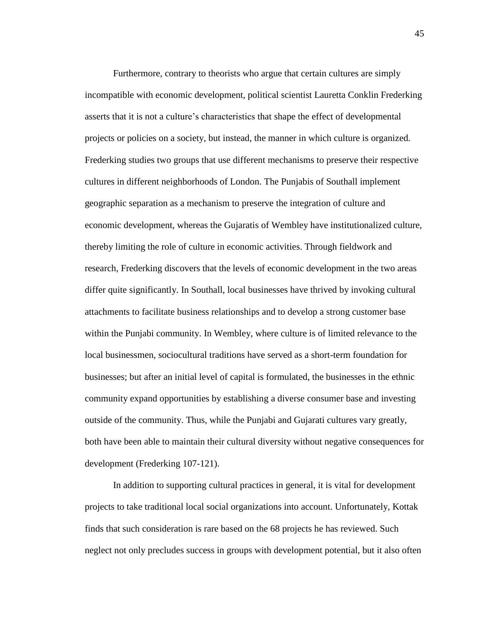Furthermore, contrary to theorists who argue that certain cultures are simply incompatible with economic development, political scientist Lauretta Conklin Frederking asserts that it is not a culture"s characteristics that shape the effect of developmental projects or policies on a society, but instead, the manner in which culture is organized. Frederking studies two groups that use different mechanisms to preserve their respective cultures in different neighborhoods of London. The Punjabis of Southall implement geographic separation as a mechanism to preserve the integration of culture and economic development, whereas the Gujaratis of Wembley have institutionalized culture, thereby limiting the role of culture in economic activities. Through fieldwork and research, Frederking discovers that the levels of economic development in the two areas differ quite significantly. In Southall, local businesses have thrived by invoking cultural attachments to facilitate business relationships and to develop a strong customer base within the Punjabi community. In Wembley, where culture is of limited relevance to the local businessmen, sociocultural traditions have served as a short-term foundation for businesses; but after an initial level of capital is formulated, the businesses in the ethnic community expand opportunities by establishing a diverse consumer base and investing outside of the community. Thus, while the Punjabi and Gujarati cultures vary greatly, both have been able to maintain their cultural diversity without negative consequences for development (Frederking 107-121).

In addition to supporting cultural practices in general, it is vital for development projects to take traditional local social organizations into account. Unfortunately, Kottak finds that such consideration is rare based on the 68 projects he has reviewed. Such neglect not only precludes success in groups with development potential, but it also often

45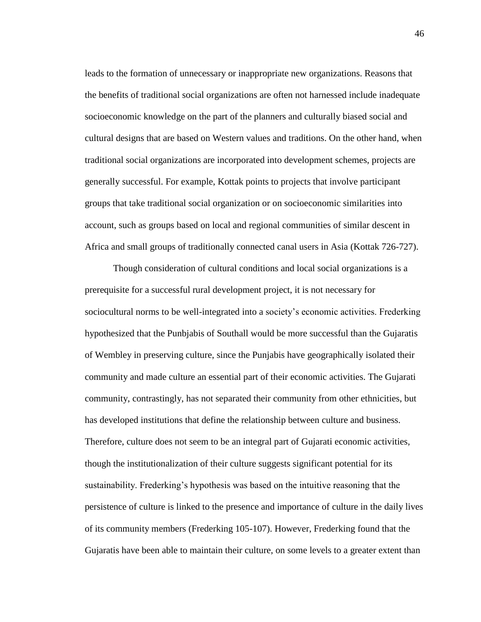leads to the formation of unnecessary or inappropriate new organizations. Reasons that the benefits of traditional social organizations are often not harnessed include inadequate socioeconomic knowledge on the part of the planners and culturally biased social and cultural designs that are based on Western values and traditions. On the other hand, when traditional social organizations are incorporated into development schemes, projects are generally successful. For example, Kottak points to projects that involve participant groups that take traditional social organization or on socioeconomic similarities into account, such as groups based on local and regional communities of similar descent in Africa and small groups of traditionally connected canal users in Asia (Kottak 726-727).

Though consideration of cultural conditions and local social organizations is a prerequisite for a successful rural development project, it is not necessary for sociocultural norms to be well-integrated into a society's economic activities. Frederking hypothesized that the Punbjabis of Southall would be more successful than the Gujaratis of Wembley in preserving culture, since the Punjabis have geographically isolated their community and made culture an essential part of their economic activities. The Gujarati community, contrastingly, has not separated their community from other ethnicities, but has developed institutions that define the relationship between culture and business. Therefore, culture does not seem to be an integral part of Gujarati economic activities, though the institutionalization of their culture suggests significant potential for its sustainability. Frederking's hypothesis was based on the intuitive reasoning that the persistence of culture is linked to the presence and importance of culture in the daily lives of its community members (Frederking 105-107). However, Frederking found that the Gujaratis have been able to maintain their culture, on some levels to a greater extent than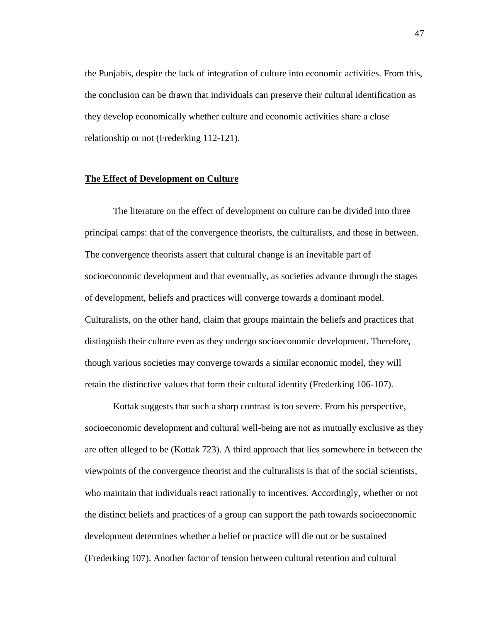the Punjabis, despite the lack of integration of culture into economic activities. From this, the conclusion can be drawn that individuals can preserve their cultural identification as they develop economically whether culture and economic activities share a close relationship or not (Frederking 112-121).

## **The Effect of Development on Culture**

The literature on the effect of development on culture can be divided into three principal camps: that of the convergence theorists, the culturalists, and those in between. The convergence theorists assert that cultural change is an inevitable part of socioeconomic development and that eventually, as societies advance through the stages of development, beliefs and practices will converge towards a dominant model. Culturalists, on the other hand, claim that groups maintain the beliefs and practices that distinguish their culture even as they undergo socioeconomic development. Therefore, though various societies may converge towards a similar economic model, they will retain the distinctive values that form their cultural identity (Frederking 106-107).

Kottak suggests that such a sharp contrast is too severe. From his perspective, socioeconomic development and cultural well-being are not as mutually exclusive as they are often alleged to be (Kottak 723). A third approach that lies somewhere in between the viewpoints of the convergence theorist and the culturalists is that of the social scientists, who maintain that individuals react rationally to incentives. Accordingly, whether or not the distinct beliefs and practices of a group can support the path towards socioeconomic development determines whether a belief or practice will die out or be sustained (Frederking 107). Another factor of tension between cultural retention and cultural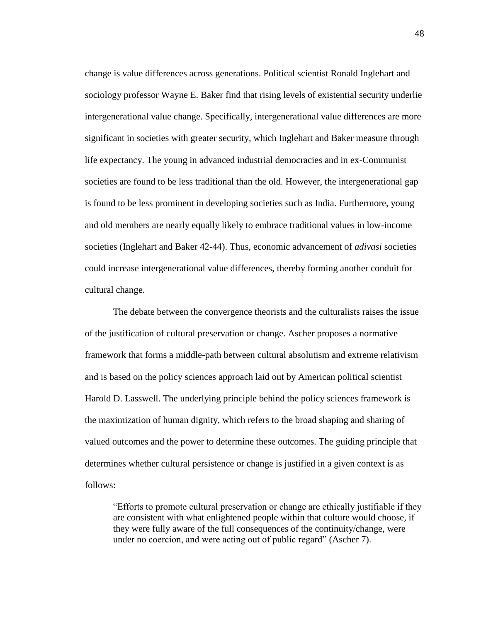change is value differences across generations. Political scientist Ronald Inglehart and sociology professor Wayne E. Baker find that rising levels of existential security underlie intergenerational value change. Specifically, intergenerational value differences are more significant in societies with greater security, which Inglehart and Baker measure through life expectancy. The young in advanced industrial democracies and in ex-Communist societies are found to be less traditional than the old. However, the intergenerational gap is found to be less prominent in developing societies such as India. Furthermore, young and old members are nearly equally likely to embrace traditional values in low-income societies (Inglehart and Baker 42-44). Thus, economic advancement of *adivasi* societies could increase intergenerational value differences, thereby forming another conduit for cultural change.

The debate between the convergence theorists and the culturalists raises the issue of the justification of cultural preservation or change. Ascher proposes a normative framework that forms a middle-path between cultural absolutism and extreme relativism and is based on the policy sciences approach laid out by American political scientist Harold D. Lasswell. The underlying principle behind the policy sciences framework is the maximization of human dignity, which refers to the broad shaping and sharing of valued outcomes and the power to determine these outcomes. The guiding principle that determines whether cultural persistence or change is justified in a given context is as follows:

"Efforts to promote cultural preservation or change are ethically justifiable if they are consistent with what enlightened people within that culture would choose, if they were fully aware of the full consequences of the continuity/change, were under no coercion, and were acting out of public regard" (Ascher 7).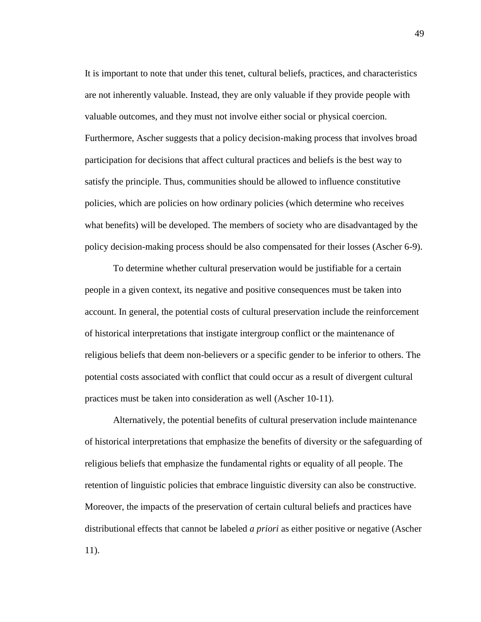It is important to note that under this tenet, cultural beliefs, practices, and characteristics are not inherently valuable. Instead, they are only valuable if they provide people with valuable outcomes, and they must not involve either social or physical coercion. Furthermore, Ascher suggests that a policy decision-making process that involves broad participation for decisions that affect cultural practices and beliefs is the best way to satisfy the principle. Thus, communities should be allowed to influence constitutive policies, which are policies on how ordinary policies (which determine who receives what benefits) will be developed. The members of society who are disadvantaged by the policy decision-making process should be also compensated for their losses (Ascher 6-9).

To determine whether cultural preservation would be justifiable for a certain people in a given context, its negative and positive consequences must be taken into account. In general, the potential costs of cultural preservation include the reinforcement of historical interpretations that instigate intergroup conflict or the maintenance of religious beliefs that deem non-believers or a specific gender to be inferior to others. The potential costs associated with conflict that could occur as a result of divergent cultural practices must be taken into consideration as well (Ascher 10-11).

Alternatively, the potential benefits of cultural preservation include maintenance of historical interpretations that emphasize the benefits of diversity or the safeguarding of religious beliefs that emphasize the fundamental rights or equality of all people. The retention of linguistic policies that embrace linguistic diversity can also be constructive. Moreover, the impacts of the preservation of certain cultural beliefs and practices have distributional effects that cannot be labeled *a priori* as either positive or negative (Ascher 11).

49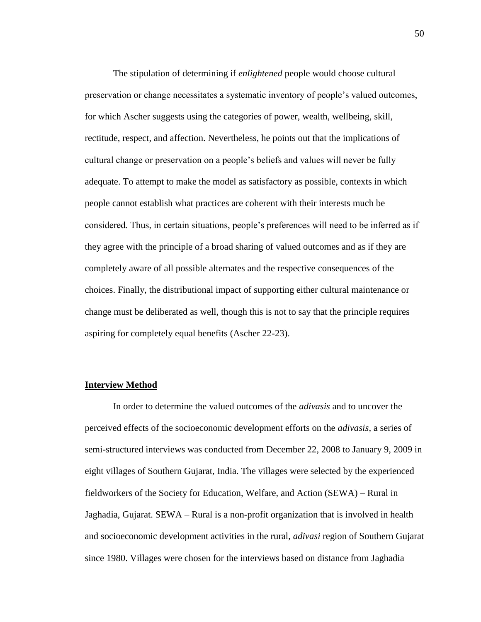The stipulation of determining if *enlightened* people would choose cultural preservation or change necessitates a systematic inventory of people"s valued outcomes, for which Ascher suggests using the categories of power, wealth, wellbeing, skill, rectitude, respect, and affection. Nevertheless, he points out that the implications of cultural change or preservation on a people"s beliefs and values will never be fully adequate. To attempt to make the model as satisfactory as possible, contexts in which people cannot establish what practices are coherent with their interests much be considered. Thus, in certain situations, people"s preferences will need to be inferred as if they agree with the principle of a broad sharing of valued outcomes and as if they are completely aware of all possible alternates and the respective consequences of the choices. Finally, the distributional impact of supporting either cultural maintenance or change must be deliberated as well, though this is not to say that the principle requires aspiring for completely equal benefits (Ascher 22-23).

## **Interview Method**

In order to determine the valued outcomes of the *adivasis* and to uncover the perceived effects of the socioeconomic development efforts on the *adivasis*, a series of semi-structured interviews was conducted from December 22, 2008 to January 9, 2009 in eight villages of Southern Gujarat, India. The villages were selected by the experienced fieldworkers of the Society for Education, Welfare, and Action (SEWA) – Rural in Jaghadia, Gujarat. SEWA – Rural is a non-profit organization that is involved in health and socioeconomic development activities in the rural, *adivasi* region of Southern Gujarat since 1980. Villages were chosen for the interviews based on distance from Jaghadia

50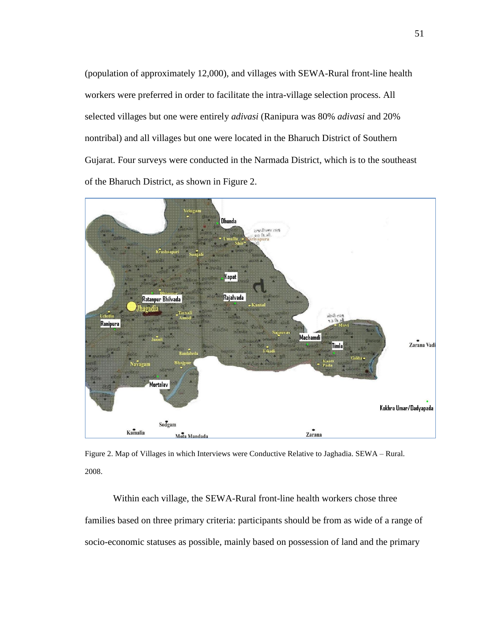(population of approximately 12,000), and villages with SEWA-Rural front-line health workers were preferred in order to facilitate the intra-village selection process. All selected villages but one were entirely *adivasi* (Ranipura was 80% *adivasi* and 20% nontribal) and all villages but one were located in the Bharuch District of Southern Gujarat. Four surveys were conducted in the Narmada District, which is to the southeast of the Bharuch District, as shown in Figure 2.



Figure 2. Map of Villages in which Interviews were Conductive Relative to Jaghadia. SEWA – Rural. 2008.

Within each village, the SEWA-Rural front-line health workers chose three families based on three primary criteria: participants should be from as wide of a range of socio-economic statuses as possible, mainly based on possession of land and the primary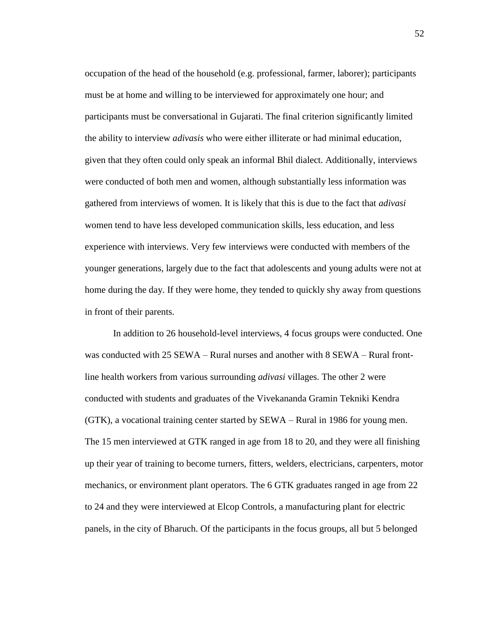occupation of the head of the household (e.g. professional, farmer, laborer); participants must be at home and willing to be interviewed for approximately one hour; and participants must be conversational in Gujarati. The final criterion significantly limited the ability to interview *adivasis* who were either illiterate or had minimal education, given that they often could only speak an informal Bhil dialect. Additionally, interviews were conducted of both men and women, although substantially less information was gathered from interviews of women. It is likely that this is due to the fact that *adivasi* women tend to have less developed communication skills, less education, and less experience with interviews. Very few interviews were conducted with members of the younger generations, largely due to the fact that adolescents and young adults were not at home during the day. If they were home, they tended to quickly shy away from questions in front of their parents.

In addition to 26 household-level interviews, 4 focus groups were conducted. One was conducted with 25 SEWA – Rural nurses and another with 8 SEWA – Rural frontline health workers from various surrounding *adivasi* villages. The other 2 were conducted with students and graduates of the Vivekananda Gramin Tekniki Kendra (GTK), a vocational training center started by SEWA – Rural in 1986 for young men. The 15 men interviewed at GTK ranged in age from 18 to 20, and they were all finishing up their year of training to become turners, fitters, welders, electricians, carpenters, motor mechanics, or environment plant operators. The 6 GTK graduates ranged in age from 22 to 24 and they were interviewed at Elcop Controls, a manufacturing plant for electric panels, in the city of Bharuch. Of the participants in the focus groups, all but 5 belonged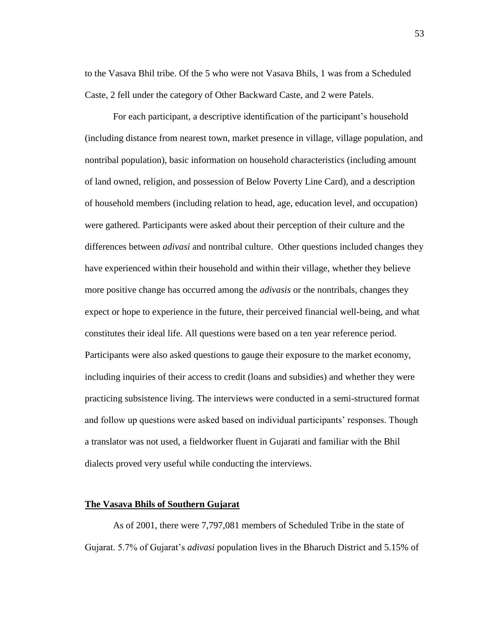to the Vasava Bhil tribe. Of the 5 who were not Vasava Bhils, 1 was from a Scheduled Caste, 2 fell under the category of Other Backward Caste, and 2 were Patels.

For each participant, a descriptive identification of the participant's household (including distance from nearest town, market presence in village, village population, and nontribal population), basic information on household characteristics (including amount of land owned, religion, and possession of Below Poverty Line Card), and a description of household members (including relation to head, age, education level, and occupation) were gathered. Participants were asked about their perception of their culture and the differences between *adivasi* and nontribal culture. Other questions included changes they have experienced within their household and within their village, whether they believe more positive change has occurred among the *adivasis* or the nontribals, changes they expect or hope to experience in the future, their perceived financial well-being, and what constitutes their ideal life. All questions were based on a ten year reference period. Participants were also asked questions to gauge their exposure to the market economy, including inquiries of their access to credit (loans and subsidies) and whether they were practicing subsistence living. The interviews were conducted in a semi-structured format and follow up questions were asked based on individual participants' responses. Though a translator was not used, a fieldworker fluent in Gujarati and familiar with the Bhil dialects proved very useful while conducting the interviews.

## **The Vasava Bhils of Southern Gujarat**

As of 2001, there were 7,797,081 members of Scheduled Tribe in the state of Gujarat. 5.7% of Gujarat"s *adivasi* population lives in the Bharuch District and 5.15% of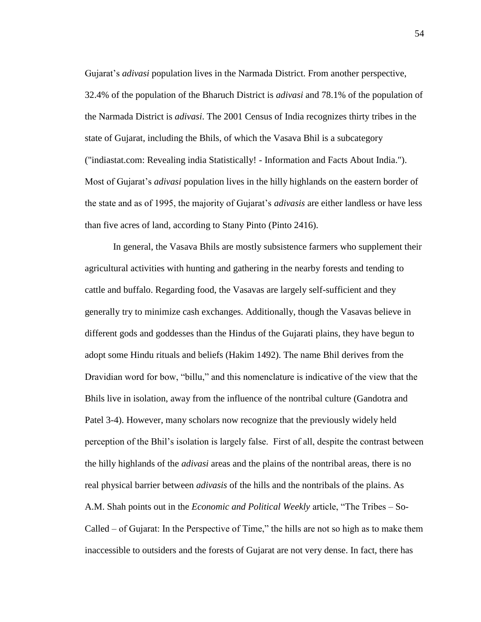Gujarat"s *adivasi* population lives in the Narmada District. From another perspective, 32.4% of the population of the Bharuch District is *adivasi* and 78.1% of the population of the Narmada District is *adivasi*. The 2001 Census of India recognizes thirty tribes in the state of Gujarat, including the Bhils, of which the Vasava Bhil is a subcategory ("indiastat.com: Revealing india Statistically! - Information and Facts About India."). Most of Gujarat"s *adivasi* population lives in the hilly highlands on the eastern border of the state and as of 1995, the majority of Gujarat"s *adivasis* are either landless or have less than five acres of land, according to Stany Pinto (Pinto 2416).

In general, the Vasava Bhils are mostly subsistence farmers who supplement their agricultural activities with hunting and gathering in the nearby forests and tending to cattle and buffalo. Regarding food, the Vasavas are largely self-sufficient and they generally try to minimize cash exchanges. Additionally, though the Vasavas believe in different gods and goddesses than the Hindus of the Gujarati plains, they have begun to adopt some Hindu rituals and beliefs (Hakim 1492). The name Bhil derives from the Dravidian word for bow, "billu," and this nomenclature is indicative of the view that the Bhils live in isolation, away from the influence of the nontribal culture (Gandotra and Patel 3-4). However, many scholars now recognize that the previously widely held perception of the Bhil"s isolation is largely false. First of all, despite the contrast between the hilly highlands of the *adivasi* areas and the plains of the nontribal areas, there is no real physical barrier between *adivasis* of the hills and the nontribals of the plains. As A.M. Shah points out in the *Economic and Political Weekly* article, "The Tribes – So-Called – of Gujarat: In the Perspective of Time," the hills are not so high as to make them inaccessible to outsiders and the forests of Gujarat are not very dense. In fact, there has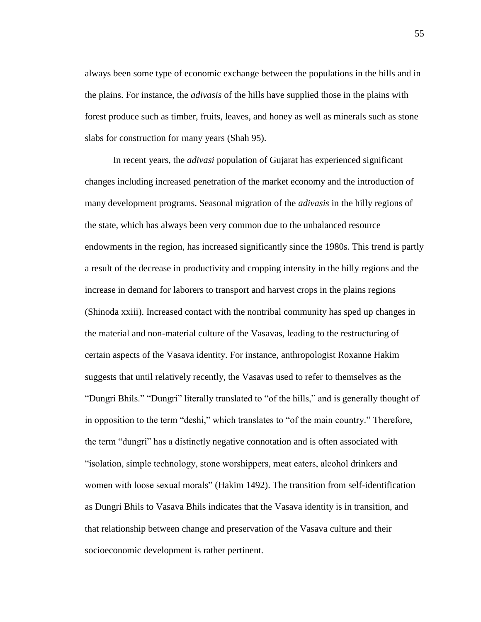always been some type of economic exchange between the populations in the hills and in the plains. For instance, the *adivasis* of the hills have supplied those in the plains with forest produce such as timber, fruits, leaves, and honey as well as minerals such as stone slabs for construction for many years (Shah 95).

In recent years, the *adivasi* population of Gujarat has experienced significant changes including increased penetration of the market economy and the introduction of many development programs. Seasonal migration of the *adivasis* in the hilly regions of the state, which has always been very common due to the unbalanced resource endowments in the region, has increased significantly since the 1980s. This trend is partly a result of the decrease in productivity and cropping intensity in the hilly regions and the increase in demand for laborers to transport and harvest crops in the plains regions (Shinoda xxiii). Increased contact with the nontribal community has sped up changes in the material and non-material culture of the Vasavas, leading to the restructuring of certain aspects of the Vasava identity. For instance, anthropologist Roxanne Hakim suggests that until relatively recently, the Vasavas used to refer to themselves as the "Dungri Bhils." "Dungri" literally translated to "of the hills," and is generally thought of in opposition to the term "deshi," which translates to "of the main country." Therefore, the term "dungri" has a distinctly negative connotation and is often associated with "isolation, simple technology, stone worshippers, meat eaters, alcohol drinkers and women with loose sexual morals" (Hakim 1492). The transition from self-identification as Dungri Bhils to Vasava Bhils indicates that the Vasava identity is in transition, and that relationship between change and preservation of the Vasava culture and their socioeconomic development is rather pertinent.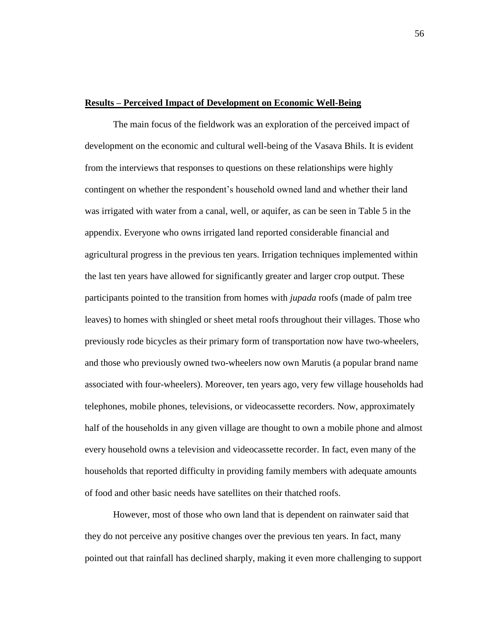## **Results – Perceived Impact of Development on Economic Well-Being**

The main focus of the fieldwork was an exploration of the perceived impact of development on the economic and cultural well-being of the Vasava Bhils. It is evident from the interviews that responses to questions on these relationships were highly contingent on whether the respondent"s household owned land and whether their land was irrigated with water from a canal, well, or aquifer, as can be seen in Table 5 in the appendix. Everyone who owns irrigated land reported considerable financial and agricultural progress in the previous ten years. Irrigation techniques implemented within the last ten years have allowed for significantly greater and larger crop output. These participants pointed to the transition from homes with *jupada* roofs (made of palm tree leaves) to homes with shingled or sheet metal roofs throughout their villages. Those who previously rode bicycles as their primary form of transportation now have two-wheelers, and those who previously owned two-wheelers now own Marutis (a popular brand name associated with four-wheelers). Moreover, ten years ago, very few village households had telephones, mobile phones, televisions, or videocassette recorders. Now, approximately half of the households in any given village are thought to own a mobile phone and almost every household owns a television and videocassette recorder. In fact, even many of the households that reported difficulty in providing family members with adequate amounts of food and other basic needs have satellites on their thatched roofs.

However, most of those who own land that is dependent on rainwater said that they do not perceive any positive changes over the previous ten years. In fact, many pointed out that rainfall has declined sharply, making it even more challenging to support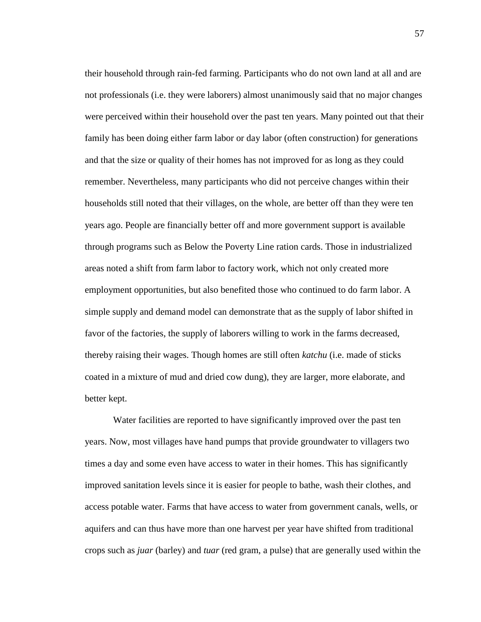their household through rain-fed farming. Participants who do not own land at all and are not professionals (i.e. they were laborers) almost unanimously said that no major changes were perceived within their household over the past ten years. Many pointed out that their family has been doing either farm labor or day labor (often construction) for generations and that the size or quality of their homes has not improved for as long as they could remember. Nevertheless, many participants who did not perceive changes within their households still noted that their villages, on the whole, are better off than they were ten years ago. People are financially better off and more government support is available through programs such as Below the Poverty Line ration cards. Those in industrialized areas noted a shift from farm labor to factory work, which not only created more employment opportunities, but also benefited those who continued to do farm labor. A simple supply and demand model can demonstrate that as the supply of labor shifted in favor of the factories, the supply of laborers willing to work in the farms decreased, thereby raising their wages. Though homes are still often *katchu* (i.e. made of sticks coated in a mixture of mud and dried cow dung), they are larger, more elaborate, and better kept.

Water facilities are reported to have significantly improved over the past ten years. Now, most villages have hand pumps that provide groundwater to villagers two times a day and some even have access to water in their homes. This has significantly improved sanitation levels since it is easier for people to bathe, wash their clothes, and access potable water. Farms that have access to water from government canals, wells, or aquifers and can thus have more than one harvest per year have shifted from traditional crops such as *juar* (barley) and *tuar* (red gram, a pulse) that are generally used within the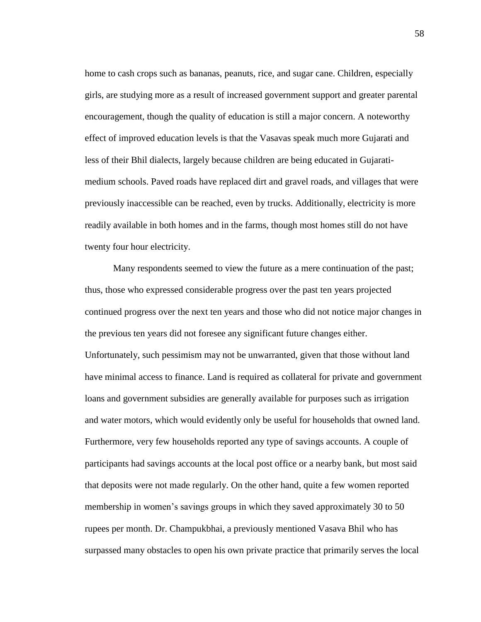home to cash crops such as bananas, peanuts, rice, and sugar cane. Children, especially girls, are studying more as a result of increased government support and greater parental encouragement, though the quality of education is still a major concern. A noteworthy effect of improved education levels is that the Vasavas speak much more Gujarati and less of their Bhil dialects, largely because children are being educated in Gujaratimedium schools. Paved roads have replaced dirt and gravel roads, and villages that were previously inaccessible can be reached, even by trucks. Additionally, electricity is more readily available in both homes and in the farms, though most homes still do not have twenty four hour electricity.

Many respondents seemed to view the future as a mere continuation of the past; thus, those who expressed considerable progress over the past ten years projected continued progress over the next ten years and those who did not notice major changes in the previous ten years did not foresee any significant future changes either. Unfortunately, such pessimism may not be unwarranted, given that those without land have minimal access to finance. Land is required as collateral for private and government loans and government subsidies are generally available for purposes such as irrigation and water motors, which would evidently only be useful for households that owned land. Furthermore, very few households reported any type of savings accounts. A couple of participants had savings accounts at the local post office or a nearby bank, but most said that deposits were not made regularly. On the other hand, quite a few women reported membership in women's savings groups in which they saved approximately 30 to 50 rupees per month. Dr. Champukbhai, a previously mentioned Vasava Bhil who has surpassed many obstacles to open his own private practice that primarily serves the local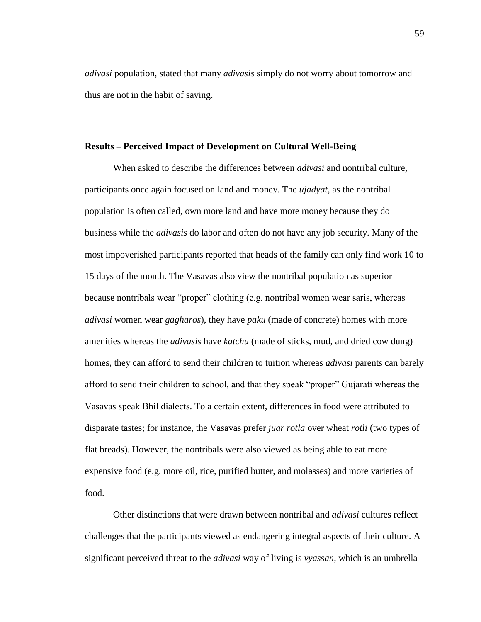*adivasi* population, stated that many *adivasis* simply do not worry about tomorrow and thus are not in the habit of saving.

## **Results – Perceived Impact of Development on Cultural Well-Being**

When asked to describe the differences between *adivasi* and nontribal culture, participants once again focused on land and money. The *ujadyat*, as the nontribal population is often called, own more land and have more money because they do business while the *adivasis* do labor and often do not have any job security. Many of the most impoverished participants reported that heads of the family can only find work 10 to 15 days of the month. The Vasavas also view the nontribal population as superior because nontribals wear "proper" clothing (e.g. nontribal women wear saris, whereas *adivasi* women wear *gagharos*), they have *paku* (made of concrete) homes with more amenities whereas the *adivasis* have *katchu* (made of sticks, mud, and dried cow dung) homes, they can afford to send their children to tuition whereas *adivasi* parents can barely afford to send their children to school, and that they speak "proper" Gujarati whereas the Vasavas speak Bhil dialects. To a certain extent, differences in food were attributed to disparate tastes; for instance, the Vasavas prefer *juar rotla* over wheat *rotli* (two types of flat breads). However, the nontribals were also viewed as being able to eat more expensive food (e.g. more oil, rice, purified butter, and molasses) and more varieties of food.

Other distinctions that were drawn between nontribal and *adivasi* cultures reflect challenges that the participants viewed as endangering integral aspects of their culture. A significant perceived threat to the *adivasi* way of living is *vyassan*, which is an umbrella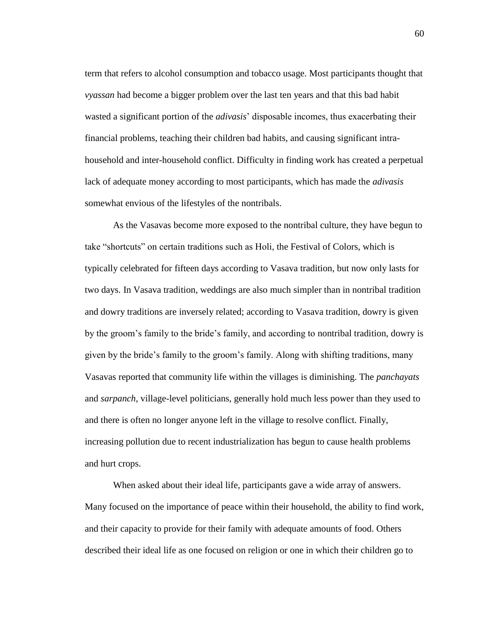term that refers to alcohol consumption and tobacco usage. Most participants thought that *vyassan* had become a bigger problem over the last ten years and that this bad habit wasted a significant portion of the *adivasis*" disposable incomes, thus exacerbating their financial problems, teaching their children bad habits, and causing significant intrahousehold and inter-household conflict. Difficulty in finding work has created a perpetual lack of adequate money according to most participants, which has made the *adivasis* somewhat envious of the lifestyles of the nontribals.

As the Vasavas become more exposed to the nontribal culture, they have begun to take "shortcuts" on certain traditions such as Holi, the Festival of Colors, which is typically celebrated for fifteen days according to Vasava tradition, but now only lasts for two days. In Vasava tradition, weddings are also much simpler than in nontribal tradition and dowry traditions are inversely related; according to Vasava tradition, dowry is given by the groom"s family to the bride"s family, and according to nontribal tradition, dowry is given by the bride"s family to the groom"s family. Along with shifting traditions, many Vasavas reported that community life within the villages is diminishing. The *panchayats* and *sarpanch*, village-level politicians, generally hold much less power than they used to and there is often no longer anyone left in the village to resolve conflict. Finally, increasing pollution due to recent industrialization has begun to cause health problems and hurt crops.

When asked about their ideal life, participants gave a wide array of answers. Many focused on the importance of peace within their household, the ability to find work, and their capacity to provide for their family with adequate amounts of food. Others described their ideal life as one focused on religion or one in which their children go to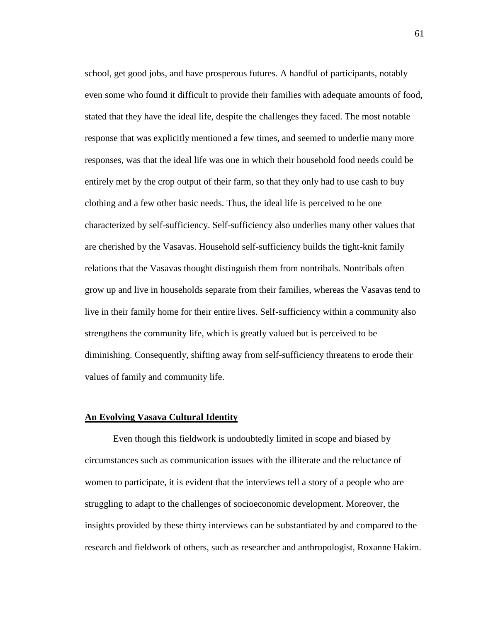school, get good jobs, and have prosperous futures. A handful of participants, notably even some who found it difficult to provide their families with adequate amounts of food, stated that they have the ideal life, despite the challenges they faced. The most notable response that was explicitly mentioned a few times, and seemed to underlie many more responses, was that the ideal life was one in which their household food needs could be entirely met by the crop output of their farm, so that they only had to use cash to buy clothing and a few other basic needs. Thus, the ideal life is perceived to be one characterized by self-sufficiency. Self-sufficiency also underlies many other values that are cherished by the Vasavas. Household self-sufficiency builds the tight-knit family relations that the Vasavas thought distinguish them from nontribals. Nontribals often grow up and live in households separate from their families, whereas the Vasavas tend to live in their family home for their entire lives. Self-sufficiency within a community also strengthens the community life, which is greatly valued but is perceived to be diminishing. Consequently, shifting away from self-sufficiency threatens to erode their values of family and community life.

#### **An Evolving Vasava Cultural Identity**

Even though this fieldwork is undoubtedly limited in scope and biased by circumstances such as communication issues with the illiterate and the reluctance of women to participate, it is evident that the interviews tell a story of a people who are struggling to adapt to the challenges of socioeconomic development. Moreover, the insights provided by these thirty interviews can be substantiated by and compared to the research and fieldwork of others, such as researcher and anthropologist, Roxanne Hakim.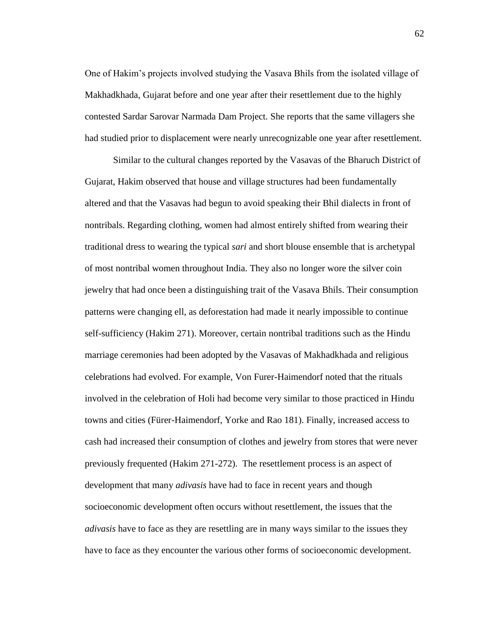One of Hakim"s projects involved studying the Vasava Bhils from the isolated village of Makhadkhada, Gujarat before and one year after their resettlement due to the highly contested Sardar Sarovar Narmada Dam Project. She reports that the same villagers she had studied prior to displacement were nearly unrecognizable one year after resettlement.

Similar to the cultural changes reported by the Vasavas of the Bharuch District of Gujarat, Hakim observed that house and village structures had been fundamentally altered and that the Vasavas had begun to avoid speaking their Bhil dialects in front of nontribals. Regarding clothing, women had almost entirely shifted from wearing their traditional dress to wearing the typical *sari* and short blouse ensemble that is archetypal of most nontribal women throughout India. They also no longer wore the silver coin jewelry that had once been a distinguishing trait of the Vasava Bhils. Their consumption patterns were changing ell, as deforestation had made it nearly impossible to continue self-sufficiency (Hakim 271). Moreover, certain nontribal traditions such as the Hindu marriage ceremonies had been adopted by the Vasavas of Makhadkhada and religious celebrations had evolved. For example, Von Furer-Haimendorf noted that the rituals involved in the celebration of Holi had become very similar to those practiced in Hindu towns and cities (Fürer-Haimendorf, Yorke and Rao 181). Finally, increased access to cash had increased their consumption of clothes and jewelry from stores that were never previously frequented (Hakim 271-272). The resettlement process is an aspect of development that many *adivasis* have had to face in recent years and though socioeconomic development often occurs without resettlement, the issues that the *adivasis* have to face as they are resettling are in many ways similar to the issues they have to face as they encounter the various other forms of socioeconomic development.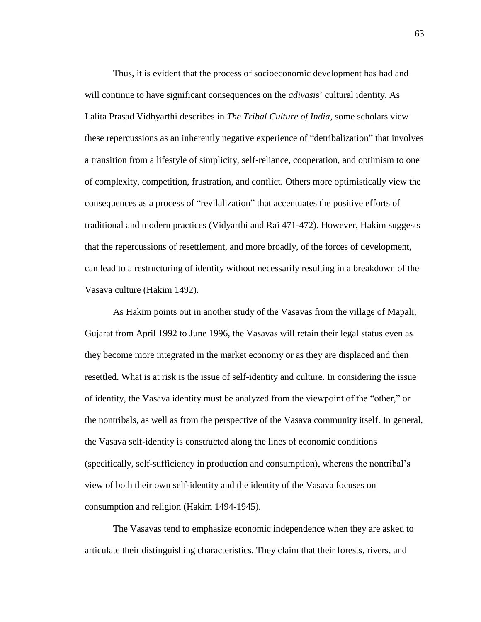Thus, it is evident that the process of socioeconomic development has had and will continue to have significant consequences on the *adivasis*' cultural identity. As Lalita Prasad Vidhyarthi describes in *The Tribal Culture of India*, some scholars view these repercussions as an inherently negative experience of "detribalization" that involves a transition from a lifestyle of simplicity, self-reliance, cooperation, and optimism to one of complexity, competition, frustration, and conflict. Others more optimistically view the consequences as a process of "revilalization" that accentuates the positive efforts of traditional and modern practices (Vidyarthi and Rai 471-472). However, Hakim suggests that the repercussions of resettlement, and more broadly, of the forces of development, can lead to a restructuring of identity without necessarily resulting in a breakdown of the Vasava culture (Hakim 1492).

As Hakim points out in another study of the Vasavas from the village of Mapali, Gujarat from April 1992 to June 1996, the Vasavas will retain their legal status even as they become more integrated in the market economy or as they are displaced and then resettled. What is at risk is the issue of self-identity and culture. In considering the issue of identity, the Vasava identity must be analyzed from the viewpoint of the "other," or the nontribals, as well as from the perspective of the Vasava community itself. In general, the Vasava self-identity is constructed along the lines of economic conditions (specifically, self-sufficiency in production and consumption), whereas the nontribal"s view of both their own self-identity and the identity of the Vasava focuses on consumption and religion (Hakim 1494-1945).

The Vasavas tend to emphasize economic independence when they are asked to articulate their distinguishing characteristics. They claim that their forests, rivers, and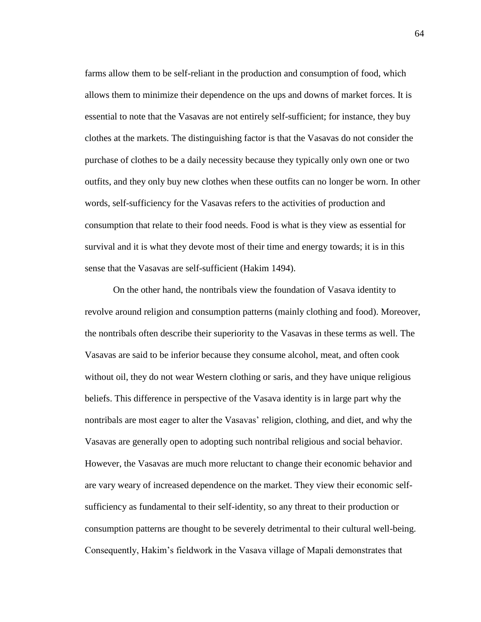farms allow them to be self-reliant in the production and consumption of food, which allows them to minimize their dependence on the ups and downs of market forces. It is essential to note that the Vasavas are not entirely self-sufficient; for instance, they buy clothes at the markets. The distinguishing factor is that the Vasavas do not consider the purchase of clothes to be a daily necessity because they typically only own one or two outfits, and they only buy new clothes when these outfits can no longer be worn. In other words, self-sufficiency for the Vasavas refers to the activities of production and consumption that relate to their food needs. Food is what is they view as essential for survival and it is what they devote most of their time and energy towards; it is in this sense that the Vasavas are self-sufficient (Hakim 1494).

On the other hand, the nontribals view the foundation of Vasava identity to revolve around religion and consumption patterns (mainly clothing and food). Moreover, the nontribals often describe their superiority to the Vasavas in these terms as well. The Vasavas are said to be inferior because they consume alcohol, meat, and often cook without oil, they do not wear Western clothing or saris, and they have unique religious beliefs. This difference in perspective of the Vasava identity is in large part why the nontribals are most eager to alter the Vasavas' religion, clothing, and diet, and why the Vasavas are generally open to adopting such nontribal religious and social behavior. However, the Vasavas are much more reluctant to change their economic behavior and are vary weary of increased dependence on the market. They view their economic selfsufficiency as fundamental to their self-identity, so any threat to their production or consumption patterns are thought to be severely detrimental to their cultural well-being. Consequently, Hakim"s fieldwork in the Vasava village of Mapali demonstrates that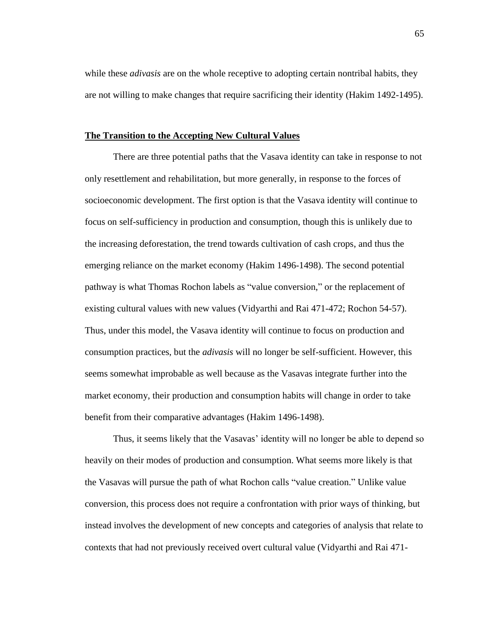while these *adivasis* are on the whole receptive to adopting certain nontribal habits, they are not willing to make changes that require sacrificing their identity (Hakim 1492-1495).

#### **The Transition to the Accepting New Cultural Values**

There are three potential paths that the Vasava identity can take in response to not only resettlement and rehabilitation, but more generally, in response to the forces of socioeconomic development. The first option is that the Vasava identity will continue to focus on self-sufficiency in production and consumption, though this is unlikely due to the increasing deforestation, the trend towards cultivation of cash crops, and thus the emerging reliance on the market economy (Hakim 1496-1498). The second potential pathway is what Thomas Rochon labels as "value conversion," or the replacement of existing cultural values with new values (Vidyarthi and Rai 471-472; Rochon 54-57). Thus, under this model, the Vasava identity will continue to focus on production and consumption practices, but the *adivasis* will no longer be self-sufficient. However, this seems somewhat improbable as well because as the Vasavas integrate further into the market economy, their production and consumption habits will change in order to take benefit from their comparative advantages (Hakim 1496-1498).

Thus, it seems likely that the Vasavas" identity will no longer be able to depend so heavily on their modes of production and consumption. What seems more likely is that the Vasavas will pursue the path of what Rochon calls "value creation." Unlike value conversion, this process does not require a confrontation with prior ways of thinking, but instead involves the development of new concepts and categories of analysis that relate to contexts that had not previously received overt cultural value (Vidyarthi and Rai 471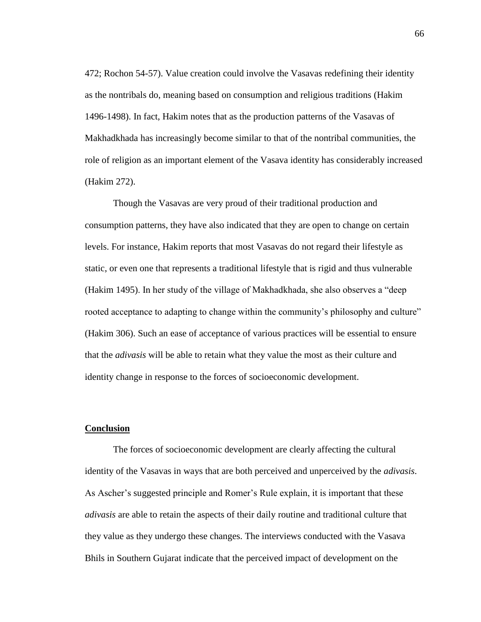472; Rochon 54-57). Value creation could involve the Vasavas redefining their identity as the nontribals do, meaning based on consumption and religious traditions (Hakim 1496-1498). In fact, Hakim notes that as the production patterns of the Vasavas of Makhadkhada has increasingly become similar to that of the nontribal communities, the role of religion as an important element of the Vasava identity has considerably increased (Hakim 272).

Though the Vasavas are very proud of their traditional production and consumption patterns, they have also indicated that they are open to change on certain levels. For instance, Hakim reports that most Vasavas do not regard their lifestyle as static, or even one that represents a traditional lifestyle that is rigid and thus vulnerable (Hakim 1495). In her study of the village of Makhadkhada, she also observes a "deep rooted acceptance to adapting to change within the community's philosophy and culture" (Hakim 306). Such an ease of acceptance of various practices will be essential to ensure that the *adivasis* will be able to retain what they value the most as their culture and identity change in response to the forces of socioeconomic development.

## **Conclusion**

The forces of socioeconomic development are clearly affecting the cultural identity of the Vasavas in ways that are both perceived and unperceived by the *adivasis*. As Ascher"s suggested principle and Romer"s Rule explain, it is important that these *adivasis* are able to retain the aspects of their daily routine and traditional culture that they value as they undergo these changes. The interviews conducted with the Vasava Bhils in Southern Gujarat indicate that the perceived impact of development on the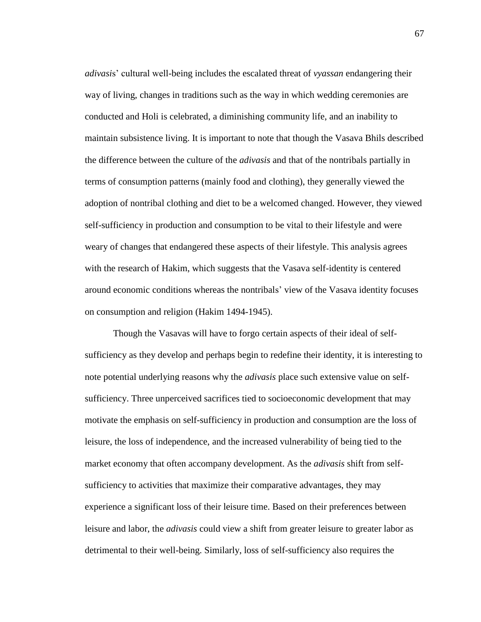*adivasi*s" cultural well-being includes the escalated threat of *vyassan* endangering their way of living, changes in traditions such as the way in which wedding ceremonies are conducted and Holi is celebrated, a diminishing community life, and an inability to maintain subsistence living. It is important to note that though the Vasava Bhils described the difference between the culture of the *adivasis* and that of the nontribals partially in terms of consumption patterns (mainly food and clothing), they generally viewed the adoption of nontribal clothing and diet to be a welcomed changed. However, they viewed self-sufficiency in production and consumption to be vital to their lifestyle and were weary of changes that endangered these aspects of their lifestyle. This analysis agrees with the research of Hakim, which suggests that the Vasava self-identity is centered around economic conditions whereas the nontribals" view of the Vasava identity focuses on consumption and religion (Hakim 1494-1945).

Though the Vasavas will have to forgo certain aspects of their ideal of selfsufficiency as they develop and perhaps begin to redefine their identity, it is interesting to note potential underlying reasons why the *adivasis* place such extensive value on selfsufficiency. Three unperceived sacrifices tied to socioeconomic development that may motivate the emphasis on self-sufficiency in production and consumption are the loss of leisure, the loss of independence, and the increased vulnerability of being tied to the market economy that often accompany development. As the *adivasis* shift from selfsufficiency to activities that maximize their comparative advantages, they may experience a significant loss of their leisure time. Based on their preferences between leisure and labor, the *adivasis* could view a shift from greater leisure to greater labor as detrimental to their well-being. Similarly, loss of self-sufficiency also requires the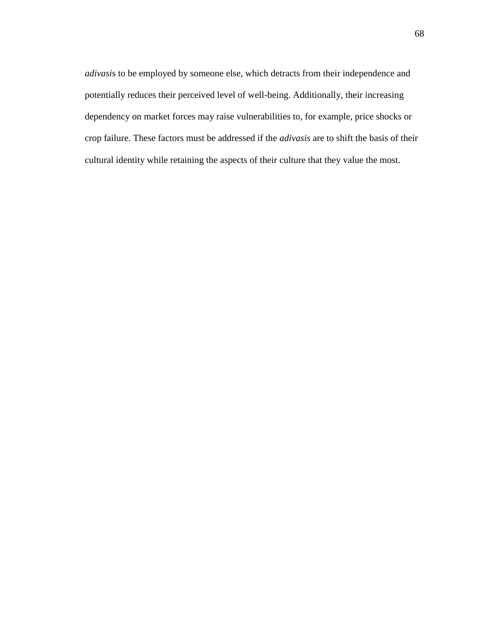*adivasi*s to be employed by someone else, which detracts from their independence and potentially reduces their perceived level of well-being. Additionally, their increasing dependency on market forces may raise vulnerabilities to, for example, price shocks or crop failure. These factors must be addressed if the *adivasis* are to shift the basis of their cultural identity while retaining the aspects of their culture that they value the most.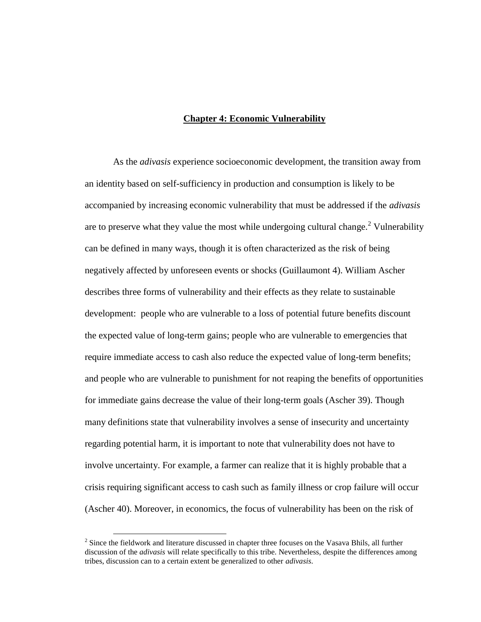## **Chapter 4: Economic Vulnerability**

As the *adivasis* experience socioeconomic development, the transition away from an identity based on self-sufficiency in production and consumption is likely to be accompanied by increasing economic vulnerability that must be addressed if the *adivasis* are to preserve what they value the most while undergoing cultural change.<sup>2</sup> Vulnerability can be defined in many ways, though it is often characterized as the risk of being negatively affected by unforeseen events or shocks (Guillaumont 4). William Ascher describes three forms of vulnerability and their effects as they relate to sustainable development: people who are vulnerable to a loss of potential future benefits discount the expected value of long-term gains; people who are vulnerable to emergencies that require immediate access to cash also reduce the expected value of long-term benefits; and people who are vulnerable to punishment for not reaping the benefits of opportunities for immediate gains decrease the value of their long-term goals (Ascher 39). Though many definitions state that vulnerability involves a sense of insecurity and uncertainty regarding potential harm, it is important to note that vulnerability does not have to involve uncertainty. For example, a farmer can realize that it is highly probable that a crisis requiring significant access to cash such as family illness or crop failure will occur (Ascher 40). Moreover, in economics, the focus of vulnerability has been on the risk of

 $\overline{a}$ 

 $2^2$  Since the fieldwork and literature discussed in chapter three focuses on the Vasava Bhils, all further discussion of the *adivasis* will relate specifically to this tribe. Nevertheless, despite the differences among tribes, discussion can to a certain extent be generalized to other *adivasis*.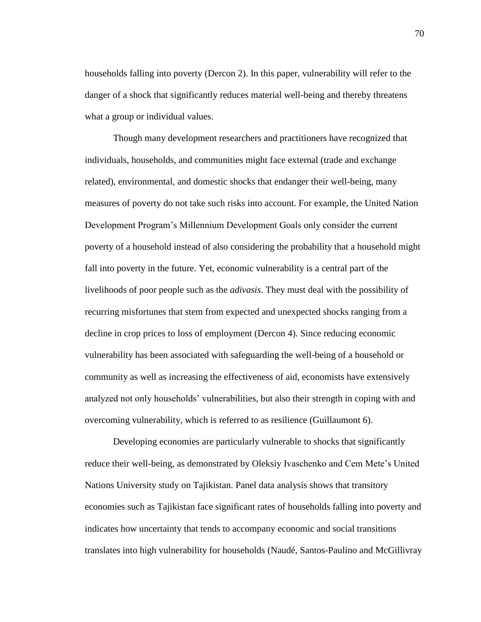households falling into poverty (Dercon 2). In this paper, vulnerability will refer to the danger of a shock that significantly reduces material well-being and thereby threatens what a group or individual values.

Though many development researchers and practitioners have recognized that individuals, households, and communities might face external (trade and exchange related), environmental, and domestic shocks that endanger their well-being, many measures of poverty do not take such risks into account. For example, the United Nation Development Program"s Millennium Development Goals only consider the current poverty of a household instead of also considering the probability that a household might fall into poverty in the future. Yet, economic vulnerability is a central part of the livelihoods of poor people such as the *adivasis*. They must deal with the possibility of recurring misfortunes that stem from expected and unexpected shocks ranging from a decline in crop prices to loss of employment (Dercon 4). Since reducing economic vulnerability has been associated with safeguarding the well-being of a household or community as well as increasing the effectiveness of aid, economists have extensively analyzed not only households" vulnerabilities, but also their strength in coping with and overcoming vulnerability, which is referred to as resilience (Guillaumont 6).

Developing economies are particularly vulnerable to shocks that significantly reduce their well-being, as demonstrated by Oleksiy Ivaschenko and Cem Mete"s United Nations University study on Tajikistan. Panel data analysis shows that transitory economies such as Tajikistan face significant rates of households falling into poverty and indicates how uncertainty that tends to accompany economic and social transitions translates into high vulnerability for households (Naudé, Santos-Paulino and McGillivray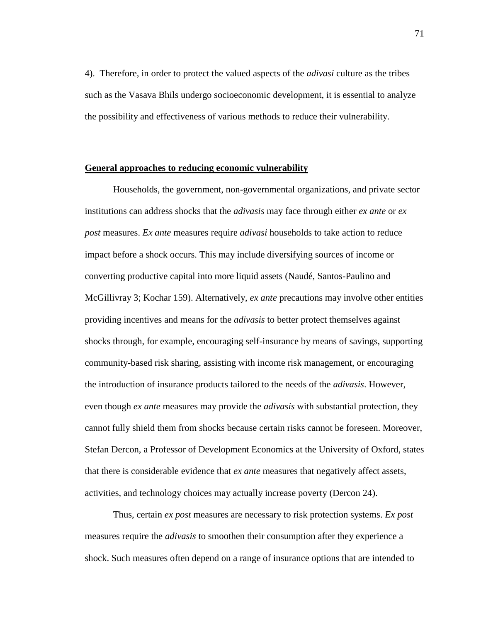4). Therefore, in order to protect the valued aspects of the *adivasi* culture as the tribes such as the Vasava Bhils undergo socioeconomic development, it is essential to analyze the possibility and effectiveness of various methods to reduce their vulnerability.

## **General approaches to reducing economic vulnerability**

Households, the government, non-governmental organizations, and private sector institutions can address shocks that the *adivasis* may face through either *ex ante* or *ex post* measures. *Ex ante* measures require *adivasi* households to take action to reduce impact before a shock occurs. This may include diversifying sources of income or converting productive capital into more liquid assets (Naudé, Santos-Paulino and McGillivray 3; Kochar 159). Alternatively, *ex ante* precautions may involve other entities providing incentives and means for the *adivasis* to better protect themselves against shocks through, for example, encouraging self-insurance by means of savings, supporting community-based risk sharing, assisting with income risk management, or encouraging the introduction of insurance products tailored to the needs of the *adivasis*. However, even though *ex ante* measures may provide the *adivasis* with substantial protection, they cannot fully shield them from shocks because certain risks cannot be foreseen. Moreover, Stefan Dercon, a Professor of Development Economics at the University of Oxford, states that there is considerable evidence that *ex ante* measures that negatively affect assets, activities, and technology choices may actually increase poverty (Dercon 24).

Thus, certain *ex post* measures are necessary to risk protection systems. *Ex post* measures require the *adivasis* to smoothen their consumption after they experience a shock. Such measures often depend on a range of insurance options that are intended to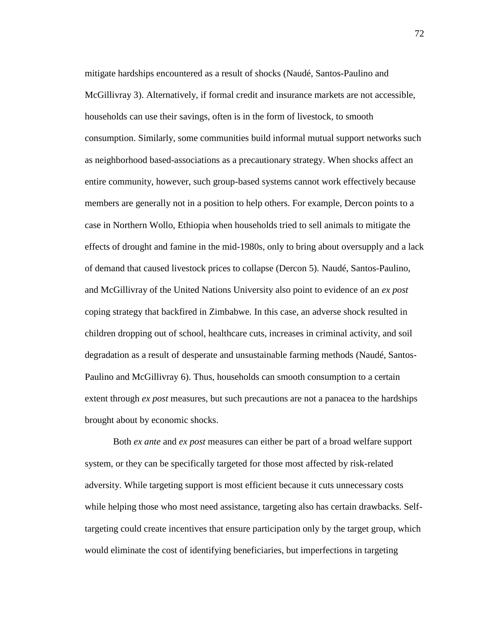mitigate hardships encountered as a result of shocks (Naudé, Santos-Paulino and McGillivray 3). Alternatively, if formal credit and insurance markets are not accessible, households can use their savings, often is in the form of livestock, to smooth consumption. Similarly, some communities build informal mutual support networks such as neighborhood based-associations as a precautionary strategy. When shocks affect an entire community, however, such group-based systems cannot work effectively because members are generally not in a position to help others. For example, Dercon points to a case in Northern Wollo, Ethiopia when households tried to sell animals to mitigate the effects of drought and famine in the mid-1980s, only to bring about oversupply and a lack of demand that caused livestock prices to collapse (Dercon 5). Naudé, Santos-Paulino, and McGillivray of the United Nations University also point to evidence of an *ex post*  coping strategy that backfired in Zimbabwe. In this case, an adverse shock resulted in children dropping out of school, healthcare cuts, increases in criminal activity, and soil degradation as a result of desperate and unsustainable farming methods (Naudé, Santos-Paulino and McGillivray 6). Thus, households can smooth consumption to a certain extent through *ex post* measures, but such precautions are not a panacea to the hardships brought about by economic shocks.

Both *ex ante* and *ex post* measures can either be part of a broad welfare support system, or they can be specifically targeted for those most affected by risk-related adversity. While targeting support is most efficient because it cuts unnecessary costs while helping those who most need assistance, targeting also has certain drawbacks. Selftargeting could create incentives that ensure participation only by the target group, which would eliminate the cost of identifying beneficiaries, but imperfections in targeting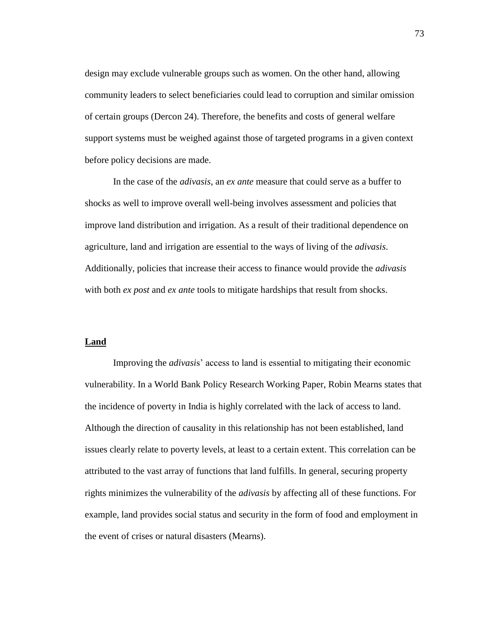design may exclude vulnerable groups such as women. On the other hand, allowing community leaders to select beneficiaries could lead to corruption and similar omission of certain groups (Dercon 24). Therefore, the benefits and costs of general welfare support systems must be weighed against those of targeted programs in a given context before policy decisions are made.

In the case of the *adivasis*, an *ex ante* measure that could serve as a buffer to shocks as well to improve overall well-being involves assessment and policies that improve land distribution and irrigation. As a result of their traditional dependence on agriculture, land and irrigation are essential to the ways of living of the *adivasis*. Additionally, policies that increase their access to finance would provide the *adivasis* with both *ex post* and *ex ante* tools to mitigate hardships that result from shocks.

#### **Land**

Improving the *adivasi*s" access to land is essential to mitigating their economic vulnerability. In a World Bank Policy Research Working Paper, Robin Mearns states that the incidence of poverty in India is highly correlated with the lack of access to land. Although the direction of causality in this relationship has not been established, land issues clearly relate to poverty levels, at least to a certain extent. This correlation can be attributed to the vast array of functions that land fulfills. In general, securing property rights minimizes the vulnerability of the *adivasis* by affecting all of these functions. For example, land provides social status and security in the form of food and employment in the event of crises or natural disasters (Mearns).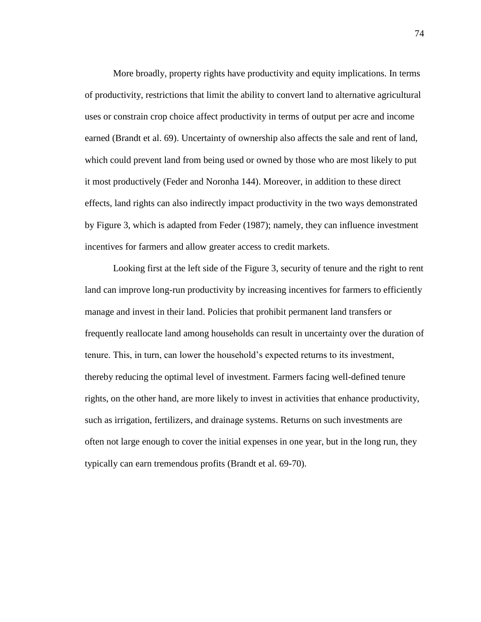More broadly, property rights have productivity and equity implications. In terms of productivity, restrictions that limit the ability to convert land to alternative agricultural uses or constrain crop choice affect productivity in terms of output per acre and income earned (Brandt et al. 69). Uncertainty of ownership also affects the sale and rent of land, which could prevent land from being used or owned by those who are most likely to put it most productively (Feder and Noronha 144). Moreover, in addition to these direct effects, land rights can also indirectly impact productivity in the two ways demonstrated by Figure 3, which is adapted from Feder (1987); namely, they can influence investment incentives for farmers and allow greater access to credit markets.

Looking first at the left side of the Figure 3, security of tenure and the right to rent land can improve long-run productivity by increasing incentives for farmers to efficiently manage and invest in their land. Policies that prohibit permanent land transfers or frequently reallocate land among households can result in uncertainty over the duration of tenure. This, in turn, can lower the household"s expected returns to its investment, thereby reducing the optimal level of investment. Farmers facing well-defined tenure rights, on the other hand, are more likely to invest in activities that enhance productivity, such as irrigation, fertilizers, and drainage systems. Returns on such investments are often not large enough to cover the initial expenses in one year, but in the long run, they typically can earn tremendous profits (Brandt et al. 69-70).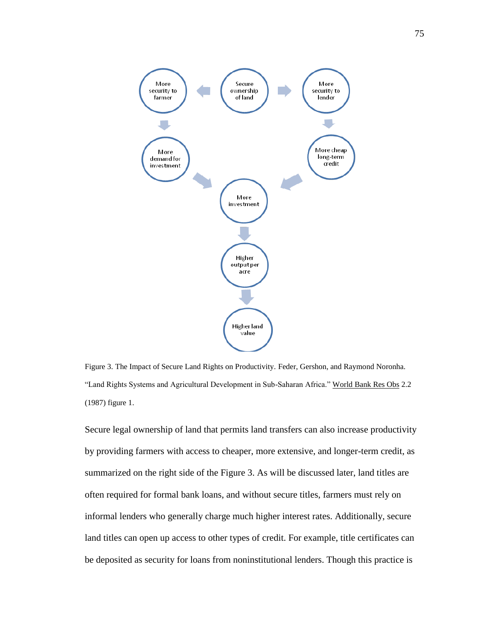

Figure 3. The Impact of Secure Land Rights on Productivity. Feder, Gershon, and Raymond Noronha. "Land Rights Systems and Agricultural Development in Sub-Saharan Africa." World Bank Res Obs 2.2 (1987) figure 1.

Secure legal ownership of land that permits land transfers can also increase productivity by providing farmers with access to cheaper, more extensive, and longer-term credit, as summarized on the right side of the Figure 3. As will be discussed later, land titles are often required for formal bank loans, and without secure titles, farmers must rely on informal lenders who generally charge much higher interest rates. Additionally, secure land titles can open up access to other types of credit. For example, title certificates can be deposited as security for loans from noninstitutional lenders. Though this practice is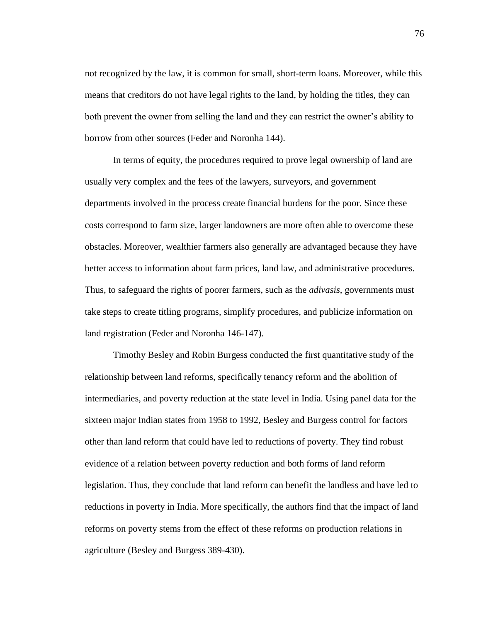not recognized by the law, it is common for small, short-term loans. Moreover, while this means that creditors do not have legal rights to the land, by holding the titles, they can both prevent the owner from selling the land and they can restrict the owner's ability to borrow from other sources (Feder and Noronha 144).

In terms of equity, the procedures required to prove legal ownership of land are usually very complex and the fees of the lawyers, surveyors, and government departments involved in the process create financial burdens for the poor. Since these costs correspond to farm size, larger landowners are more often able to overcome these obstacles. Moreover, wealthier farmers also generally are advantaged because they have better access to information about farm prices, land law, and administrative procedures. Thus, to safeguard the rights of poorer farmers, such as the *adivasis*, governments must take steps to create titling programs, simplify procedures, and publicize information on land registration (Feder and Noronha 146-147).

Timothy Besley and Robin Burgess conducted the first quantitative study of the relationship between land reforms, specifically tenancy reform and the abolition of intermediaries, and poverty reduction at the state level in India. Using panel data for the sixteen major Indian states from 1958 to 1992, Besley and Burgess control for factors other than land reform that could have led to reductions of poverty. They find robust evidence of a relation between poverty reduction and both forms of land reform legislation. Thus, they conclude that land reform can benefit the landless and have led to reductions in poverty in India. More specifically, the authors find that the impact of land reforms on poverty stems from the effect of these reforms on production relations in agriculture (Besley and Burgess 389-430).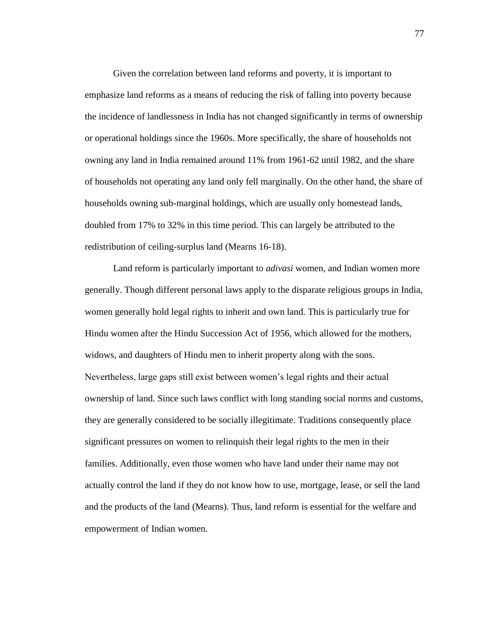Given the correlation between land reforms and poverty, it is important to emphasize land reforms as a means of reducing the risk of falling into poverty because the incidence of landlessness in India has not changed significantly in terms of ownership or operational holdings since the 1960s. More specifically, the share of households not owning any land in India remained around 11% from 1961-62 until 1982, and the share of households not operating any land only fell marginally. On the other hand, the share of households owning sub-marginal holdings, which are usually only homestead lands, doubled from 17% to 32% in this time period. This can largely be attributed to the redistribution of ceiling-surplus land (Mearns 16-18).

Land reform is particularly important to *adivasi* women, and Indian women more generally. Though different personal laws apply to the disparate religious groups in India, women generally hold legal rights to inherit and own land. This is particularly true for Hindu women after the Hindu Succession Act of 1956, which allowed for the mothers, widows, and daughters of Hindu men to inherit property along with the sons. Nevertheless, large gaps still exist between women"s legal rights and their actual ownership of land. Since such laws conflict with long standing social norms and customs, they are generally considered to be socially illegitimate. Traditions consequently place significant pressures on women to relinquish their legal rights to the men in their families. Additionally, even those women who have land under their name may not actually control the land if they do not know how to use, mortgage, lease, or sell the land and the products of the land (Mearns). Thus, land reform is essential for the welfare and empowerment of Indian women.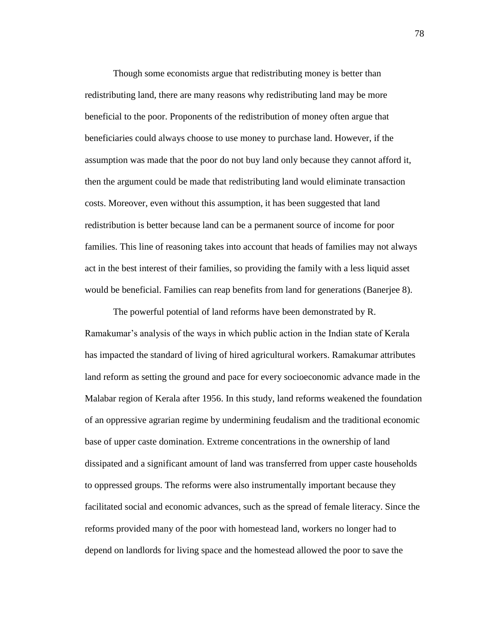Though some economists argue that redistributing money is better than redistributing land, there are many reasons why redistributing land may be more beneficial to the poor. Proponents of the redistribution of money often argue that beneficiaries could always choose to use money to purchase land. However, if the assumption was made that the poor do not buy land only because they cannot afford it, then the argument could be made that redistributing land would eliminate transaction costs. Moreover, even without this assumption, it has been suggested that land redistribution is better because land can be a permanent source of income for poor families. This line of reasoning takes into account that heads of families may not always act in the best interest of their families, so providing the family with a less liquid asset would be beneficial. Families can reap benefits from land for generations (Banerjee 8).

The powerful potential of land reforms have been demonstrated by R. Ramakumar"s analysis of the ways in which public action in the Indian state of Kerala has impacted the standard of living of hired agricultural workers. Ramakumar attributes land reform as setting the ground and pace for every socioeconomic advance made in the Malabar region of Kerala after 1956. In this study, land reforms weakened the foundation of an oppressive agrarian regime by undermining feudalism and the traditional economic base of upper caste domination. Extreme concentrations in the ownership of land dissipated and a significant amount of land was transferred from upper caste households to oppressed groups. The reforms were also instrumentally important because they facilitated social and economic advances, such as the spread of female literacy. Since the reforms provided many of the poor with homestead land, workers no longer had to depend on landlords for living space and the homestead allowed the poor to save the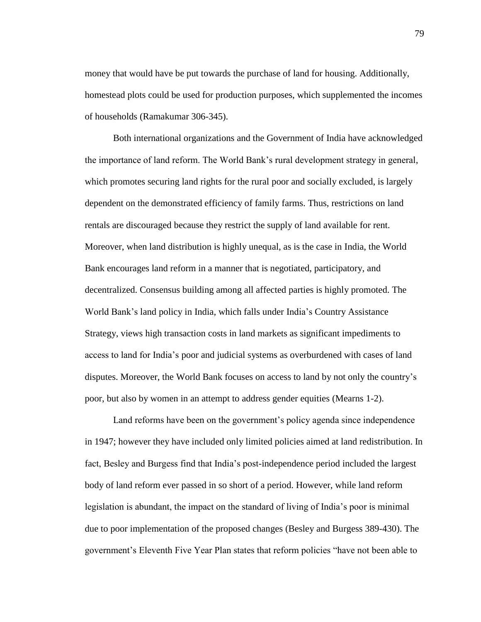money that would have be put towards the purchase of land for housing. Additionally, homestead plots could be used for production purposes, which supplemented the incomes of households (Ramakumar 306-345).

Both international organizations and the Government of India have acknowledged the importance of land reform. The World Bank"s rural development strategy in general, which promotes securing land rights for the rural poor and socially excluded, is largely dependent on the demonstrated efficiency of family farms. Thus, restrictions on land rentals are discouraged because they restrict the supply of land available for rent. Moreover, when land distribution is highly unequal, as is the case in India, the World Bank encourages land reform in a manner that is negotiated, participatory, and decentralized. Consensus building among all affected parties is highly promoted. The World Bank"s land policy in India, which falls under India"s Country Assistance Strategy, views high transaction costs in land markets as significant impediments to access to land for India"s poor and judicial systems as overburdened with cases of land disputes. Moreover, the World Bank focuses on access to land by not only the country"s poor, but also by women in an attempt to address gender equities (Mearns 1-2).

Land reforms have been on the government's policy agenda since independence in 1947; however they have included only limited policies aimed at land redistribution. In fact, Besley and Burgess find that India"s post-independence period included the largest body of land reform ever passed in so short of a period. However, while land reform legislation is abundant, the impact on the standard of living of India"s poor is minimal due to poor implementation of the proposed changes (Besley and Burgess 389-430). The government"s Eleventh Five Year Plan states that reform policies "have not been able to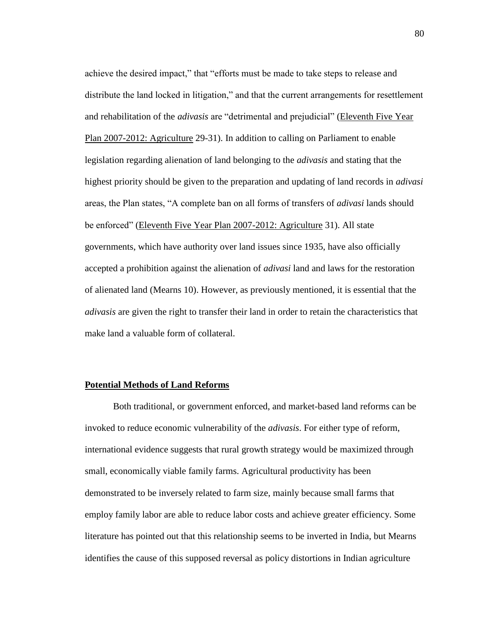achieve the desired impact," that "efforts must be made to take steps to release and distribute the land locked in litigation," and that the current arrangements for resettlement and rehabilitation of the *adivasis* are "detrimental and prejudicial" (Eleventh Five Year Plan 2007-2012: Agriculture 29-31). In addition to calling on Parliament to enable legislation regarding alienation of land belonging to the *adivasis* and stating that the highest priority should be given to the preparation and updating of land records in *adivasi* areas, the Plan states, "A complete ban on all forms of transfers of *adivasi* lands should be enforced" (Eleventh Five Year Plan 2007-2012: Agriculture 31). All state governments, which have authority over land issues since 1935, have also officially accepted a prohibition against the alienation of *adivasi* land and laws for the restoration of alienated land (Mearns 10). However, as previously mentioned, it is essential that the *adivasis* are given the right to transfer their land in order to retain the characteristics that make land a valuable form of collateral.

## **Potential Methods of Land Reforms**

Both traditional, or government enforced, and market-based land reforms can be invoked to reduce economic vulnerability of the *adivasis*. For either type of reform, international evidence suggests that rural growth strategy would be maximized through small, economically viable family farms. Agricultural productivity has been demonstrated to be inversely related to farm size, mainly because small farms that employ family labor are able to reduce labor costs and achieve greater efficiency. Some literature has pointed out that this relationship seems to be inverted in India, but Mearns identifies the cause of this supposed reversal as policy distortions in Indian agriculture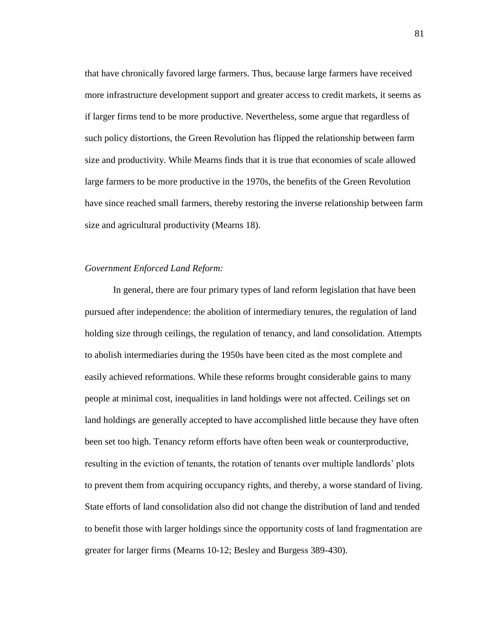that have chronically favored large farmers. Thus, because large farmers have received more infrastructure development support and greater access to credit markets, it seems as if larger firms tend to be more productive. Nevertheless, some argue that regardless of such policy distortions, the Green Revolution has flipped the relationship between farm size and productivity. While Mearns finds that it is true that economies of scale allowed large farmers to be more productive in the 1970s, the benefits of the Green Revolution have since reached small farmers, thereby restoring the inverse relationship between farm size and agricultural productivity (Mearns 18).

# *Government Enforced Land Reform:*

In general, there are four primary types of land reform legislation that have been pursued after independence: the abolition of intermediary tenures, the regulation of land holding size through ceilings, the regulation of tenancy, and land consolidation. Attempts to abolish intermediaries during the 1950s have been cited as the most complete and easily achieved reformations. While these reforms brought considerable gains to many people at minimal cost, inequalities in land holdings were not affected. Ceilings set on land holdings are generally accepted to have accomplished little because they have often been set too high. Tenancy reform efforts have often been weak or counterproductive, resulting in the eviction of tenants, the rotation of tenants over multiple landlords' plots to prevent them from acquiring occupancy rights, and thereby, a worse standard of living. State efforts of land consolidation also did not change the distribution of land and tended to benefit those with larger holdings since the opportunity costs of land fragmentation are greater for larger firms (Mearns 10-12; Besley and Burgess 389-430).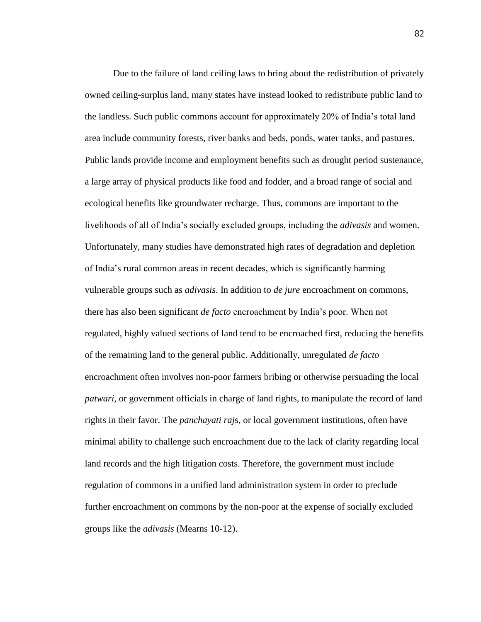Due to the failure of land ceiling laws to bring about the redistribution of privately owned ceiling-surplus land, many states have instead looked to redistribute public land to the landless. Such public commons account for approximately 20% of India"s total land area include community forests, river banks and beds, ponds, water tanks, and pastures. Public lands provide income and employment benefits such as drought period sustenance, a large array of physical products like food and fodder, and a broad range of social and ecological benefits like groundwater recharge. Thus, commons are important to the livelihoods of all of India"s socially excluded groups, including the *adivasis* and women. Unfortunately, many studies have demonstrated high rates of degradation and depletion of India"s rural common areas in recent decades, which is significantly harming vulnerable groups such as *adivasis*. In addition to *de jure* encroachment on commons, there has also been significant *de facto* encroachment by India"s poor. When not regulated, highly valued sections of land tend to be encroached first, reducing the benefits of the remaining land to the general public. Additionally, unregulated *de facto* encroachment often involves non-poor farmers bribing or otherwise persuading the local *patwari*, or government officials in charge of land rights, to manipulate the record of land rights in their favor. The *panchayati raj*s, or local government institutions, often have minimal ability to challenge such encroachment due to the lack of clarity regarding local land records and the high litigation costs. Therefore, the government must include regulation of commons in a unified land administration system in order to preclude further encroachment on commons by the non-poor at the expense of socially excluded groups like the *adivasis* (Mearns 10-12).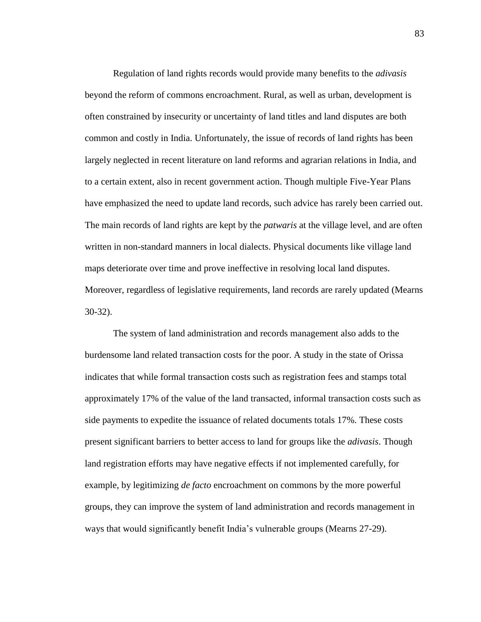Regulation of land rights records would provide many benefits to the *adivasis* beyond the reform of commons encroachment. Rural, as well as urban, development is often constrained by insecurity or uncertainty of land titles and land disputes are both common and costly in India. Unfortunately, the issue of records of land rights has been largely neglected in recent literature on land reforms and agrarian relations in India, and to a certain extent, also in recent government action. Though multiple Five-Year Plans have emphasized the need to update land records, such advice has rarely been carried out. The main records of land rights are kept by the *patwaris* at the village level, and are often written in non-standard manners in local dialects. Physical documents like village land maps deteriorate over time and prove ineffective in resolving local land disputes. Moreover, regardless of legislative requirements, land records are rarely updated (Mearns 30-32).

The system of land administration and records management also adds to the burdensome land related transaction costs for the poor. A study in the state of Orissa indicates that while formal transaction costs such as registration fees and stamps total approximately 17% of the value of the land transacted, informal transaction costs such as side payments to expedite the issuance of related documents totals 17%. These costs present significant barriers to better access to land for groups like the *adivasis*. Though land registration efforts may have negative effects if not implemented carefully, for example, by legitimizing *de facto* encroachment on commons by the more powerful groups, they can improve the system of land administration and records management in ways that would significantly benefit India"s vulnerable groups (Mearns 27-29).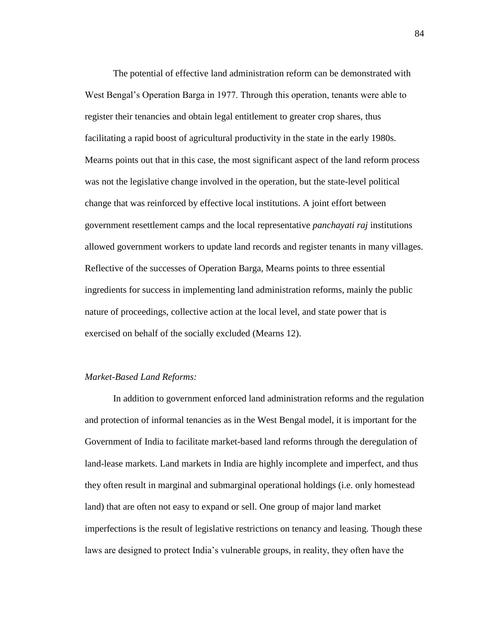The potential of effective land administration reform can be demonstrated with West Bengal"s Operation Barga in 1977. Through this operation, tenants were able to register their tenancies and obtain legal entitlement to greater crop shares, thus facilitating a rapid boost of agricultural productivity in the state in the early 1980s. Mearns points out that in this case, the most significant aspect of the land reform process was not the legislative change involved in the operation, but the state-level political change that was reinforced by effective local institutions. A joint effort between government resettlement camps and the local representative *panchayati raj* institutions allowed government workers to update land records and register tenants in many villages. Reflective of the successes of Operation Barga, Mearns points to three essential ingredients for success in implementing land administration reforms, mainly the public nature of proceedings, collective action at the local level, and state power that is exercised on behalf of the socially excluded (Mearns 12).

# *Market-Based Land Reforms:*

In addition to government enforced land administration reforms and the regulation and protection of informal tenancies as in the West Bengal model, it is important for the Government of India to facilitate market-based land reforms through the deregulation of land-lease markets. Land markets in India are highly incomplete and imperfect, and thus they often result in marginal and submarginal operational holdings (i.e. only homestead land) that are often not easy to expand or sell. One group of major land market imperfections is the result of legislative restrictions on tenancy and leasing. Though these laws are designed to protect India"s vulnerable groups, in reality, they often have the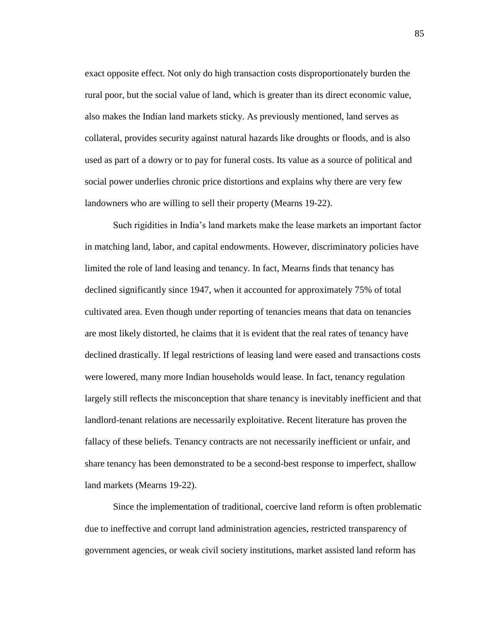exact opposite effect. Not only do high transaction costs disproportionately burden the rural poor, but the social value of land, which is greater than its direct economic value, also makes the Indian land markets sticky. As previously mentioned, land serves as collateral, provides security against natural hazards like droughts or floods, and is also used as part of a dowry or to pay for funeral costs. Its value as a source of political and social power underlies chronic price distortions and explains why there are very few landowners who are willing to sell their property (Mearns 19-22).

Such rigidities in India"s land markets make the lease markets an important factor in matching land, labor, and capital endowments. However, discriminatory policies have limited the role of land leasing and tenancy. In fact, Mearns finds that tenancy has declined significantly since 1947, when it accounted for approximately 75% of total cultivated area. Even though under reporting of tenancies means that data on tenancies are most likely distorted, he claims that it is evident that the real rates of tenancy have declined drastically. If legal restrictions of leasing land were eased and transactions costs were lowered, many more Indian households would lease. In fact, tenancy regulation largely still reflects the misconception that share tenancy is inevitably inefficient and that landlord-tenant relations are necessarily exploitative. Recent literature has proven the fallacy of these beliefs. Tenancy contracts are not necessarily inefficient or unfair, and share tenancy has been demonstrated to be a second-best response to imperfect, shallow land markets (Mearns 19-22).

Since the implementation of traditional, coercive land reform is often problematic due to ineffective and corrupt land administration agencies, restricted transparency of government agencies, or weak civil society institutions, market assisted land reform has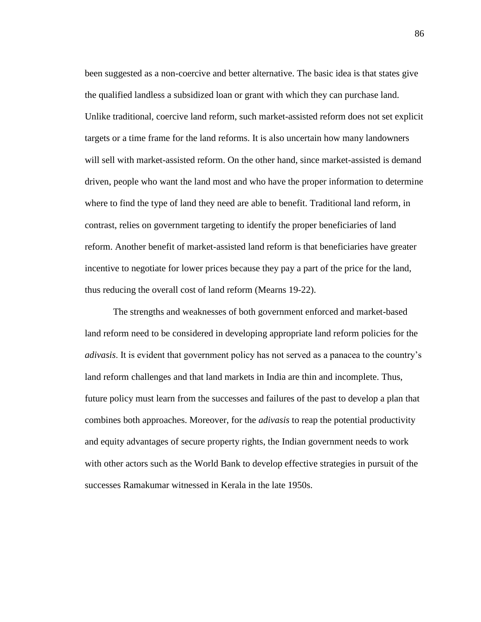been suggested as a non-coercive and better alternative. The basic idea is that states give the qualified landless a subsidized loan or grant with which they can purchase land. Unlike traditional, coercive land reform, such market-assisted reform does not set explicit targets or a time frame for the land reforms. It is also uncertain how many landowners will sell with market-assisted reform. On the other hand, since market-assisted is demand driven, people who want the land most and who have the proper information to determine where to find the type of land they need are able to benefit. Traditional land reform, in contrast, relies on government targeting to identify the proper beneficiaries of land reform. Another benefit of market-assisted land reform is that beneficiaries have greater incentive to negotiate for lower prices because they pay a part of the price for the land, thus reducing the overall cost of land reform (Mearns 19-22).

The strengths and weaknesses of both government enforced and market-based land reform need to be considered in developing appropriate land reform policies for the *adivasis*. It is evident that government policy has not served as a panacea to the country"s land reform challenges and that land markets in India are thin and incomplete. Thus, future policy must learn from the successes and failures of the past to develop a plan that combines both approaches. Moreover, for the *adivasis* to reap the potential productivity and equity advantages of secure property rights, the Indian government needs to work with other actors such as the World Bank to develop effective strategies in pursuit of the successes Ramakumar witnessed in Kerala in the late 1950s.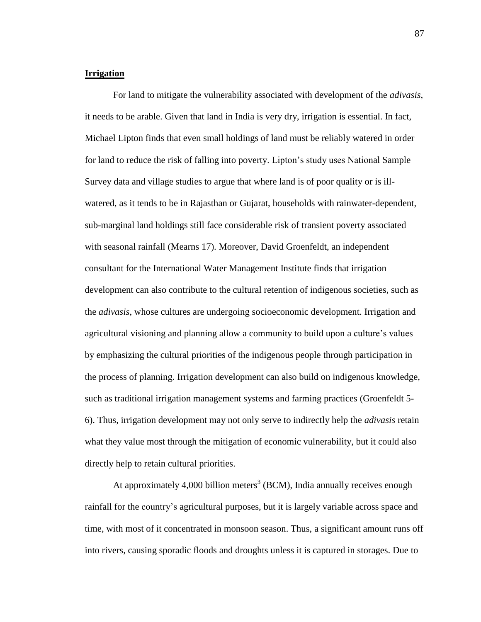# **Irrigation**

For land to mitigate the vulnerability associated with development of the *adivasis*, it needs to be arable. Given that land in India is very dry, irrigation is essential. In fact, Michael Lipton finds that even small holdings of land must be reliably watered in order for land to reduce the risk of falling into poverty. Lipton"s study uses National Sample Survey data and village studies to argue that where land is of poor quality or is illwatered, as it tends to be in Rajasthan or Gujarat, households with rainwater-dependent, sub-marginal land holdings still face considerable risk of transient poverty associated with seasonal rainfall (Mearns 17). Moreover, David Groenfeldt, an independent consultant for the International Water Management Institute finds that irrigation development can also contribute to the cultural retention of indigenous societies, such as the *adivasis*, whose cultures are undergoing socioeconomic development. Irrigation and agricultural visioning and planning allow a community to build upon a culture"s values by emphasizing the cultural priorities of the indigenous people through participation in the process of planning. Irrigation development can also build on indigenous knowledge, such as traditional irrigation management systems and farming practices (Groenfeldt 5- 6). Thus, irrigation development may not only serve to indirectly help the *adivasis* retain what they value most through the mitigation of economic vulnerability, but it could also directly help to retain cultural priorities.

At approximately 4,000 billion meters<sup>3</sup> (BCM), India annually receives enough rainfall for the country"s agricultural purposes, but it is largely variable across space and time, with most of it concentrated in monsoon season. Thus, a significant amount runs off into rivers, causing sporadic floods and droughts unless it is captured in storages. Due to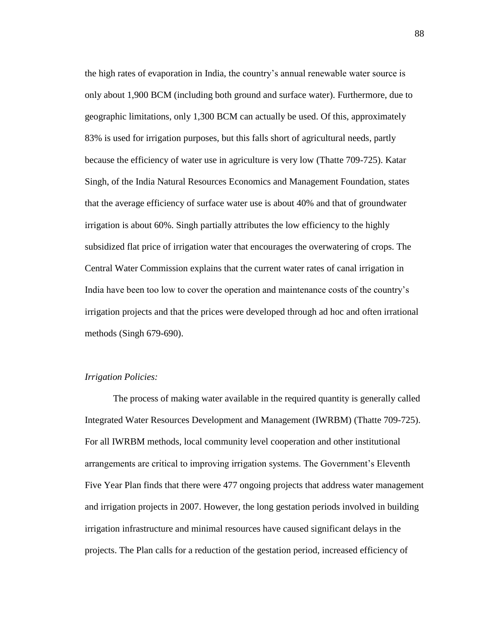the high rates of evaporation in India, the country"s annual renewable water source is only about 1,900 BCM (including both ground and surface water). Furthermore, due to geographic limitations, only 1,300 BCM can actually be used. Of this, approximately 83% is used for irrigation purposes, but this falls short of agricultural needs, partly because the efficiency of water use in agriculture is very low (Thatte 709-725). Katar Singh, of the India Natural Resources Economics and Management Foundation, states that the average efficiency of surface water use is about 40% and that of groundwater irrigation is about 60%. Singh partially attributes the low efficiency to the highly subsidized flat price of irrigation water that encourages the overwatering of crops. The Central Water Commission explains that the current water rates of canal irrigation in India have been too low to cover the operation and maintenance costs of the country"s irrigation projects and that the prices were developed through ad hoc and often irrational methods (Singh 679-690).

# *Irrigation Policies:*

The process of making water available in the required quantity is generally called Integrated Water Resources Development and Management (IWRBM) (Thatte 709-725). For all IWRBM methods, local community level cooperation and other institutional arrangements are critical to improving irrigation systems. The Government"s Eleventh Five Year Plan finds that there were 477 ongoing projects that address water management and irrigation projects in 2007. However, the long gestation periods involved in building irrigation infrastructure and minimal resources have caused significant delays in the projects. The Plan calls for a reduction of the gestation period, increased efficiency of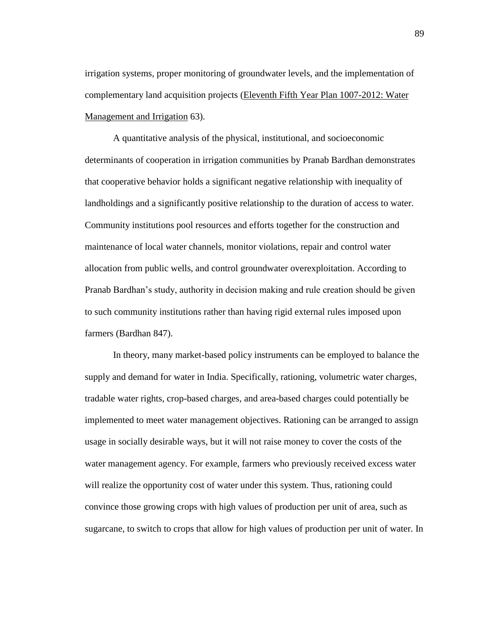irrigation systems, proper monitoring of groundwater levels, and the implementation of complementary land acquisition projects (Eleventh Fifth Year Plan 1007-2012: Water Management and Irrigation 63).

A quantitative analysis of the physical, institutional, and socioeconomic determinants of cooperation in irrigation communities by Pranab Bardhan demonstrates that cooperative behavior holds a significant negative relationship with inequality of landholdings and a significantly positive relationship to the duration of access to water. Community institutions pool resources and efforts together for the construction and maintenance of local water channels, monitor violations, repair and control water allocation from public wells, and control groundwater overexploitation. According to Pranab Bardhan"s study, authority in decision making and rule creation should be given to such community institutions rather than having rigid external rules imposed upon farmers (Bardhan 847).

In theory, many market-based policy instruments can be employed to balance the supply and demand for water in India. Specifically, rationing, volumetric water charges, tradable water rights, crop-based charges, and area-based charges could potentially be implemented to meet water management objectives. Rationing can be arranged to assign usage in socially desirable ways, but it will not raise money to cover the costs of the water management agency. For example, farmers who previously received excess water will realize the opportunity cost of water under this system. Thus, rationing could convince those growing crops with high values of production per unit of area, such as sugarcane, to switch to crops that allow for high values of production per unit of water. In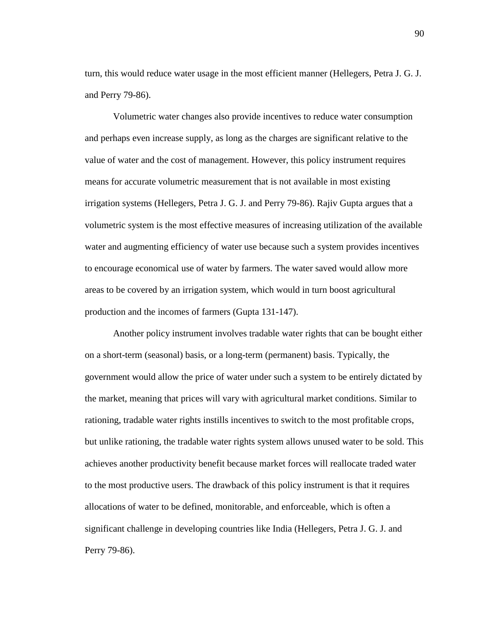turn, this would reduce water usage in the most efficient manner (Hellegers, Petra J. G. J. and Perry 79-86).

Volumetric water changes also provide incentives to reduce water consumption and perhaps even increase supply, as long as the charges are significant relative to the value of water and the cost of management. However, this policy instrument requires means for accurate volumetric measurement that is not available in most existing irrigation systems (Hellegers, Petra J. G. J. and Perry 79-86). Rajiv Gupta argues that a volumetric system is the most effective measures of increasing utilization of the available water and augmenting efficiency of water use because such a system provides incentives to encourage economical use of water by farmers. The water saved would allow more areas to be covered by an irrigation system, which would in turn boost agricultural production and the incomes of farmers (Gupta 131-147).

Another policy instrument involves tradable water rights that can be bought either on a short-term (seasonal) basis, or a long-term (permanent) basis. Typically, the government would allow the price of water under such a system to be entirely dictated by the market, meaning that prices will vary with agricultural market conditions. Similar to rationing, tradable water rights instills incentives to switch to the most profitable crops, but unlike rationing, the tradable water rights system allows unused water to be sold. This achieves another productivity benefit because market forces will reallocate traded water to the most productive users. The drawback of this policy instrument is that it requires allocations of water to be defined, monitorable, and enforceable, which is often a significant challenge in developing countries like India (Hellegers, Petra J. G. J. and Perry 79-86).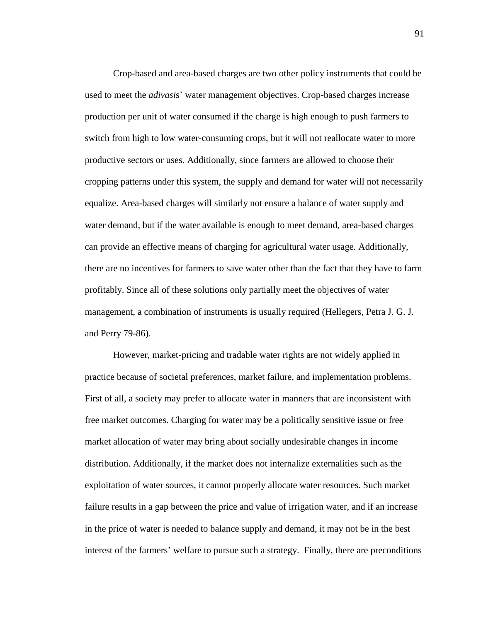Crop-based and area-based charges are two other policy instruments that could be used to meet the *adivasis*' water management objectives. Crop-based charges increase production per unit of water consumed if the charge is high enough to push farmers to switch from high to low water-consuming crops, but it will not reallocate water to more productive sectors or uses. Additionally, since farmers are allowed to choose their cropping patterns under this system, the supply and demand for water will not necessarily equalize. Area-based charges will similarly not ensure a balance of water supply and water demand, but if the water available is enough to meet demand, area-based charges can provide an effective means of charging for agricultural water usage. Additionally, there are no incentives for farmers to save water other than the fact that they have to farm profitably. Since all of these solutions only partially meet the objectives of water management, a combination of instruments is usually required (Hellegers, Petra J. G. J. and Perry 79-86).

However, market-pricing and tradable water rights are not widely applied in practice because of societal preferences, market failure, and implementation problems. First of all, a society may prefer to allocate water in manners that are inconsistent with free market outcomes. Charging for water may be a politically sensitive issue or free market allocation of water may bring about socially undesirable changes in income distribution. Additionally, if the market does not internalize externalities such as the exploitation of water sources, it cannot properly allocate water resources. Such market failure results in a gap between the price and value of irrigation water, and if an increase in the price of water is needed to balance supply and demand, it may not be in the best interest of the farmers' welfare to pursue such a strategy. Finally, there are preconditions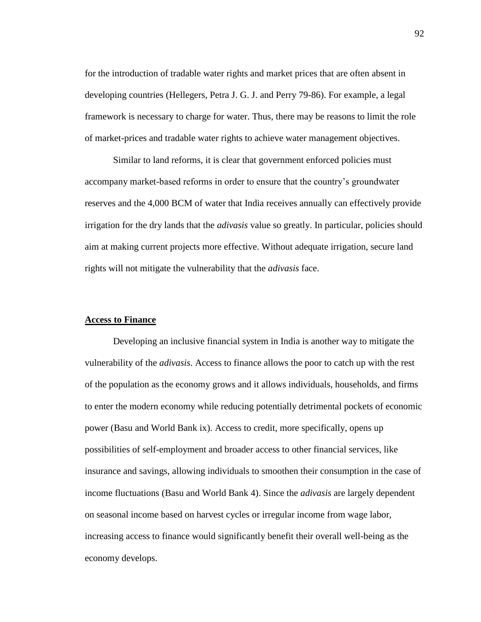for the introduction of tradable water rights and market prices that are often absent in developing countries (Hellegers, Petra J. G. J. and Perry 79-86). For example, a legal framework is necessary to charge for water. Thus, there may be reasons to limit the role of market-prices and tradable water rights to achieve water management objectives.

Similar to land reforms, it is clear that government enforced policies must accompany market-based reforms in order to ensure that the country"s groundwater reserves and the 4,000 BCM of water that India receives annually can effectively provide irrigation for the dry lands that the *adivasis* value so greatly. In particular, policies should aim at making current projects more effective. Without adequate irrigation, secure land rights will not mitigate the vulnerability that the *adivasis* face.

# **Access to Finance**

Developing an inclusive financial system in India is another way to mitigate the vulnerability of the *adivasis*. Access to finance allows the poor to catch up with the rest of the population as the economy grows and it allows individuals, households, and firms to enter the modern economy while reducing potentially detrimental pockets of economic power (Basu and World Bank ix). Access to credit, more specifically, opens up possibilities of self-employment and broader access to other financial services, like insurance and savings, allowing individuals to smoothen their consumption in the case of income fluctuations (Basu and World Bank 4). Since the *adivasis* are largely dependent on seasonal income based on harvest cycles or irregular income from wage labor, increasing access to finance would significantly benefit their overall well-being as the economy develops.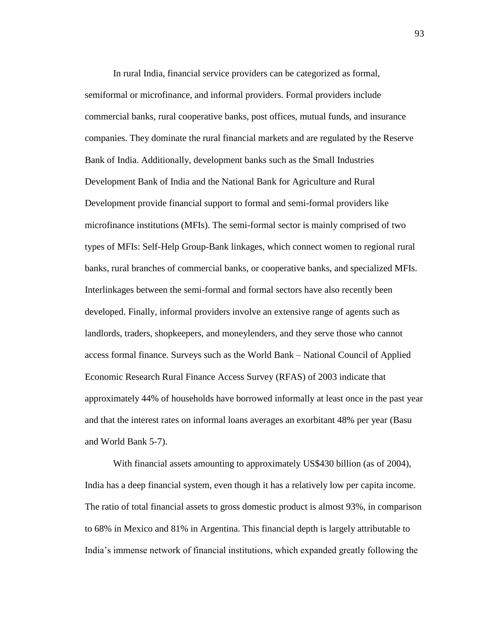In rural India, financial service providers can be categorized as formal, semiformal or microfinance, and informal providers. Formal providers include commercial banks, rural cooperative banks, post offices, mutual funds, and insurance companies. They dominate the rural financial markets and are regulated by the Reserve Bank of India. Additionally, development banks such as the Small Industries Development Bank of India and the National Bank for Agriculture and Rural Development provide financial support to formal and semi-formal providers like microfinance institutions (MFIs). The semi-formal sector is mainly comprised of two types of MFIs: Self-Help Group-Bank linkages, which connect women to regional rural banks, rural branches of commercial banks, or cooperative banks, and specialized MFIs. Interlinkages between the semi-formal and formal sectors have also recently been developed. Finally, informal providers involve an extensive range of agents such as landlords, traders, shopkeepers, and moneylenders, and they serve those who cannot access formal finance. Surveys such as the World Bank – National Council of Applied Economic Research Rural Finance Access Survey (RFAS) of 2003 indicate that approximately 44% of households have borrowed informally at least once in the past year and that the interest rates on informal loans averages an exorbitant 48% per year (Basu and World Bank 5-7).

With financial assets amounting to approximately US\$430 billion (as of 2004), India has a deep financial system, even though it has a relatively low per capita income. The ratio of total financial assets to gross domestic product is almost 93%, in comparison to 68% in Mexico and 81% in Argentina. This financial depth is largely attributable to India"s immense network of financial institutions, which expanded greatly following the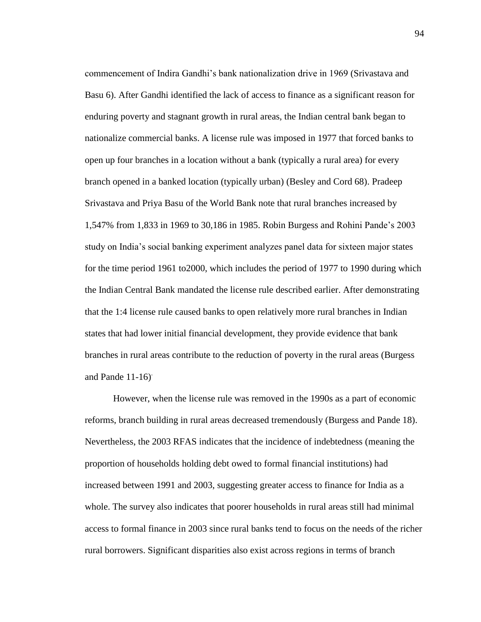commencement of Indira Gandhi"s bank nationalization drive in 1969 (Srivastava and Basu 6). After Gandhi identified the lack of access to finance as a significant reason for enduring poverty and stagnant growth in rural areas, the Indian central bank began to nationalize commercial banks. A license rule was imposed in 1977 that forced banks to open up four branches in a location without a bank (typically a rural area) for every branch opened in a banked location (typically urban) (Besley and Cord 68). Pradeep Srivastava and Priya Basu of the World Bank note that rural branches increased by 1,547% from 1,833 in 1969 to 30,186 in 1985. Robin Burgess and Rohini Pande"s 2003 study on India"s social banking experiment analyzes panel data for sixteen major states for the time period 1961 to2000, which includes the period of 1977 to 1990 during which the Indian Central Bank mandated the license rule described earlier. After demonstrating that the 1:4 license rule caused banks to open relatively more rural branches in Indian states that had lower initial financial development, they provide evidence that bank branches in rural areas contribute to the reduction of poverty in the rural areas (Burgess and Pande  $11-16$ .

However, when the license rule was removed in the 1990s as a part of economic reforms, branch building in rural areas decreased tremendously (Burgess and Pande 18). Nevertheless, the 2003 RFAS indicates that the incidence of indebtedness (meaning the proportion of households holding debt owed to formal financial institutions) had increased between 1991 and 2003, suggesting greater access to finance for India as a whole. The survey also indicates that poorer households in rural areas still had minimal access to formal finance in 2003 since rural banks tend to focus on the needs of the richer rural borrowers. Significant disparities also exist across regions in terms of branch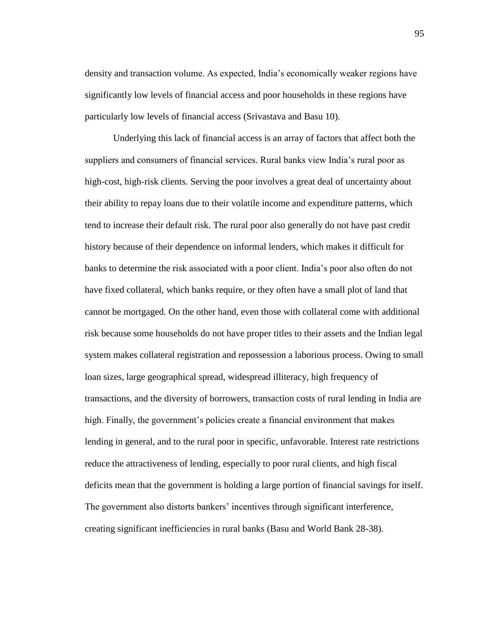density and transaction volume. As expected, India"s economically weaker regions have significantly low levels of financial access and poor households in these regions have particularly low levels of financial access (Srivastava and Basu 10).

Underlying this lack of financial access is an array of factors that affect both the suppliers and consumers of financial services. Rural banks view India"s rural poor as high-cost, high-risk clients. Serving the poor involves a great deal of uncertainty about their ability to repay loans due to their volatile income and expenditure patterns, which tend to increase their default risk. The rural poor also generally do not have past credit history because of their dependence on informal lenders, which makes it difficult for banks to determine the risk associated with a poor client. India"s poor also often do not have fixed collateral, which banks require, or they often have a small plot of land that cannot be mortgaged. On the other hand, even those with collateral come with additional risk because some households do not have proper titles to their assets and the Indian legal system makes collateral registration and repossession a laborious process. Owing to small loan sizes, large geographical spread, widespread illiteracy, high frequency of transactions, and the diversity of borrowers, transaction costs of rural lending in India are high. Finally, the government's policies create a financial environment that makes lending in general, and to the rural poor in specific, unfavorable. Interest rate restrictions reduce the attractiveness of lending, especially to poor rural clients, and high fiscal deficits mean that the government is holding a large portion of financial savings for itself. The government also distorts bankers" incentives through significant interference, creating significant inefficiencies in rural banks (Basu and World Bank 28-38).

95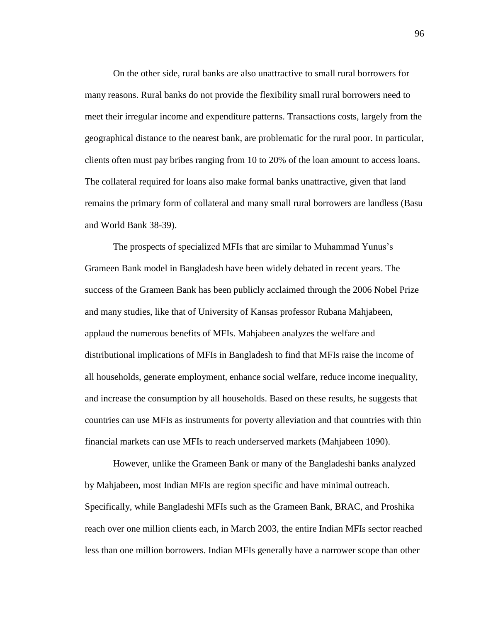On the other side, rural banks are also unattractive to small rural borrowers for many reasons. Rural banks do not provide the flexibility small rural borrowers need to meet their irregular income and expenditure patterns. Transactions costs, largely from the geographical distance to the nearest bank, are problematic for the rural poor. In particular, clients often must pay bribes ranging from 10 to 20% of the loan amount to access loans. The collateral required for loans also make formal banks unattractive, given that land remains the primary form of collateral and many small rural borrowers are landless (Basu and World Bank 38-39).

The prospects of specialized MFIs that are similar to Muhammad Yunus"s Grameen Bank model in Bangladesh have been widely debated in recent years. The success of the Grameen Bank has been publicly acclaimed through the 2006 Nobel Prize and many studies, like that of University of Kansas professor Rubana Mahjabeen, applaud the numerous benefits of MFIs. Mahjabeen analyzes the welfare and distributional implications of MFIs in Bangladesh to find that MFIs raise the income of all households, generate employment, enhance social welfare, reduce income inequality, and increase the consumption by all households. Based on these results, he suggests that countries can use MFIs as instruments for poverty alleviation and that countries with thin financial markets can use MFIs to reach underserved markets (Mahjabeen 1090).

However, unlike the Grameen Bank or many of the Bangladeshi banks analyzed by Mahjabeen, most Indian MFIs are region specific and have minimal outreach. Specifically, while Bangladeshi MFIs such as the Grameen Bank, BRAC, and Proshika reach over one million clients each, in March 2003, the entire Indian MFIs sector reached less than one million borrowers. Indian MFIs generally have a narrower scope than other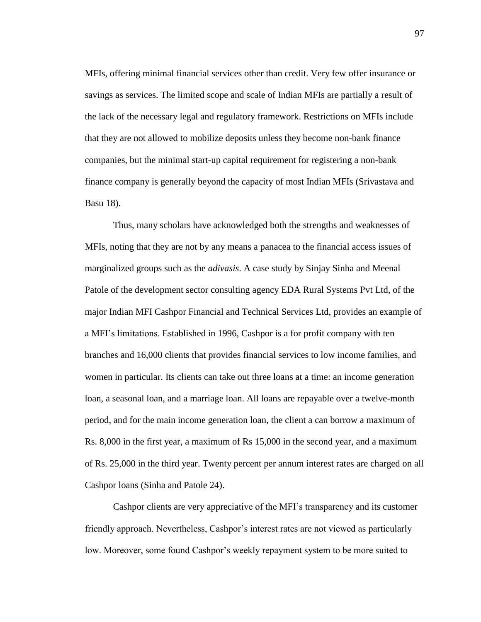MFIs, offering minimal financial services other than credit. Very few offer insurance or savings as services. The limited scope and scale of Indian MFIs are partially a result of the lack of the necessary legal and regulatory framework. Restrictions on MFIs include that they are not allowed to mobilize deposits unless they become non-bank finance companies, but the minimal start-up capital requirement for registering a non-bank finance company is generally beyond the capacity of most Indian MFIs (Srivastava and Basu 18).

Thus, many scholars have acknowledged both the strengths and weaknesses of MFIs, noting that they are not by any means a panacea to the financial access issues of marginalized groups such as the *adivasis*. A case study by Sinjay Sinha and Meenal Patole of the development sector consulting agency EDA Rural Systems Pvt Ltd, of the major Indian MFI Cashpor Financial and Technical Services Ltd, provides an example of a MFI"s limitations. Established in 1996, Cashpor is a for profit company with ten branches and 16,000 clients that provides financial services to low income families, and women in particular. Its clients can take out three loans at a time: an income generation loan, a seasonal loan, and a marriage loan. All loans are repayable over a twelve-month period, and for the main income generation loan, the client a can borrow a maximum of Rs. 8,000 in the first year, a maximum of Rs 15,000 in the second year, and a maximum of Rs. 25,000 in the third year. Twenty percent per annum interest rates are charged on all Cashpor loans (Sinha and Patole 24).

Cashpor clients are very appreciative of the MFI"s transparency and its customer friendly approach. Nevertheless, Cashpor's interest rates are not viewed as particularly low. Moreover, some found Cashpor"s weekly repayment system to be more suited to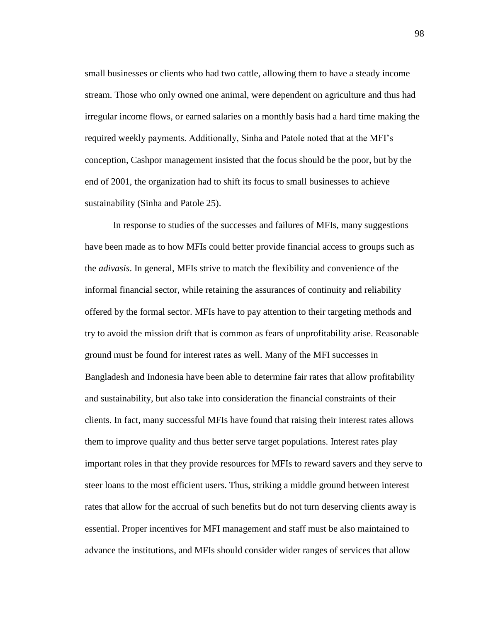small businesses or clients who had two cattle, allowing them to have a steady income stream. Those who only owned one animal, were dependent on agriculture and thus had irregular income flows, or earned salaries on a monthly basis had a hard time making the required weekly payments. Additionally, Sinha and Patole noted that at the MFI"s conception, Cashpor management insisted that the focus should be the poor, but by the end of 2001, the organization had to shift its focus to small businesses to achieve sustainability (Sinha and Patole 25).

In response to studies of the successes and failures of MFIs, many suggestions have been made as to how MFIs could better provide financial access to groups such as the *adivasis*. In general, MFIs strive to match the flexibility and convenience of the informal financial sector, while retaining the assurances of continuity and reliability offered by the formal sector. MFIs have to pay attention to their targeting methods and try to avoid the mission drift that is common as fears of unprofitability arise. Reasonable ground must be found for interest rates as well. Many of the MFI successes in Bangladesh and Indonesia have been able to determine fair rates that allow profitability and sustainability, but also take into consideration the financial constraints of their clients. In fact, many successful MFIs have found that raising their interest rates allows them to improve quality and thus better serve target populations. Interest rates play important roles in that they provide resources for MFIs to reward savers and they serve to steer loans to the most efficient users. Thus, striking a middle ground between interest rates that allow for the accrual of such benefits but do not turn deserving clients away is essential. Proper incentives for MFI management and staff must be also maintained to advance the institutions, and MFIs should consider wider ranges of services that allow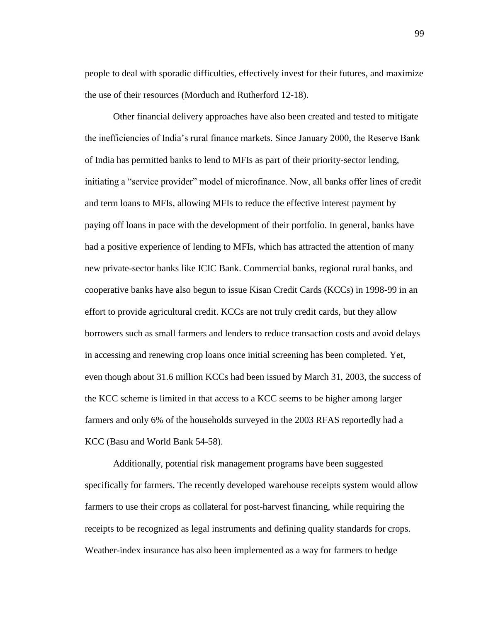people to deal with sporadic difficulties, effectively invest for their futures, and maximize the use of their resources (Morduch and Rutherford 12-18).

Other financial delivery approaches have also been created and tested to mitigate the inefficiencies of India"s rural finance markets. Since January 2000, the Reserve Bank of India has permitted banks to lend to MFIs as part of their priority-sector lending, initiating a "service provider" model of microfinance. Now, all banks offer lines of credit and term loans to MFIs, allowing MFIs to reduce the effective interest payment by paying off loans in pace with the development of their portfolio. In general, banks have had a positive experience of lending to MFIs, which has attracted the attention of many new private-sector banks like ICIC Bank. Commercial banks, regional rural banks, and cooperative banks have also begun to issue Kisan Credit Cards (KCCs) in 1998-99 in an effort to provide agricultural credit. KCCs are not truly credit cards, but they allow borrowers such as small farmers and lenders to reduce transaction costs and avoid delays in accessing and renewing crop loans once initial screening has been completed. Yet, even though about 31.6 million KCCs had been issued by March 31, 2003, the success of the KCC scheme is limited in that access to a KCC seems to be higher among larger farmers and only 6% of the households surveyed in the 2003 RFAS reportedly had a KCC (Basu and World Bank 54-58).

Additionally, potential risk management programs have been suggested specifically for farmers. The recently developed warehouse receipts system would allow farmers to use their crops as collateral for post-harvest financing, while requiring the receipts to be recognized as legal instruments and defining quality standards for crops. Weather-index insurance has also been implemented as a way for farmers to hedge

99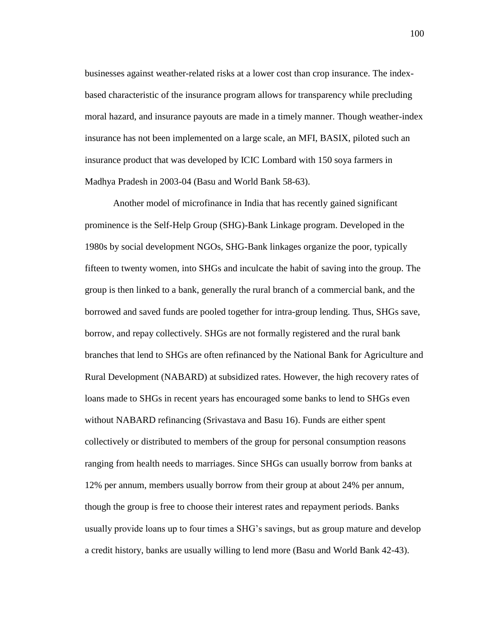businesses against weather-related risks at a lower cost than crop insurance. The indexbased characteristic of the insurance program allows for transparency while precluding moral hazard, and insurance payouts are made in a timely manner. Though weather-index insurance has not been implemented on a large scale, an MFI, BASIX, piloted such an insurance product that was developed by ICIC Lombard with 150 soya farmers in Madhya Pradesh in 2003-04 (Basu and World Bank 58-63).

Another model of microfinance in India that has recently gained significant prominence is the Self-Help Group (SHG)-Bank Linkage program. Developed in the 1980s by social development NGOs, SHG-Bank linkages organize the poor, typically fifteen to twenty women, into SHGs and inculcate the habit of saving into the group. The group is then linked to a bank, generally the rural branch of a commercial bank, and the borrowed and saved funds are pooled together for intra-group lending. Thus, SHGs save, borrow, and repay collectively. SHGs are not formally registered and the rural bank branches that lend to SHGs are often refinanced by the National Bank for Agriculture and Rural Development (NABARD) at subsidized rates. However, the high recovery rates of loans made to SHGs in recent years has encouraged some banks to lend to SHGs even without NABARD refinancing (Srivastava and Basu 16). Funds are either spent collectively or distributed to members of the group for personal consumption reasons ranging from health needs to marriages. Since SHGs can usually borrow from banks at 12% per annum, members usually borrow from their group at about 24% per annum, though the group is free to choose their interest rates and repayment periods. Banks usually provide loans up to four times a SHG"s savings, but as group mature and develop a credit history, banks are usually willing to lend more (Basu and World Bank 42-43).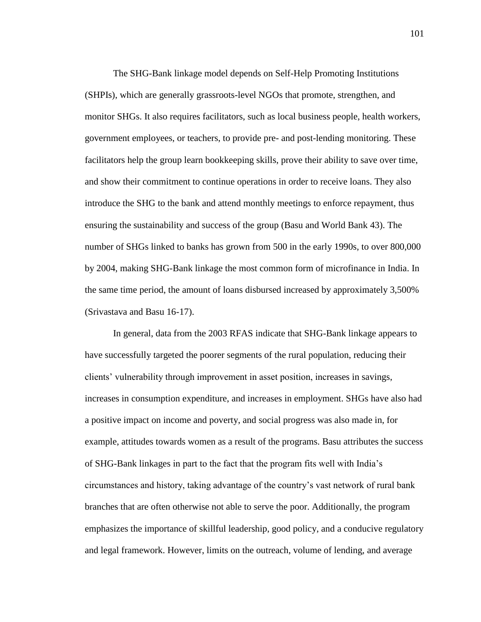The SHG-Bank linkage model depends on Self-Help Promoting Institutions (SHPIs), which are generally grassroots-level NGOs that promote, strengthen, and monitor SHGs. It also requires facilitators, such as local business people, health workers, government employees, or teachers, to provide pre- and post-lending monitoring. These facilitators help the group learn bookkeeping skills, prove their ability to save over time, and show their commitment to continue operations in order to receive loans. They also introduce the SHG to the bank and attend monthly meetings to enforce repayment, thus ensuring the sustainability and success of the group (Basu and World Bank 43). The number of SHGs linked to banks has grown from 500 in the early 1990s, to over 800,000 by 2004, making SHG-Bank linkage the most common form of microfinance in India. In the same time period, the amount of loans disbursed increased by approximately 3,500% (Srivastava and Basu 16-17).

In general, data from the 2003 RFAS indicate that SHG-Bank linkage appears to have successfully targeted the poorer segments of the rural population, reducing their clients" vulnerability through improvement in asset position, increases in savings, increases in consumption expenditure, and increases in employment. SHGs have also had a positive impact on income and poverty, and social progress was also made in, for example, attitudes towards women as a result of the programs. Basu attributes the success of SHG-Bank linkages in part to the fact that the program fits well with India"s circumstances and history, taking advantage of the country"s vast network of rural bank branches that are often otherwise not able to serve the poor. Additionally, the program emphasizes the importance of skillful leadership, good policy, and a conducive regulatory and legal framework. However, limits on the outreach, volume of lending, and average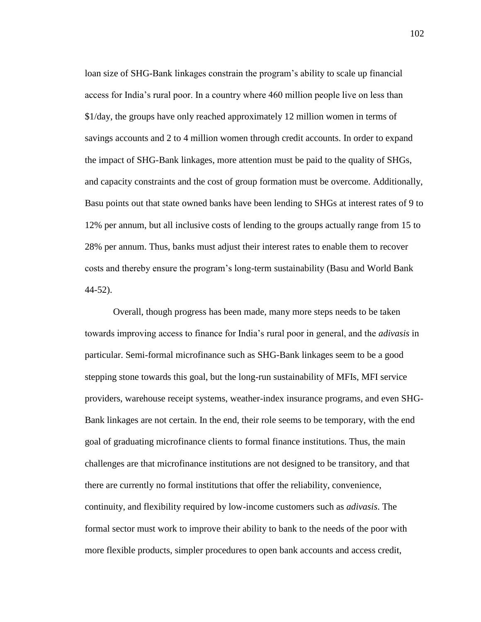loan size of SHG-Bank linkages constrain the program's ability to scale up financial access for India"s rural poor. In a country where 460 million people live on less than \$1/day, the groups have only reached approximately 12 million women in terms of savings accounts and 2 to 4 million women through credit accounts. In order to expand the impact of SHG-Bank linkages, more attention must be paid to the quality of SHGs, and capacity constraints and the cost of group formation must be overcome. Additionally, Basu points out that state owned banks have been lending to SHGs at interest rates of 9 to 12% per annum, but all inclusive costs of lending to the groups actually range from 15 to 28% per annum. Thus, banks must adjust their interest rates to enable them to recover costs and thereby ensure the program"s long-term sustainability (Basu and World Bank 44-52).

Overall, though progress has been made, many more steps needs to be taken towards improving access to finance for India"s rural poor in general, and the *adivasis* in particular. Semi-formal microfinance such as SHG-Bank linkages seem to be a good stepping stone towards this goal, but the long-run sustainability of MFIs, MFI service providers, warehouse receipt systems, weather-index insurance programs, and even SHG-Bank linkages are not certain. In the end, their role seems to be temporary, with the end goal of graduating microfinance clients to formal finance institutions. Thus, the main challenges are that microfinance institutions are not designed to be transitory, and that there are currently no formal institutions that offer the reliability, convenience, continuity, and flexibility required by low-income customers such as *adivasis*. The formal sector must work to improve their ability to bank to the needs of the poor with more flexible products, simpler procedures to open bank accounts and access credit,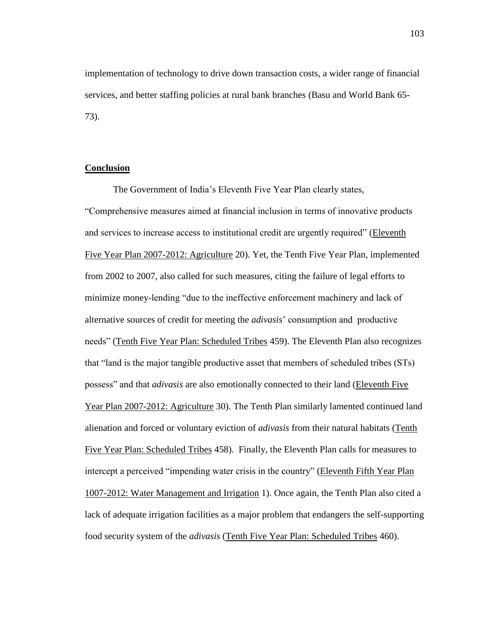implementation of technology to drive down transaction costs, a wider range of financial services, and better staffing policies at rural bank branches (Basu and World Bank 65- 73).

# **Conclusion**

The Government of India"s Eleventh Five Year Plan clearly states, "Comprehensive measures aimed at financial inclusion in terms of innovative products and services to increase access to institutional credit are urgently required" (Eleventh Five Year Plan 2007-2012: Agriculture 20). Yet, the Tenth Five Year Plan, implemented from 2002 to 2007, also called for such measures, citing the failure of legal efforts to minimize money-lending "due to the ineffective enforcement machinery and lack of alternative sources of credit for meeting the *adivasis*" consumption and productive needs" (Tenth Five Year Plan: Scheduled Tribes 459). The Eleventh Plan also recognizes that "land is the major tangible productive asset that members of scheduled tribes (STs) possess" and that *adivasis* are also emotionally connected to their land (Eleventh Five Year Plan 2007-2012: Agriculture 30). The Tenth Plan similarly lamented continued land alienation and forced or voluntary eviction of *adivasis* from their natural habitats (Tenth Five Year Plan: Scheduled Tribes 458). Finally, the Eleventh Plan calls for measures to intercept a perceived "impending water crisis in the country" (Eleventh Fifth Year Plan 1007-2012: Water Management and Irrigation 1). Once again, the Tenth Plan also cited a lack of adequate irrigation facilities as a major problem that endangers the self-supporting food security system of the *adivasis* (Tenth Five Year Plan: Scheduled Tribes 460).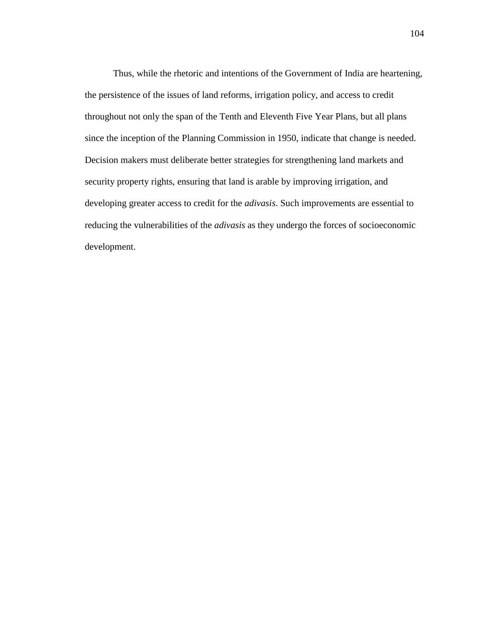Thus, while the rhetoric and intentions of the Government of India are heartening, the persistence of the issues of land reforms, irrigation policy, and access to credit throughout not only the span of the Tenth and Eleventh Five Year Plans, but all plans since the inception of the Planning Commission in 1950, indicate that change is needed. Decision makers must deliberate better strategies for strengthening land markets and security property rights, ensuring that land is arable by improving irrigation, and developing greater access to credit for the *adivasis*. Such improvements are essential to reducing the vulnerabilities of the *adivasis* as they undergo the forces of socioeconomic development.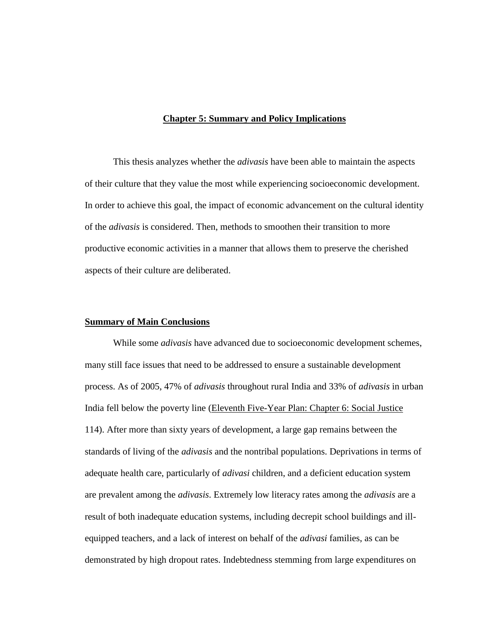# **Chapter 5: Summary and Policy Implications**

This thesis analyzes whether the *adivasis* have been able to maintain the aspects of their culture that they value the most while experiencing socioeconomic development. In order to achieve this goal, the impact of economic advancement on the cultural identity of the *adivasis* is considered. Then, methods to smoothen their transition to more productive economic activities in a manner that allows them to preserve the cherished aspects of their culture are deliberated.

### **Summary of Main Conclusions**

While some *adivasis* have advanced due to socioeconomic development schemes, many still face issues that need to be addressed to ensure a sustainable development process. As of 2005, 47% of *adivasis* throughout rural India and 33% of *adivasis* in urban India fell below the poverty line (Eleventh Five-Year Plan: Chapter 6: Social Justice 114). After more than sixty years of development, a large gap remains between the standards of living of the *adivasis* and the nontribal populations. Deprivations in terms of adequate health care, particularly of *adivasi* children, and a deficient education system are prevalent among the *adivasis*. Extremely low literacy rates among the *adivasis* are a result of both inadequate education systems, including decrepit school buildings and illequipped teachers, and a lack of interest on behalf of the *adivasi* families, as can be demonstrated by high dropout rates. Indebtedness stemming from large expenditures on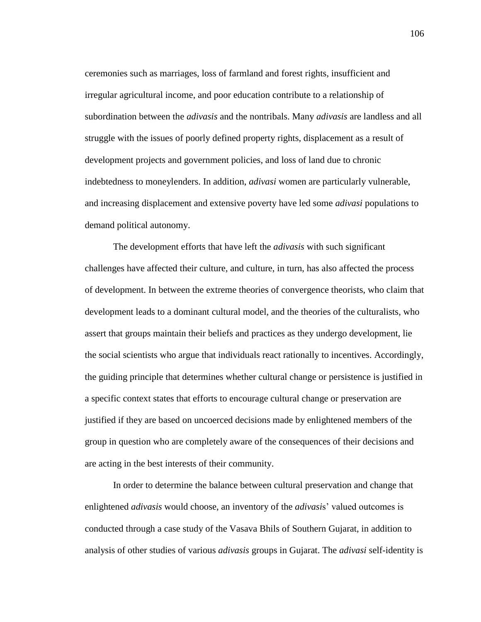ceremonies such as marriages, loss of farmland and forest rights, insufficient and irregular agricultural income, and poor education contribute to a relationship of subordination between the *adivasis* and the nontribals. Many *adivasis* are landless and all struggle with the issues of poorly defined property rights, displacement as a result of development projects and government policies, and loss of land due to chronic indebtedness to moneylenders. In addition, *adivasi* women are particularly vulnerable, and increasing displacement and extensive poverty have led some *adivasi* populations to demand political autonomy.

The development efforts that have left the *adivasis* with such significant challenges have affected their culture*,* and culture, in turn, has also affected the process of development. In between the extreme theories of convergence theorists, who claim that development leads to a dominant cultural model, and the theories of the culturalists, who assert that groups maintain their beliefs and practices as they undergo development, lie the social scientists who argue that individuals react rationally to incentives. Accordingly, the guiding principle that determines whether cultural change or persistence is justified in a specific context states that efforts to encourage cultural change or preservation are justified if they are based on uncoerced decisions made by enlightened members of the group in question who are completely aware of the consequences of their decisions and are acting in the best interests of their community.

In order to determine the balance between cultural preservation and change that enlightened *adivasis* would choose, an inventory of the *adivasi*s" valued outcomes is conducted through a case study of the Vasava Bhils of Southern Gujarat, in addition to analysis of other studies of various *adivasis* groups in Gujarat. The *adivasi* self-identity is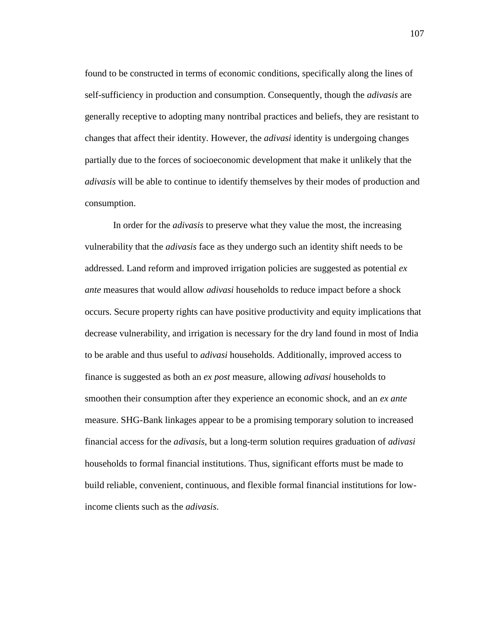found to be constructed in terms of economic conditions, specifically along the lines of self-sufficiency in production and consumption. Consequently, though the *adivasis* are generally receptive to adopting many nontribal practices and beliefs, they are resistant to changes that affect their identity. However, the *adivasi* identity is undergoing changes partially due to the forces of socioeconomic development that make it unlikely that the *adivasis* will be able to continue to identify themselves by their modes of production and consumption.

In order for the *adivasis* to preserve what they value the most, the increasing vulnerability that the *adivasis* face as they undergo such an identity shift needs to be addressed. Land reform and improved irrigation policies are suggested as potential *ex ante* measures that would allow *adivasi* households to reduce impact before a shock occurs. Secure property rights can have positive productivity and equity implications that decrease vulnerability, and irrigation is necessary for the dry land found in most of India to be arable and thus useful to *adivasi* households. Additionally, improved access to finance is suggested as both an *ex post* measure, allowing *adivasi* households to smoothen their consumption after they experience an economic shock, and an *ex ante* measure. SHG-Bank linkages appear to be a promising temporary solution to increased financial access for the *adivasis*, but a long-term solution requires graduation of *adivasi* households to formal financial institutions. Thus, significant efforts must be made to build reliable, convenient, continuous, and flexible formal financial institutions for lowincome clients such as the *adivasis*.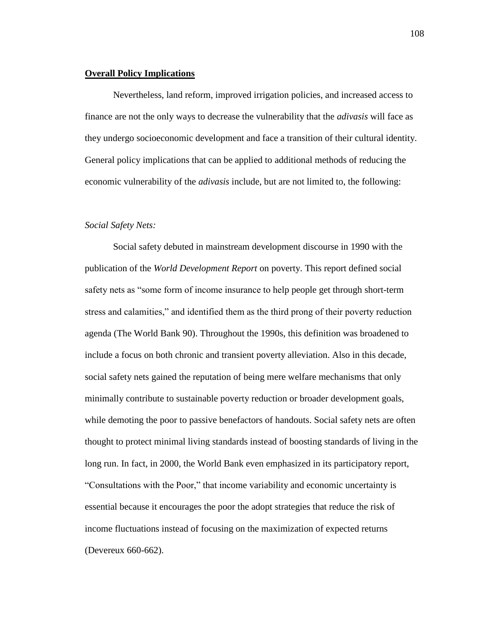# **Overall Policy Implications**

Nevertheless, land reform, improved irrigation policies, and increased access to finance are not the only ways to decrease the vulnerability that the *adivasis* will face as they undergo socioeconomic development and face a transition of their cultural identity. General policy implications that can be applied to additional methods of reducing the economic vulnerability of the *adivasis* include, but are not limited to, the following:

## *Social Safety Nets:*

Social safety debuted in mainstream development discourse in 1990 with the publication of the *World Development Report* on poverty. This report defined social safety nets as "some form of income insurance to help people get through short-term stress and calamities," and identified them as the third prong of their poverty reduction agenda (The World Bank 90). Throughout the 1990s, this definition was broadened to include a focus on both chronic and transient poverty alleviation. Also in this decade, social safety nets gained the reputation of being mere welfare mechanisms that only minimally contribute to sustainable poverty reduction or broader development goals, while demoting the poor to passive benefactors of handouts. Social safety nets are often thought to protect minimal living standards instead of boosting standards of living in the long run. In fact, in 2000, the World Bank even emphasized in its participatory report, "Consultations with the Poor," that income variability and economic uncertainty is essential because it encourages the poor the adopt strategies that reduce the risk of income fluctuations instead of focusing on the maximization of expected returns (Devereux 660-662).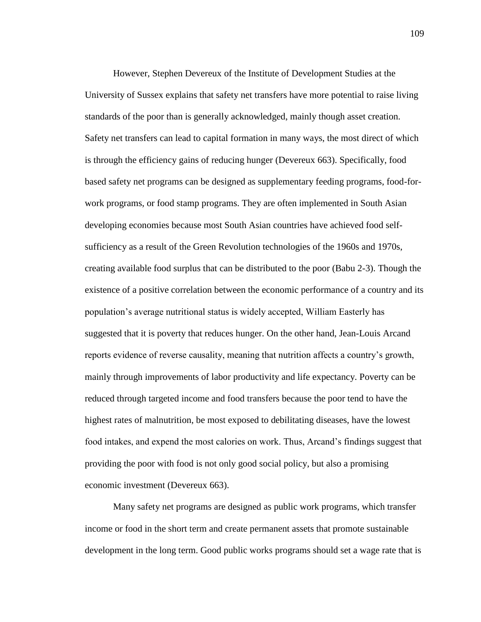However, Stephen Devereux of the Institute of Development Studies at the University of Sussex explains that safety net transfers have more potential to raise living standards of the poor than is generally acknowledged, mainly though asset creation. Safety net transfers can lead to capital formation in many ways, the most direct of which is through the efficiency gains of reducing hunger (Devereux 663). Specifically, food based safety net programs can be designed as supplementary feeding programs, food-forwork programs, or food stamp programs. They are often implemented in South Asian developing economies because most South Asian countries have achieved food selfsufficiency as a result of the Green Revolution technologies of the 1960s and 1970s, creating available food surplus that can be distributed to the poor (Babu 2-3). Though the existence of a positive correlation between the economic performance of a country and its population"s average nutritional status is widely accepted, William Easterly has suggested that it is poverty that reduces hunger. On the other hand, Jean-Louis Arcand reports evidence of reverse causality, meaning that nutrition affects a country"s growth, mainly through improvements of labor productivity and life expectancy. Poverty can be reduced through targeted income and food transfers because the poor tend to have the highest rates of malnutrition, be most exposed to debilitating diseases, have the lowest food intakes, and expend the most calories on work. Thus, Arcand"s findings suggest that providing the poor with food is not only good social policy, but also a promising economic investment (Devereux 663).

Many safety net programs are designed as public work programs, which transfer income or food in the short term and create permanent assets that promote sustainable development in the long term. Good public works programs should set a wage rate that is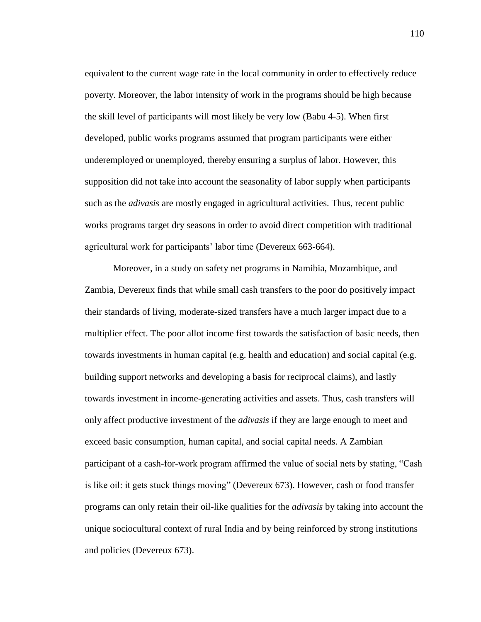equivalent to the current wage rate in the local community in order to effectively reduce poverty. Moreover, the labor intensity of work in the programs should be high because the skill level of participants will most likely be very low (Babu 4-5). When first developed, public works programs assumed that program participants were either underemployed or unemployed, thereby ensuring a surplus of labor. However, this supposition did not take into account the seasonality of labor supply when participants such as the *adivasis* are mostly engaged in agricultural activities. Thus, recent public works programs target dry seasons in order to avoid direct competition with traditional agricultural work for participants" labor time (Devereux 663-664).

Moreover, in a study on safety net programs in Namibia, Mozambique, and Zambia, Devereux finds that while small cash transfers to the poor do positively impact their standards of living, moderate-sized transfers have a much larger impact due to a multiplier effect. The poor allot income first towards the satisfaction of basic needs, then towards investments in human capital (e.g. health and education) and social capital (e.g. building support networks and developing a basis for reciprocal claims), and lastly towards investment in income-generating activities and assets. Thus, cash transfers will only affect productive investment of the *adivasis* if they are large enough to meet and exceed basic consumption, human capital, and social capital needs. A Zambian participant of a cash-for-work program affirmed the value of social nets by stating, "Cash is like oil: it gets stuck things moving" (Devereux 673). However, cash or food transfer programs can only retain their oil-like qualities for the *adivasis* by taking into account the unique sociocultural context of rural India and by being reinforced by strong institutions and policies (Devereux 673).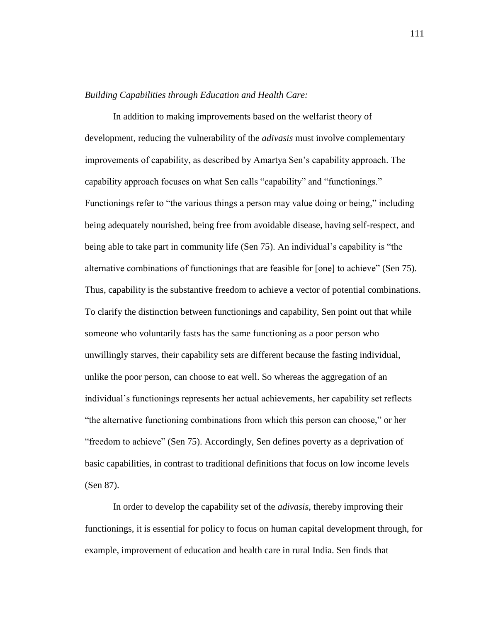# *Building Capabilities through Education and Health Care:*

In addition to making improvements based on the welfarist theory of development, reducing the vulnerability of the *adivasis* must involve complementary improvements of capability, as described by Amartya Sen"s capability approach. The capability approach focuses on what Sen calls "capability" and "functionings." Functionings refer to "the various things a person may value doing or being," including being adequately nourished, being free from avoidable disease, having self-respect, and being able to take part in community life (Sen 75). An individual"s capability is "the alternative combinations of functionings that are feasible for [one] to achieve" (Sen 75). Thus, capability is the substantive freedom to achieve a vector of potential combinations. To clarify the distinction between functionings and capability, Sen point out that while someone who voluntarily fasts has the same functioning as a poor person who unwillingly starves, their capability sets are different because the fasting individual, unlike the poor person, can choose to eat well. So whereas the aggregation of an individual"s functionings represents her actual achievements, her capability set reflects "the alternative functioning combinations from which this person can choose," or her "freedom to achieve" (Sen 75). Accordingly, Sen defines poverty as a deprivation of basic capabilities, in contrast to traditional definitions that focus on low income levels (Sen 87).

In order to develop the capability set of the *adivasis*, thereby improving their functionings, it is essential for policy to focus on human capital development through, for example, improvement of education and health care in rural India. Sen finds that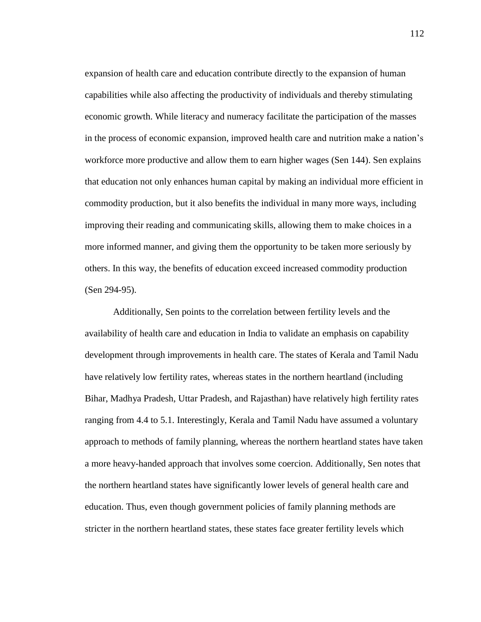expansion of health care and education contribute directly to the expansion of human capabilities while also affecting the productivity of individuals and thereby stimulating economic growth. While literacy and numeracy facilitate the participation of the masses in the process of economic expansion, improved health care and nutrition make a nation"s workforce more productive and allow them to earn higher wages (Sen 144). Sen explains that education not only enhances human capital by making an individual more efficient in commodity production, but it also benefits the individual in many more ways, including improving their reading and communicating skills, allowing them to make choices in a more informed manner, and giving them the opportunity to be taken more seriously by others. In this way, the benefits of education exceed increased commodity production (Sen 294-95).

Additionally, Sen points to the correlation between fertility levels and the availability of health care and education in India to validate an emphasis on capability development through improvements in health care. The states of Kerala and Tamil Nadu have relatively low fertility rates, whereas states in the northern heartland (including Bihar, Madhya Pradesh, Uttar Pradesh, and Rajasthan) have relatively high fertility rates ranging from 4.4 to 5.1. Interestingly, Kerala and Tamil Nadu have assumed a voluntary approach to methods of family planning, whereas the northern heartland states have taken a more heavy-handed approach that involves some coercion. Additionally, Sen notes that the northern heartland states have significantly lower levels of general health care and education. Thus, even though government policies of family planning methods are stricter in the northern heartland states, these states face greater fertility levels which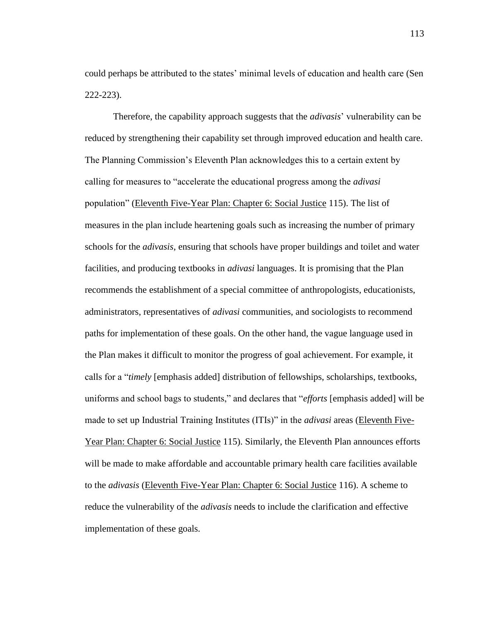could perhaps be attributed to the states' minimal levels of education and health care (Sen 222-223).

Therefore, the capability approach suggests that the *adivasis*" vulnerability can be reduced by strengthening their capability set through improved education and health care. The Planning Commission"s Eleventh Plan acknowledges this to a certain extent by calling for measures to "accelerate the educational progress among the *adivasi* population" (Eleventh Five-Year Plan: Chapter 6: Social Justice 115). The list of measures in the plan include heartening goals such as increasing the number of primary schools for the *adivasis*, ensuring that schools have proper buildings and toilet and water facilities, and producing textbooks in *adivasi* languages. It is promising that the Plan recommends the establishment of a special committee of anthropologists, educationists, administrators, representatives of *adivasi* communities, and sociologists to recommend paths for implementation of these goals. On the other hand, the vague language used in the Plan makes it difficult to monitor the progress of goal achievement. For example, it calls for a "*timely* [emphasis added] distribution of fellowships, scholarships, textbooks, uniforms and school bags to students," and declares that "*efforts* [emphasis added] will be made to set up Industrial Training Institutes (ITIs)" in the *adivasi* areas (Eleventh Five-Year Plan: Chapter 6: Social Justice 115). Similarly, the Eleventh Plan announces efforts will be made to make affordable and accountable primary health care facilities available to the *adivasis* (Eleventh Five-Year Plan: Chapter 6: Social Justice 116). A scheme to reduce the vulnerability of the *adivasis* needs to include the clarification and effective implementation of these goals.

113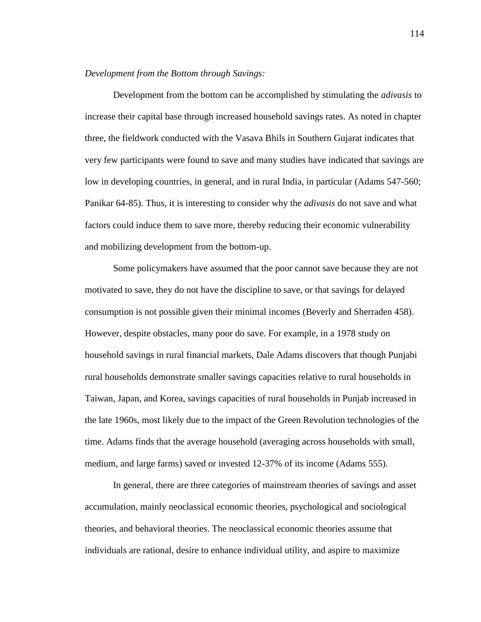# *Development from the Bottom through Savings:*

Development from the bottom can be accomplished by stimulating the *adivasis* to increase their capital base through increased household savings rates. As noted in chapter three, the fieldwork conducted with the Vasava Bhils in Southern Gujarat indicates that very few participants were found to save and many studies have indicated that savings are low in developing countries, in general, and in rural India, in particular (Adams 547-560; Panikar 64-85). Thus, it is interesting to consider why the *adivasis* do not save and what factors could induce them to save more, thereby reducing their economic vulnerability and mobilizing development from the bottom-up.

Some policymakers have assumed that the poor cannot save because they are not motivated to save, they do not have the discipline to save, or that savings for delayed consumption is not possible given their minimal incomes (Beverly and Sherraden 458). However, despite obstacles, many poor do save. For example, in a 1978 study on household savings in rural financial markets, Dale Adams discovers that though Punjabi rural households demonstrate smaller savings capacities relative to rural households in Taiwan, Japan, and Korea, savings capacities of rural households in Punjab increased in the late 1960s, most likely due to the impact of the Green Revolution technologies of the time. Adams finds that the average household (averaging across households with small, medium, and large farms) saved or invested 12-37% of its income (Adams 555).

In general, there are three categories of mainstream theories of savings and asset accumulation, mainly neoclassical economic theories, psychological and sociological theories, and behavioral theories. The neoclassical economic theories assume that individuals are rational, desire to enhance individual utility, and aspire to maximize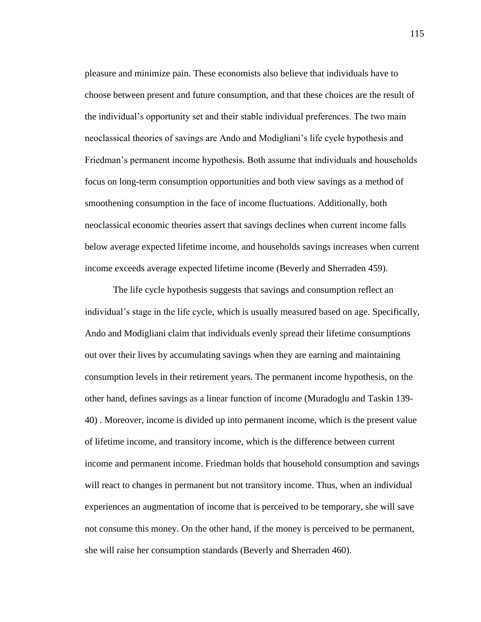pleasure and minimize pain. These economists also believe that individuals have to choose between present and future consumption, and that these choices are the result of the individual"s opportunity set and their stable individual preferences. The two main neoclassical theories of savings are Ando and Modigliani"s life cycle hypothesis and Friedman"s permanent income hypothesis. Both assume that individuals and households focus on long-term consumption opportunities and both view savings as a method of smoothening consumption in the face of income fluctuations. Additionally, both neoclassical economic theories assert that savings declines when current income falls below average expected lifetime income, and households savings increases when current income exceeds average expected lifetime income (Beverly and Sherraden 459).

The life cycle hypothesis suggests that savings and consumption reflect an individual's stage in the life cycle, which is usually measured based on age. Specifically, Ando and Modigliani claim that individuals evenly spread their lifetime consumptions out over their lives by accumulating savings when they are earning and maintaining consumption levels in their retirement years. The permanent income hypothesis, on the other hand, defines savings as a linear function of income (Muradoglu and Taskin 139- 40) . Moreover, income is divided up into permanent income, which is the present value of lifetime income, and transitory income, which is the difference between current income and permanent income. Friedman holds that household consumption and savings will react to changes in permanent but not transitory income. Thus, when an individual experiences an augmentation of income that is perceived to be temporary, she will save not consume this money. On the other hand, if the money is perceived to be permanent, she will raise her consumption standards (Beverly and Sherraden 460).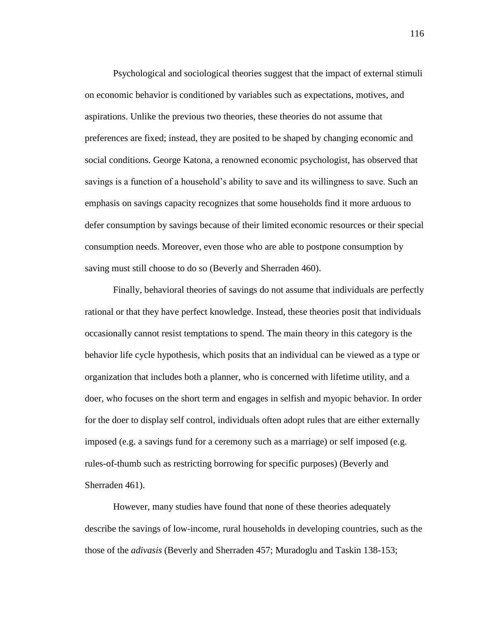Psychological and sociological theories suggest that the impact of external stimuli on economic behavior is conditioned by variables such as expectations, motives, and aspirations. Unlike the previous two theories, these theories do not assume that preferences are fixed; instead, they are posited to be shaped by changing economic and social conditions. George Katona, a renowned economic psychologist, has observed that savings is a function of a household"s ability to save and its willingness to save. Such an emphasis on savings capacity recognizes that some households find it more arduous to defer consumption by savings because of their limited economic resources or their special consumption needs. Moreover, even those who are able to postpone consumption by saving must still choose to do so (Beverly and Sherraden 460).

Finally, behavioral theories of savings do not assume that individuals are perfectly rational or that they have perfect knowledge. Instead, these theories posit that individuals occasionally cannot resist temptations to spend. The main theory in this category is the behavior life cycle hypothesis, which posits that an individual can be viewed as a type or organization that includes both a planner, who is concerned with lifetime utility, and a doer, who focuses on the short term and engages in selfish and myopic behavior. In order for the doer to display self control, individuals often adopt rules that are either externally imposed (e.g. a savings fund for a ceremony such as a marriage) or self imposed (e.g. rules-of-thumb such as restricting borrowing for specific purposes) (Beverly and Sherraden 461).

However, many studies have found that none of these theories adequately describe the savings of low-income, rural households in developing countries, such as the those of the *adivasis* (Beverly and Sherraden 457; Muradoglu and Taskin 138-153;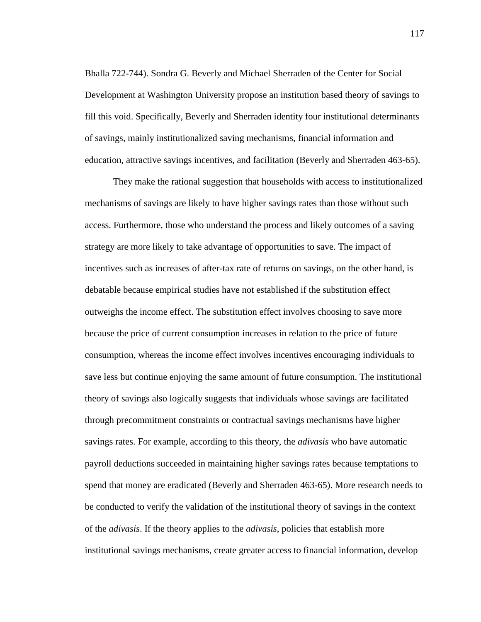Bhalla 722-744). Sondra G. Beverly and Michael Sherraden of the Center for Social Development at Washington University propose an institution based theory of savings to fill this void. Specifically, Beverly and Sherraden identity four institutional determinants of savings, mainly institutionalized saving mechanisms, financial information and education, attractive savings incentives, and facilitation (Beverly and Sherraden 463-65).

They make the rational suggestion that households with access to institutionalized mechanisms of savings are likely to have higher savings rates than those without such access. Furthermore, those who understand the process and likely outcomes of a saving strategy are more likely to take advantage of opportunities to save. The impact of incentives such as increases of after-tax rate of returns on savings, on the other hand, is debatable because empirical studies have not established if the substitution effect outweighs the income effect. The substitution effect involves choosing to save more because the price of current consumption increases in relation to the price of future consumption, whereas the income effect involves incentives encouraging individuals to save less but continue enjoying the same amount of future consumption. The institutional theory of savings also logically suggests that individuals whose savings are facilitated through precommitment constraints or contractual savings mechanisms have higher savings rates. For example, according to this theory, the *adivasis* who have automatic payroll deductions succeeded in maintaining higher savings rates because temptations to spend that money are eradicated (Beverly and Sherraden 463-65). More research needs to be conducted to verify the validation of the institutional theory of savings in the context of the *adivasis*. If the theory applies to the *adivasis*, policies that establish more institutional savings mechanisms, create greater access to financial information, develop

117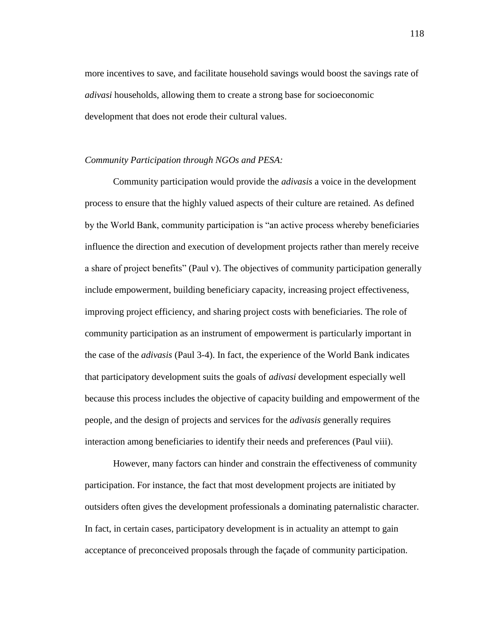more incentives to save, and facilitate household savings would boost the savings rate of *adivasi* households, allowing them to create a strong base for socioeconomic development that does not erode their cultural values.

## *Community Participation through NGOs and PESA:*

Community participation would provide the *adivasis* a voice in the development process to ensure that the highly valued aspects of their culture are retained. As defined by the World Bank, community participation is "an active process whereby beneficiaries influence the direction and execution of development projects rather than merely receive a share of project benefits" (Paul v). The objectives of community participation generally include empowerment, building beneficiary capacity, increasing project effectiveness, improving project efficiency, and sharing project costs with beneficiaries. The role of community participation as an instrument of empowerment is particularly important in the case of the *adivasis* (Paul 3-4). In fact, the experience of the World Bank indicates that participatory development suits the goals of *adivasi* development especially well because this process includes the objective of capacity building and empowerment of the people, and the design of projects and services for the *adivasis* generally requires interaction among beneficiaries to identify their needs and preferences (Paul viii).

However, many factors can hinder and constrain the effectiveness of community participation. For instance, the fact that most development projects are initiated by outsiders often gives the development professionals a dominating paternalistic character. In fact, in certain cases, participatory development is in actuality an attempt to gain acceptance of preconceived proposals through the façade of community participation.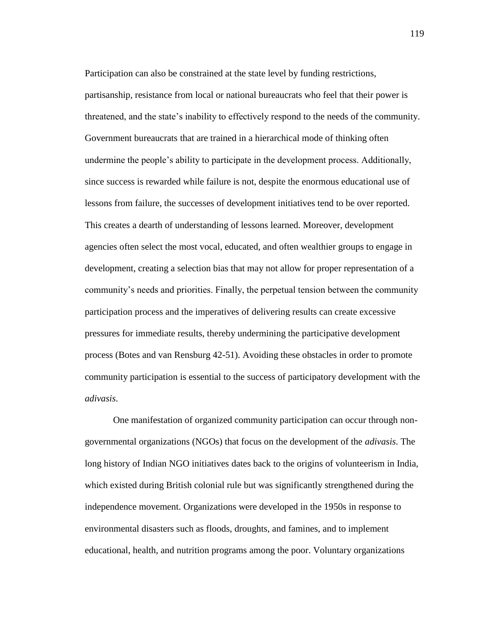Participation can also be constrained at the state level by funding restrictions, partisanship, resistance from local or national bureaucrats who feel that their power is threatened, and the state"s inability to effectively respond to the needs of the community. Government bureaucrats that are trained in a hierarchical mode of thinking often undermine the people"s ability to participate in the development process. Additionally, since success is rewarded while failure is not, despite the enormous educational use of lessons from failure, the successes of development initiatives tend to be over reported. This creates a dearth of understanding of lessons learned. Moreover, development agencies often select the most vocal, educated, and often wealthier groups to engage in development, creating a selection bias that may not allow for proper representation of a community"s needs and priorities. Finally, the perpetual tension between the community participation process and the imperatives of delivering results can create excessive pressures for immediate results, thereby undermining the participative development process (Botes and van Rensburg 42-51). Avoiding these obstacles in order to promote community participation is essential to the success of participatory development with the *adivasis*.

One manifestation of organized community participation can occur through nongovernmental organizations (NGOs) that focus on the development of the *adivasis*. The long history of Indian NGO initiatives dates back to the origins of volunteerism in India, which existed during British colonial rule but was significantly strengthened during the independence movement. Organizations were developed in the 1950s in response to environmental disasters such as floods, droughts, and famines, and to implement educational, health, and nutrition programs among the poor. Voluntary organizations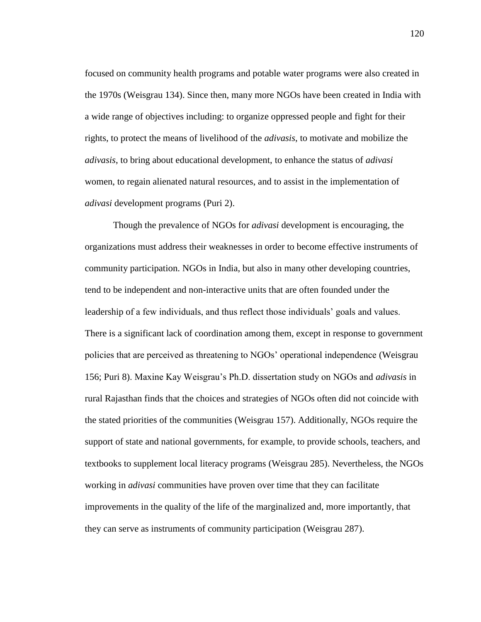focused on community health programs and potable water programs were also created in the 1970s (Weisgrau 134). Since then, many more NGOs have been created in India with a wide range of objectives including: to organize oppressed people and fight for their rights, to protect the means of livelihood of the *adivasis*, to motivate and mobilize the *adivasis*, to bring about educational development, to enhance the status of *adivasi* women, to regain alienated natural resources, and to assist in the implementation of *adivasi* development programs (Puri 2).

Though the prevalence of NGOs for *adivasi* development is encouraging, the organizations must address their weaknesses in order to become effective instruments of community participation. NGOs in India, but also in many other developing countries, tend to be independent and non-interactive units that are often founded under the leadership of a few individuals, and thus reflect those individuals' goals and values. There is a significant lack of coordination among them, except in response to government policies that are perceived as threatening to NGOs" operational independence (Weisgrau 156; Puri 8). Maxine Kay Weisgrau"s Ph.D. dissertation study on NGOs and *adivasis* in rural Rajasthan finds that the choices and strategies of NGOs often did not coincide with the stated priorities of the communities (Weisgrau 157). Additionally, NGOs require the support of state and national governments, for example, to provide schools, teachers, and textbooks to supplement local literacy programs (Weisgrau 285). Nevertheless, the NGOs working in *adivasi* communities have proven over time that they can facilitate improvements in the quality of the life of the marginalized and, more importantly, that they can serve as instruments of community participation (Weisgrau 287).

120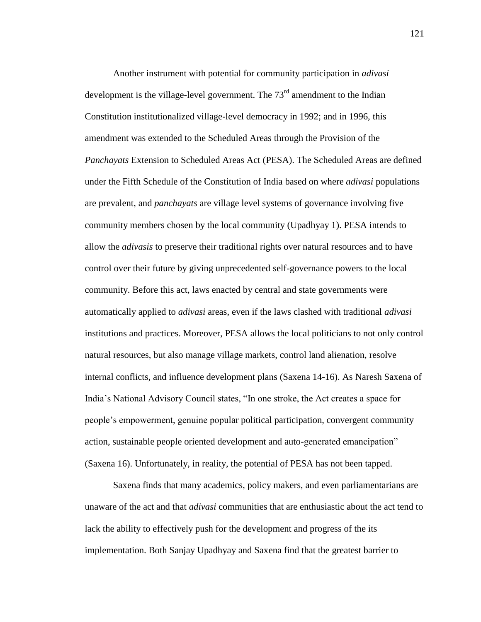Another instrument with potential for community participation in *adivasi* development is the village-level government. The  $73<sup>rd</sup>$  amendment to the Indian Constitution institutionalized village-level democracy in 1992; and in 1996, this amendment was extended to the Scheduled Areas through the Provision of the *Panchayats* Extension to Scheduled Areas Act (PESA). The Scheduled Areas are defined under the Fifth Schedule of the Constitution of India based on where *adivasi* populations are prevalent, and *panchayats* are village level systems of governance involving five community members chosen by the local community (Upadhyay 1). PESA intends to allow the *adivasis* to preserve their traditional rights over natural resources and to have control over their future by giving unprecedented self-governance powers to the local community. Before this act, laws enacted by central and state governments were automatically applied to *adivasi* areas, even if the laws clashed with traditional *adivasi* institutions and practices. Moreover, PESA allows the local politicians to not only control natural resources, but also manage village markets, control land alienation, resolve internal conflicts, and influence development plans (Saxena 14-16). As Naresh Saxena of India"s National Advisory Council states, "In one stroke, the Act creates a space for people"s empowerment, genuine popular political participation, convergent community action, sustainable people oriented development and auto-generated emancipation" (Saxena 16). Unfortunately, in reality, the potential of PESA has not been tapped.

Saxena finds that many academics, policy makers, and even parliamentarians are unaware of the act and that *adivasi* communities that are enthusiastic about the act tend to lack the ability to effectively push for the development and progress of the its implementation. Both Sanjay Upadhyay and Saxena find that the greatest barrier to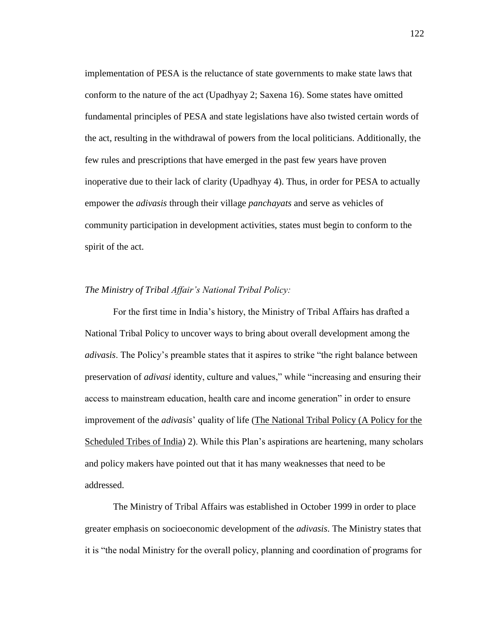implementation of PESA is the reluctance of state governments to make state laws that conform to the nature of the act (Upadhyay 2; Saxena 16). Some states have omitted fundamental principles of PESA and state legislations have also twisted certain words of the act, resulting in the withdrawal of powers from the local politicians. Additionally, the few rules and prescriptions that have emerged in the past few years have proven inoperative due to their lack of clarity (Upadhyay 4). Thus, in order for PESA to actually empower the *adivasis* through their village *panchayats* and serve as vehicles of community participation in development activities, states must begin to conform to the spirit of the act.

### *The Ministry of Tribal Affair's National Tribal Policy:*

For the first time in India"s history, the Ministry of Tribal Affairs has drafted a National Tribal Policy to uncover ways to bring about overall development among the *adivasis*. The Policy"s preamble states that it aspires to strike "the right balance between preservation of *adivasi* identity, culture and values," while "increasing and ensuring their access to mainstream education, health care and income generation" in order to ensure improvement of the *adivasis*" quality of life (The National Tribal Policy (A Policy for the Scheduled Tribes of India) 2). While this Plan's aspirations are heartening, many scholars and policy makers have pointed out that it has many weaknesses that need to be addressed.

The Ministry of Tribal Affairs was established in October 1999 in order to place greater emphasis on socioeconomic development of the *adivasis*. The Ministry states that it is "the nodal Ministry for the overall policy, planning and coordination of programs for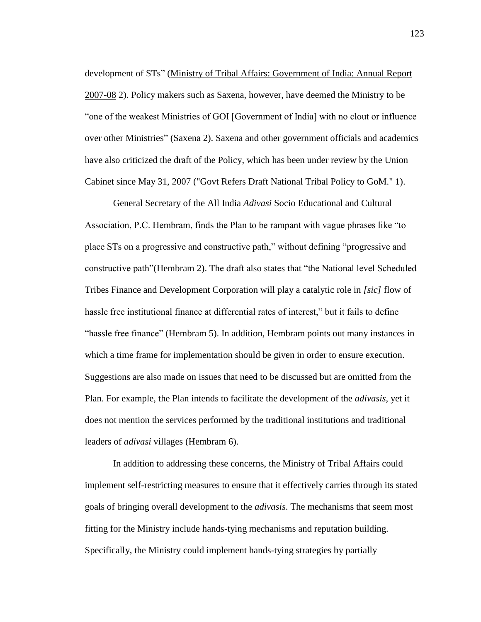development of STs" (Ministry of Tribal Affairs: Government of India: Annual Report 2007-08 2). Policy makers such as Saxena, however, have deemed the Ministry to be "one of the weakest Ministries of GOI [Government of India] with no clout or influence over other Ministries" (Saxena 2). Saxena and other government officials and academics have also criticized the draft of the Policy, which has been under review by the Union Cabinet since May 31, 2007 ("Govt Refers Draft National Tribal Policy to GoM." 1).

General Secretary of the All India *Adivasi* Socio Educational and Cultural Association, P.C. Hembram, finds the Plan to be rampant with vague phrases like "to place STs on a progressive and constructive path," without defining "progressive and constructive path"(Hembram 2). The draft also states that "the National level Scheduled Tribes Finance and Development Corporation will play a catalytic role in *[sic]* flow of hassle free institutional finance at differential rates of interest," but it fails to define "hassle free finance" (Hembram 5). In addition, Hembram points out many instances in which a time frame for implementation should be given in order to ensure execution. Suggestions are also made on issues that need to be discussed but are omitted from the Plan. For example, the Plan intends to facilitate the development of the *adivasis*, yet it does not mention the services performed by the traditional institutions and traditional leaders of *adivasi* villages (Hembram 6).

In addition to addressing these concerns, the Ministry of Tribal Affairs could implement self-restricting measures to ensure that it effectively carries through its stated goals of bringing overall development to the *adivasis*. The mechanisms that seem most fitting for the Ministry include hands-tying mechanisms and reputation building. Specifically, the Ministry could implement hands-tying strategies by partially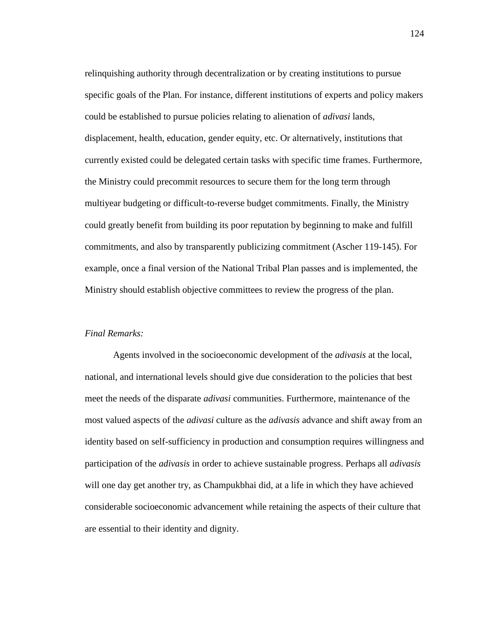relinquishing authority through decentralization or by creating institutions to pursue specific goals of the Plan. For instance, different institutions of experts and policy makers could be established to pursue policies relating to alienation of *adivasi* lands, displacement, health, education, gender equity, etc. Or alternatively, institutions that currently existed could be delegated certain tasks with specific time frames. Furthermore, the Ministry could precommit resources to secure them for the long term through multiyear budgeting or difficult-to-reverse budget commitments. Finally, the Ministry could greatly benefit from building its poor reputation by beginning to make and fulfill commitments, and also by transparently publicizing commitment (Ascher 119-145). For example, once a final version of the National Tribal Plan passes and is implemented, the Ministry should establish objective committees to review the progress of the plan.

# *Final Remarks:*

Agents involved in the socioeconomic development of the *adivasis* at the local, national, and international levels should give due consideration to the policies that best meet the needs of the disparate *adivasi* communities. Furthermore, maintenance of the most valued aspects of the *adivasi* culture as the *adivasis* advance and shift away from an identity based on self-sufficiency in production and consumption requires willingness and participation of the *adivasis* in order to achieve sustainable progress. Perhaps all *adivasis* will one day get another try, as Champukbhai did, at a life in which they have achieved considerable socioeconomic advancement while retaining the aspects of their culture that are essential to their identity and dignity.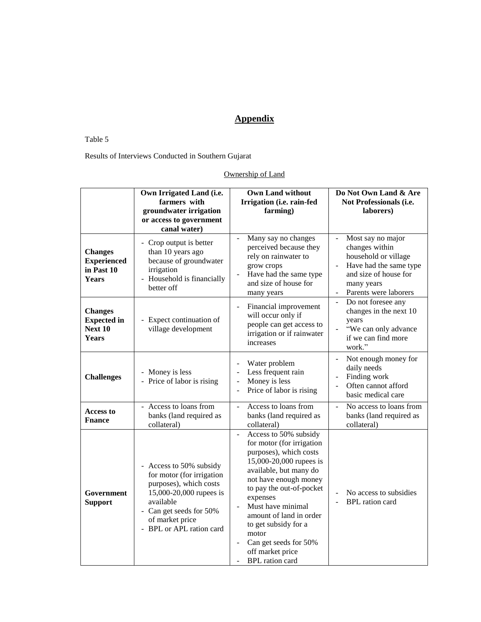# **Appendix**

# Table 5

# Results of Interviews Conducted in Southern Gujarat

# Ownership of Land

|                                                                    | Own Irrigated Land (i.e.<br>farmers with<br>groundwater irrigation<br>or access to government<br>canal water)                                                                                  | <b>Own Land without</b><br>Irrigation (i.e. rain-fed<br>farming)                                                                                                                                                                                                                                                                                           | Do Not Own Land & Are<br>Not Professionals (i.e.<br>laborers)                                                                                                                     |
|--------------------------------------------------------------------|------------------------------------------------------------------------------------------------------------------------------------------------------------------------------------------------|------------------------------------------------------------------------------------------------------------------------------------------------------------------------------------------------------------------------------------------------------------------------------------------------------------------------------------------------------------|-----------------------------------------------------------------------------------------------------------------------------------------------------------------------------------|
| <b>Changes</b><br><b>Experienced</b><br>in Past 10<br><b>Years</b> | - Crop output is better<br>than 10 years ago<br>because of groundwater<br>irrigation<br>- Household is financially<br>better off                                                               | Many say no changes<br>perceived because they<br>rely on rainwater to<br>grow crops<br>Have had the same type<br>and size of house for<br>many years                                                                                                                                                                                                       | Most say no major<br>$\overline{\phantom{a}}$<br>changes within<br>household or village<br>Have had the same type<br>and size of house for<br>many years<br>Parents were laborers |
| <b>Changes</b><br><b>Expected</b> in<br>Next 10<br>Years           | - Expect continuation of<br>village development                                                                                                                                                | Financial improvement<br>$\overline{\phantom{a}}$<br>will occur only if<br>people can get access to<br>irrigation or if rainwater<br>increases                                                                                                                                                                                                             | Do not foresee any<br>$\overline{a}$<br>changes in the next 10<br>years<br>"We can only advance<br>if we can find more<br>work."                                                  |
| <b>Challenges</b>                                                  | - Money is less<br>- Price of labor is rising                                                                                                                                                  | Water problem<br>Less frequent rain<br>Money is less<br>$\overline{a}$<br>Price of labor is rising                                                                                                                                                                                                                                                         | Not enough money for<br>$\overline{a}$<br>daily needs<br>Finding work<br>$\Box$<br>Often cannot afford<br>$\overline{a}$<br>basic medical care                                    |
| <b>Access to</b><br><b>Fnance</b>                                  | - Access to loans from<br>banks (land required as<br>collateral)                                                                                                                               | Access to loans from<br>$\overline{a}$<br>banks (land required as<br>collateral)                                                                                                                                                                                                                                                                           | No access to loans from<br>$\overline{a}$<br>banks (land required as<br>collateral)                                                                                               |
| Government<br><b>Support</b>                                       | Access to 50% subsidy<br>for motor (for irrigation<br>purposes), which costs<br>15,000-20,000 rupees is<br>available<br>- Can get seeds for 50%<br>of market price<br>- BPL or APL ration card | Access to 50% subsidy<br>for motor (for irrigation<br>purposes), which costs<br>15,000-20,000 rupees is<br>available, but many do<br>not have enough money<br>to pay the out-of-pocket<br>expenses<br>Must have minimal<br>amount of land in order<br>to get subsidy for a<br>motor<br>Can get seeds for 50%<br>off market price<br><b>BPL</b> ration card | No access to subsidies<br><b>BPL</b> ration card                                                                                                                                  |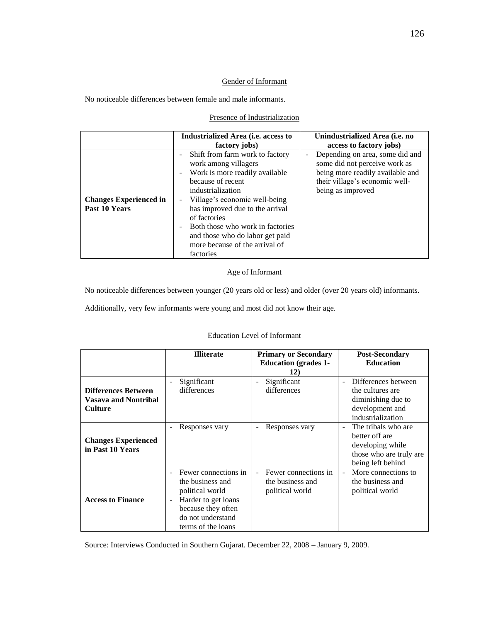#### Gender of Informant

No noticeable differences between female and male informants.

### Presence of Industrialization

|                                                | Industrialized Area (i.e. access to<br>factory jobs)                                                                                                                                                                                                                                                                                                                                     | Unindustrialized Area ( <i>i.e.</i> no<br>access to factory jobs)                                                                                                                       |
|------------------------------------------------|------------------------------------------------------------------------------------------------------------------------------------------------------------------------------------------------------------------------------------------------------------------------------------------------------------------------------------------------------------------------------------------|-----------------------------------------------------------------------------------------------------------------------------------------------------------------------------------------|
| <b>Changes Experienced in</b><br>Past 10 Years | Shift from farm work to factory<br>÷<br>work among villagers<br>Work is more readily available<br>$\blacksquare$<br>because of recent<br>industrialization<br>- Village's economic well-being<br>has improved due to the arrival<br>of factories<br>Both those who work in factories<br>$\blacksquare$<br>and those who do labor get paid<br>more because of the arrival of<br>factories | Depending on area, some did and<br>$\overline{\phantom{0}}$<br>some did not perceive work as<br>being more readily available and<br>their village's economic well-<br>being as improved |

# Age of Informant

No noticeable differences between younger (20 years old or less) and older (over 20 years old) informants.

Additionally, very few informants were young and most did not know their age.

### Education Level of Informant

|                                                                             | <b>Illiterate</b>                                                                                                                                                           | <b>Primary or Secondary</b><br><b>Education</b> (grades 1-<br>12) | <b>Post-Secondary</b><br><b>Education</b>                                                                           |
|-----------------------------------------------------------------------------|-----------------------------------------------------------------------------------------------------------------------------------------------------------------------------|-------------------------------------------------------------------|---------------------------------------------------------------------------------------------------------------------|
| <b>Differences Between</b><br><b>Vasava and Nontribal</b><br><b>Culture</b> | Significant<br>differences                                                                                                                                                  | Significant<br>differences                                        | Differences between<br>$\sim$<br>the cultures are<br>diminishing due to<br>development and<br>industrialization     |
| <b>Changes Experienced</b><br>in Past 10 Years                              | Responses vary<br>$\qquad \qquad -$                                                                                                                                         | Responses vary                                                    | The tribals who are<br>$\sim$<br>better off are<br>developing while<br>those who are truly are<br>being left behind |
| <b>Access to Finance</b>                                                    | Fewer connections in<br>÷.<br>the business and<br>political world<br>Harder to get loans<br>$\overline{a}$<br>because they often<br>do not understand<br>terms of the loans | Fewer connections in<br>the business and<br>political world       | More connections to<br>$\blacksquare$<br>the business and<br>political world                                        |

Source: Interviews Conducted in Southern Gujarat. December 22, 2008 – January 9, 2009.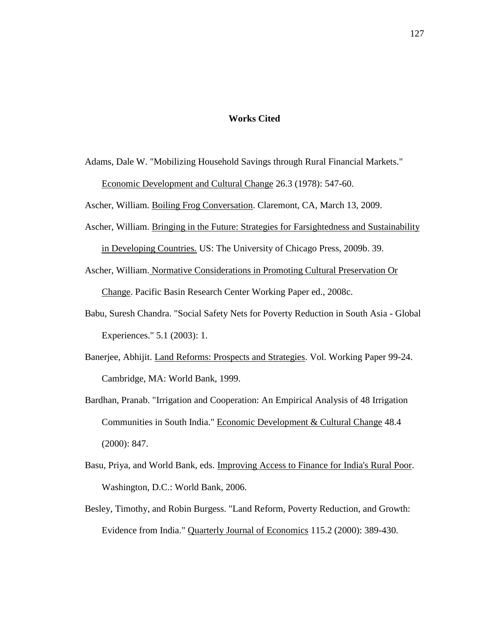### **Works Cited**

Adams, Dale W. "Mobilizing Household Savings through Rural Financial Markets." Economic Development and Cultural Change 26.3 (1978): 547-60.

Ascher, William. Boiling Frog Conversation. Claremont, CA, March 13, 2009.

Ascher, William. Bringing in the Future: Strategies for Farsightedness and Sustainability

in Developing Countries. US: The University of Chicago Press, 2009b. 39.

- Ascher, William. Normative Considerations in Promoting Cultural Preservation Or Change. Pacific Basin Research Center Working Paper ed., 2008c.
- Babu, Suresh Chandra. "Social Safety Nets for Poverty Reduction in South Asia Global Experiences." 5.1 (2003): 1.
- Banerjee, Abhijit. Land Reforms: Prospects and Strategies. Vol. Working Paper 99-24. Cambridge, MA: World Bank, 1999.
- Bardhan, Pranab. "Irrigation and Cooperation: An Empirical Analysis of 48 Irrigation Communities in South India." Economic Development & Cultural Change 48.4 (2000): 847.
- Basu, Priya, and World Bank, eds. Improving Access to Finance for India's Rural Poor. Washington, D.C.: World Bank, 2006.
- Besley, Timothy, and Robin Burgess. "Land Reform, Poverty Reduction, and Growth: Evidence from India." Quarterly Journal of Economics 115.2 (2000): 389-430.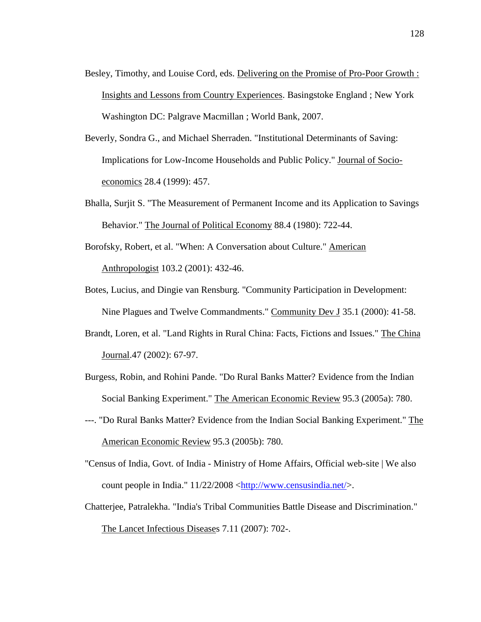- Besley, Timothy, and Louise Cord, eds. Delivering on the Promise of Pro-Poor Growth : Insights and Lessons from Country Experiences. Basingstoke England ; New York Washington DC: Palgrave Macmillan ; World Bank, 2007.
- Beverly, Sondra G., and Michael Sherraden. "Institutional Determinants of Saving: Implications for Low-Income Households and Public Policy." Journal of Socioeconomics 28.4 (1999): 457.
- Bhalla, Surjit S. "The Measurement of Permanent Income and its Application to Savings Behavior." The Journal of Political Economy 88.4 (1980): 722-44.
- Borofsky, Robert, et al. "When: A Conversation about Culture." American Anthropologist 103.2 (2001): 432-46.
- Botes, Lucius, and Dingie van Rensburg. "Community Participation in Development: Nine Plagues and Twelve Commandments." Community Dev J 35.1 (2000): 41-58.
- Brandt, Loren, et al. "Land Rights in Rural China: Facts, Fictions and Issues." The China Journal.47 (2002): 67-97.
- Burgess, Robin, and Rohini Pande. "Do Rural Banks Matter? Evidence from the Indian Social Banking Experiment." The American Economic Review 95.3 (2005a): 780.
- ---. "Do Rural Banks Matter? Evidence from the Indian Social Banking Experiment." The American Economic Review 95.3 (2005b): 780.
- "Census of India, Govt. of India Ministry of Home Affairs, Official web-site | We also count people in India."  $11/22/2008 \langle \frac{http://www.censusindia.net/}{$ .
- Chatterjee, Patralekha. "India's Tribal Communities Battle Disease and Discrimination." The Lancet Infectious Diseases 7.11 (2007): 702-.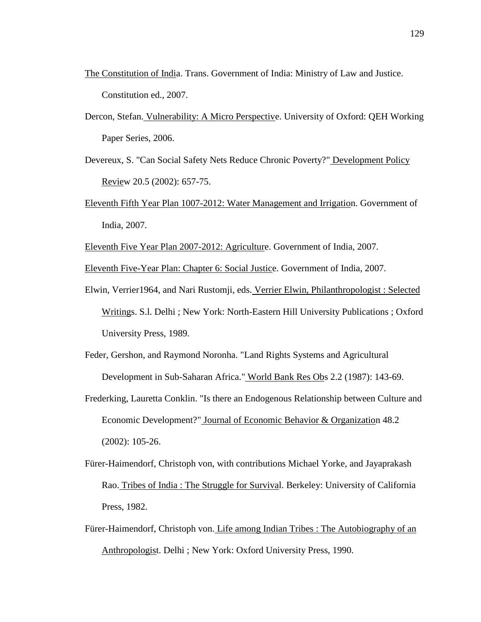- The Constitution of India. Trans. Government of India: Ministry of Law and Justice. Constitution ed., 2007.
- Dercon, Stefan. Vulnerability: A Micro Perspective. University of Oxford: QEH Working Paper Series, 2006.
- Devereux, S. "Can Social Safety Nets Reduce Chronic Poverty?" Development Policy Review 20.5 (2002): 657-75.
- Eleventh Fifth Year Plan 1007-2012: Water Management and Irrigation. Government of India, 2007.
- Eleventh Five Year Plan 2007-2012: Agriculture. Government of India, 2007.
- Eleventh Five-Year Plan: Chapter 6: Social Justice. Government of India, 2007.
- Elwin, Verrier1964, and Nari Rustomji, eds. Verrier Elwin, Philanthropologist : Selected Writings. S.l. Delhi ; New York: North-Eastern Hill University Publications ; Oxford University Press, 1989.
- Feder, Gershon, and Raymond Noronha. "Land Rights Systems and Agricultural Development in Sub-Saharan Africa." World Bank Res Obs 2.2 (1987): 143-69.
- Frederking, Lauretta Conklin. "Is there an Endogenous Relationship between Culture and Economic Development?" Journal of Economic Behavior & Organization 48.2 (2002): 105-26.
- Fürer-Haimendorf, Christoph von, with contributions Michael Yorke, and Jayaprakash Rao. Tribes of India : The Struggle for Survival. Berkeley: University of California Press, 1982.
- Fürer-Haimendorf, Christoph von. Life among Indian Tribes : The Autobiography of an Anthropologist. Delhi ; New York: Oxford University Press, 1990.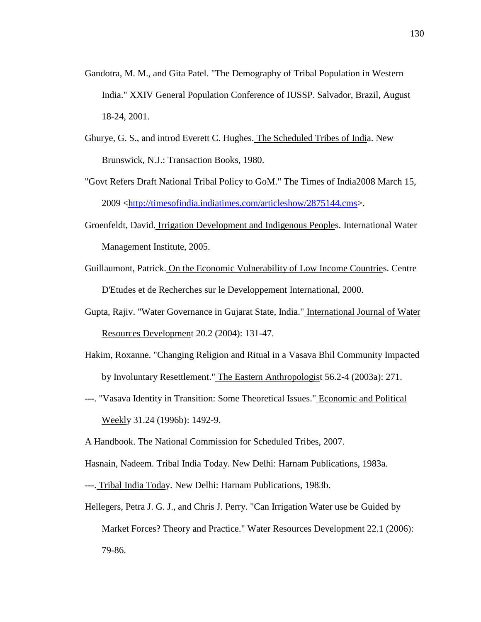- Gandotra, M. M., and Gita Patel. "The Demography of Tribal Population in Western India." XXIV General Population Conference of IUSSP. Salvador, Brazil, August 18-24, 2001.
- Ghurye, G. S., and introd Everett C. Hughes. The Scheduled Tribes of India. New Brunswick, N.J.: Transaction Books, 1980.
- "Govt Refers Draft National Tribal Policy to GoM." The Times of India2008 March 15, 2009 [<http://timesofindia.indiatimes.com/articleshow/2875144.cms>](http://timesofindia.indiatimes.com/articleshow/2875144.cms).
- Groenfeldt, David. Irrigation Development and Indigenous Peoples. International Water Management Institute, 2005.
- Guillaumont, Patrick. On the Economic Vulnerability of Low Income Countries. Centre D'Etudes et de Recherches sur le Developpement International, 2000.
- Gupta, Rajiv. "Water Governance in Gujarat State, India." International Journal of Water Resources Development 20.2 (2004): 131-47.
- Hakim, Roxanne. "Changing Religion and Ritual in a Vasava Bhil Community Impacted by Involuntary Resettlement." The Eastern Anthropologist 56.2-4 (2003a): 271.
- ---. "Vasava Identity in Transition: Some Theoretical Issues." Economic and Political Weekly 31.24 (1996b): 1492-9.
- A Handbook. The National Commission for Scheduled Tribes, 2007.
- Hasnain, Nadeem. Tribal India Today. New Delhi: Harnam Publications, 1983a.
- ---. Tribal India Today. New Delhi: Harnam Publications, 1983b.
- Hellegers, Petra J. G. J., and Chris J. Perry. "Can Irrigation Water use be Guided by Market Forces? Theory and Practice." Water Resources Development 22.1 (2006): 79-86.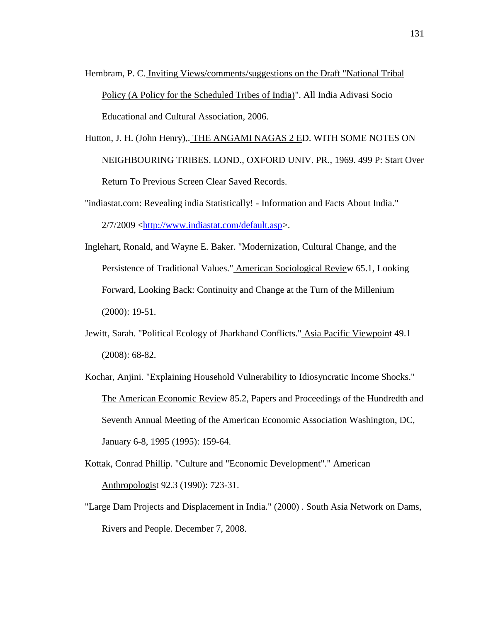- Hembram, P. C. Inviting Views/comments/suggestions on the Draft "National Tribal Policy (A Policy for the Scheduled Tribes of India)". All India Adivasi Socio Educational and Cultural Association, 2006.
- Hutton, J. H. (John Henry),. THE ANGAMI NAGAS 2 ED. WITH SOME NOTES ON NEIGHBOURING TRIBES. LOND., OXFORD UNIV. PR., 1969. 499 P: Start Over Return To Previous Screen Clear Saved Records.

"indiastat.com: Revealing india Statistically! - Information and Facts About India." 2/7/2009 [<http://www.indiastat.com/default.asp>](http://www.indiastat.com/default.asp).

- Inglehart, Ronald, and Wayne E. Baker. "Modernization, Cultural Change, and the Persistence of Traditional Values." American Sociological Review 65.1, Looking Forward, Looking Back: Continuity and Change at the Turn of the Millenium (2000): 19-51.
- Jewitt, Sarah. "Political Ecology of Jharkhand Conflicts." Asia Pacific Viewpoint 49.1 (2008): 68-82.
- Kochar, Anjini. "Explaining Household Vulnerability to Idiosyncratic Income Shocks." The American Economic Review 85.2, Papers and Proceedings of the Hundredth and Seventh Annual Meeting of the American Economic Association Washington, DC, January 6-8, 1995 (1995): 159-64.
- Kottak, Conrad Phillip. "Culture and "Economic Development"." American Anthropologist 92.3 (1990): 723-31.
- "Large Dam Projects and Displacement in India." (2000) . South Asia Network on Dams, Rivers and People. December 7, 2008.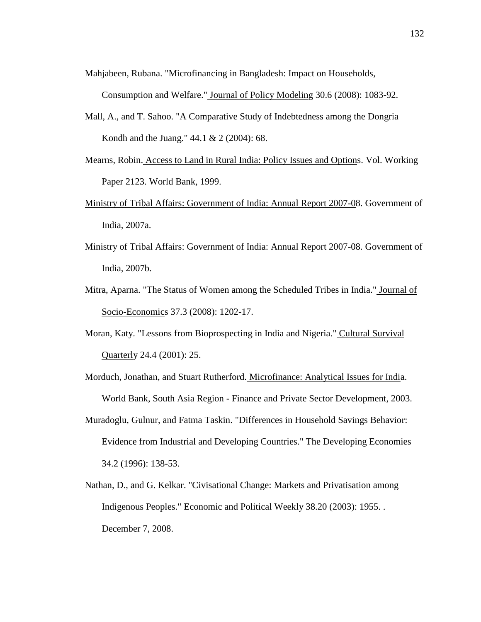Mahjabeen, Rubana. "Microfinancing in Bangladesh: Impact on Households,

Consumption and Welfare." Journal of Policy Modeling 30.6 (2008): 1083-92.

- Mall, A., and T. Sahoo. "A Comparative Study of Indebtedness among the Dongria Kondh and the Juang." 44.1 & 2 (2004): 68.
- Mearns, Robin. Access to Land in Rural India: Policy Issues and Options. Vol. Working Paper 2123. World Bank, 1999.
- Ministry of Tribal Affairs: Government of India: Annual Report 2007-08. Government of India, 2007a.
- Ministry of Tribal Affairs: Government of India: Annual Report 2007-08. Government of India, 2007b.
- Mitra, Aparna. "The Status of Women among the Scheduled Tribes in India." Journal of Socio-Economics 37.3 (2008): 1202-17.
- Moran, Katy. "Lessons from Bioprospecting in India and Nigeria." Cultural Survival Quarterly 24.4 (2001): 25.
- Morduch, Jonathan, and Stuart Rutherford. Microfinance: Analytical Issues for India. World Bank, South Asia Region - Finance and Private Sector Development, 2003.
- Muradoglu, Gulnur, and Fatma Taskin. "Differences in Household Savings Behavior: Evidence from Industrial and Developing Countries." The Developing Economies 34.2 (1996): 138-53.
- Nathan, D., and G. Kelkar. "Civisational Change: Markets and Privatisation among Indigenous Peoples." Economic and Political Weekly 38.20 (2003): 1955. . December 7, 2008.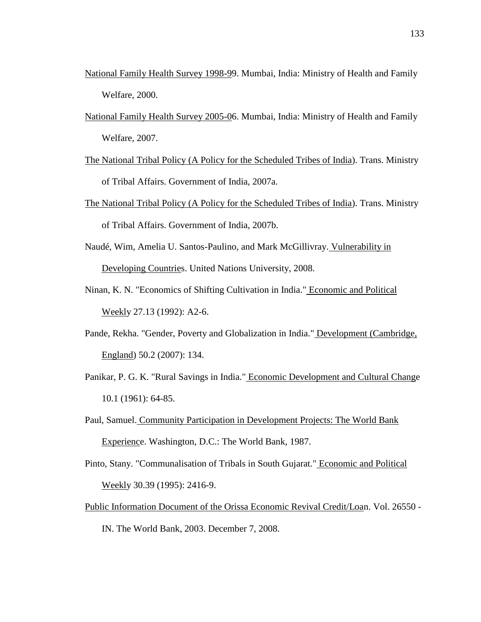- National Family Health Survey 1998-99. Mumbai, India: Ministry of Health and Family Welfare, 2000.
- National Family Health Survey 2005-06. Mumbai, India: Ministry of Health and Family Welfare, 2007.
- The National Tribal Policy (A Policy for the Scheduled Tribes of India). Trans. Ministry of Tribal Affairs. Government of India, 2007a.
- The National Tribal Policy (A Policy for the Scheduled Tribes of India). Trans. Ministry of Tribal Affairs. Government of India, 2007b.
- Naudé, Wim, Amelia U. Santos-Paulino, and Mark McGillivray. Vulnerability in Developing Countries. United Nations University, 2008.
- Ninan, K. N. "Economics of Shifting Cultivation in India." Economic and Political Weekly 27.13 (1992): A2-6.
- Pande, Rekha. "Gender, Poverty and Globalization in India." Development (Cambridge, England) 50.2 (2007): 134.
- Panikar, P. G. K. "Rural Savings in India." Economic Development and Cultural Change 10.1 (1961): 64-85.
- Paul, Samuel. Community Participation in Development Projects: The World Bank Experience. Washington, D.C.: The World Bank, 1987.
- Pinto, Stany. "Communalisation of Tribals in South Gujarat." Economic and Political Weekly 30.39 (1995): 2416-9.
- Public Information Document of the Orissa Economic Revival Credit/Loan. Vol. 26550 IN. The World Bank, 2003. December 7, 2008.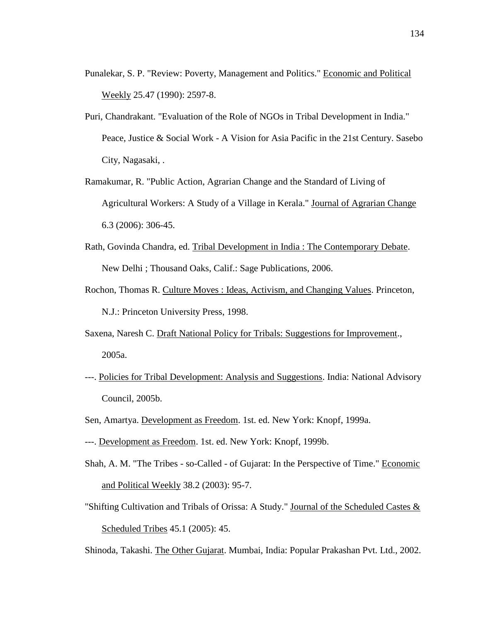- Punalekar, S. P. "Review: Poverty, Management and Politics." Economic and Political Weekly 25.47 (1990): 2597-8.
- Puri, Chandrakant. "Evaluation of the Role of NGOs in Tribal Development in India." Peace, Justice & Social Work - A Vision for Asia Pacific in the 21st Century. Sasebo City, Nagasaki, .
- Ramakumar, R. "Public Action, Agrarian Change and the Standard of Living of Agricultural Workers: A Study of a Village in Kerala." Journal of Agrarian Change 6.3 (2006): 306-45.
- Rath, Govinda Chandra, ed. Tribal Development in India : The Contemporary Debate. New Delhi ; Thousand Oaks, Calif.: Sage Publications, 2006.
- Rochon, Thomas R. Culture Moves : Ideas, Activism, and Changing Values. Princeton, N.J.: Princeton University Press, 1998.
- Saxena, Naresh C. Draft National Policy for Tribals: Suggestions for Improvement., 2005a.
- ---. Policies for Tribal Development: Analysis and Suggestions. India: National Advisory Council, 2005b.
- Sen, Amartya. Development as Freedom. 1st. ed. New York: Knopf, 1999a.
- ---. Development as Freedom. 1st. ed. New York: Knopf, 1999b.
- Shah, A. M. "The Tribes so-Called of Gujarat: In the Perspective of Time." Economic and Political Weekly 38.2 (2003): 95-7.
- "Shifting Cultivation and Tribals of Orissa: A Study." Journal of the Scheduled Castes  $\&$ Scheduled Tribes 45.1 (2005): 45.

Shinoda, Takashi. The Other Gujarat. Mumbai, India: Popular Prakashan Pvt. Ltd., 2002.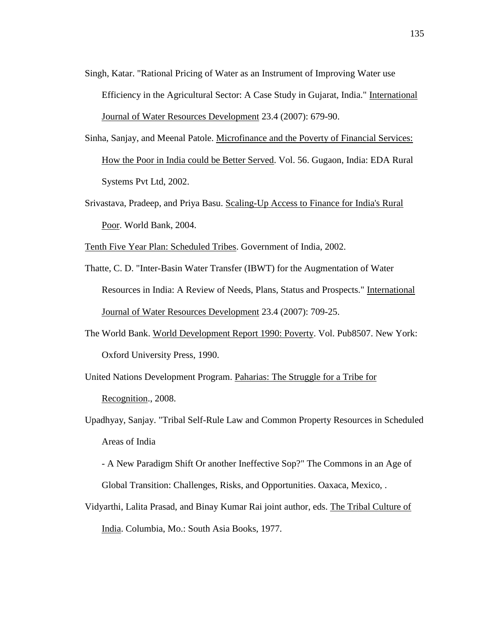- Singh, Katar. "Rational Pricing of Water as an Instrument of Improving Water use Efficiency in the Agricultural Sector: A Case Study in Gujarat, India." International Journal of Water Resources Development 23.4 (2007): 679-90.
- Sinha, Sanjay, and Meenal Patole. Microfinance and the Poverty of Financial Services: How the Poor in India could be Better Served. Vol. 56. Gugaon, India: EDA Rural Systems Pvt Ltd, 2002.
- Srivastava, Pradeep, and Priya Basu. Scaling-Up Access to Finance for India's Rural Poor. World Bank, 2004.

Tenth Five Year Plan: Scheduled Tribes. Government of India, 2002.

- Thatte, C. D. "Inter-Basin Water Transfer (IBWT) for the Augmentation of Water Resources in India: A Review of Needs, Plans, Status and Prospects." International Journal of Water Resources Development 23.4 (2007): 709-25.
- The World Bank. World Development Report 1990: Poverty. Vol. Pub8507. New York: Oxford University Press, 1990.

United Nations Development Program. Paharias: The Struggle for a Tribe for Recognition., 2008.

- Upadhyay, Sanjay. "Tribal Self-Rule Law and Common Property Resources in Scheduled Areas of India
	- A New Paradigm Shift Or another Ineffective Sop?" The Commons in an Age of Global Transition: Challenges, Risks, and Opportunities. Oaxaca, Mexico, .
- Vidyarthi, Lalita Prasad, and Binay Kumar Rai joint author, eds. The Tribal Culture of India. Columbia, Mo.: South Asia Books, 1977.